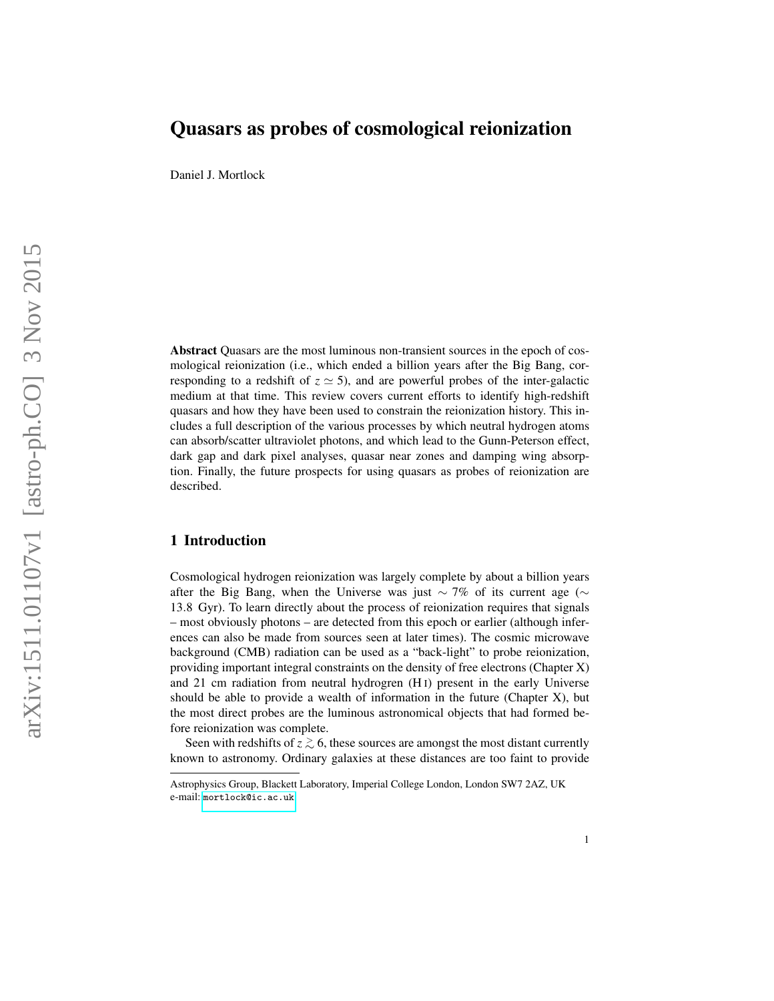# Quasars as probes of cosmological reionization

Daniel J. Mortlock

Abstract Quasars are the most luminous non-transient sources in the epoch of cosmological reionization (i.e., which ended a billion years after the Big Bang, corresponding to a redshift of  $z \approx 5$ ), and are powerful probes of the inter-galactic medium at that time. This review covers current efforts to identify high-redshift quasars and how they have been used to constrain the reionization history. This includes a full description of the various processes by which neutral hydrogen atoms can absorb/scatter ultraviolet photons, and which lead to the Gunn-Peterson effect, dark gap and dark pixel analyses, quasar near zones and damping wing absorption. Finally, the future prospects for using quasars as probes of reionization are described.

# 1 Introduction

Cosmological hydrogen reionization was largely complete by about a billion years after the Big Bang, when the Universe was just  $\sim$  7% of its current age ( $\sim$ 13 .8 Gyr). To learn directly about the process of reionization requires that signals – most obviously photons – are detected from this epoch or earlier (although inferences can also be made from sources seen at later times). The cosmic microwave background (CMB) radiation can be used as a "back-light" to probe reionization, providing important integral constraints on the density of free electrons (Chapter X) and 21 cm radiation from neutral hydrogren (H I) present in the early Universe should be able to provide a wealth of information in the future (Chapter X), but the most direct probes are the luminous astronomical objects that had formed before reionization was complete.

Seen with redshifts of  $z \gtrsim 6$ , these sources are amongst the most distant currently known to astronomy. Ordinary galaxies at these distances are too faint to provide

Astrophysics Group, Blackett Laboratory, Imperial College London, London SW7 2AZ, UK e-mail: <mortlock@ic.ac.uk>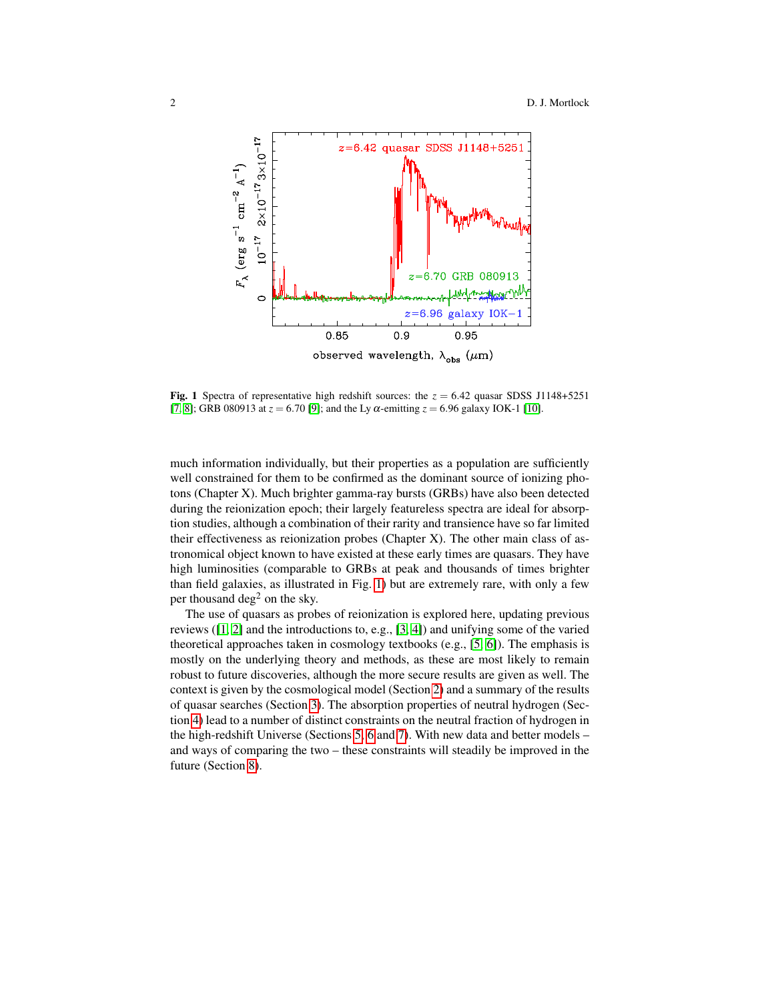

<span id="page-1-0"></span>Fig. 1 Spectra of representative high redshift sources: the  $z = 6.42$  quasar SDSS J1148+5251 [\[7,](#page-32-0) [8\]](#page-32-1); GRB 080913 at  $z = 6.70$  [\[9\]](#page-32-2); and the Ly  $\alpha$ -emitting  $z = 6.96$  galaxy IOK-1 [\[10\]](#page-32-3).

much information individually, but their properties as a population are sufficiently well constrained for them to be confirmed as the dominant source of ionizing photons (Chapter X). Much brighter gamma-ray bursts (GRBs) have also been detected during the reionization epoch; their largely featureless spectra are ideal for absorption studies, although a combination of their rarity and transience have so far limited their effectiveness as reionization probes (Chapter X). The other main class of astronomical object known to have existed at these early times are quasars. They have high luminosities (comparable to GRBs at peak and thousands of times brighter than field galaxies, as illustrated in Fig. [1\)](#page-1-0) but are extremely rare, with only a few per thousand deg<sup>2</sup> on the sky.

The use of quasars as probes of reionization is explored here, updating previous reviews  $(1, 2]$  $(1, 2]$  and the introductions to, e.g.,  $(3, 4)$  and unifying some of the varied theoretical approaches taken in cosmology textbooks (e.g., [\[5,](#page-32-8) [6\]](#page-32-9)). The emphasis is mostly on the underlying theory and methods, as these are most likely to remain robust to future discoveries, although the more secure results are given as well. The context is given by the cosmological model (Section [2\)](#page-2-0) and a summary of the results of quasar searches (Section [3\)](#page-3-0). The absorption properties of neutral hydrogen (Section [4\)](#page-7-0) lead to a number of distinct constraints on the neutral fraction of hydrogen in the high-redshift Universe (Sections [5,](#page-14-0) [6](#page-19-0) and [7\)](#page-24-0). With new data and better models – and ways of comparing the two – these constraints will steadily be improved in the future (Section [8\)](#page-30-0).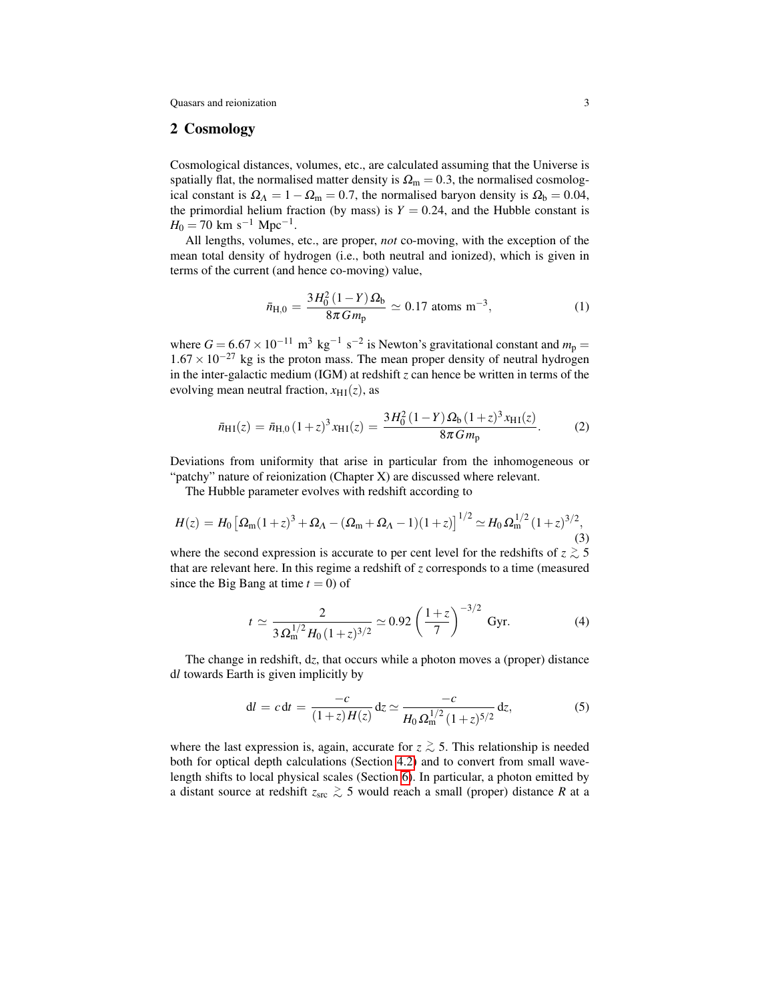### <span id="page-2-0"></span>2 Cosmology

Cosmological distances, volumes, etc., are calculated assuming that the Universe is spatially flat, the normalised matter density is  $\Omega_{\rm m} = 0.3$ , the normalised cosmological constant is  $\Omega_{\Lambda} = 1 - \Omega_{\rm m} = 0.7$ , the normalised baryon density is  $\Omega_{\rm b} = 0.04$ , the primordial helium fraction (by mass) is  $Y = 0.24$ , and the Hubble constant is  $H_0 = 70$  km s<sup>-1</sup> Mpc<sup>-1</sup>.

All lengths, volumes, etc., are proper, *not* co-moving, with the exception of the mean total density of hydrogen (i.e., both neutral and ionized), which is given in terms of the current (and hence co-moving) value,

$$
\bar{n}_{\text{H},0} = \frac{3H_0^2(1-Y)\,\Omega_\text{b}}{8\pi\,G\,m_\text{p}} \simeq 0.17 \text{ atoms m}^{-3},\tag{1}
$$

where  $G = 6.67 \times 10^{-11}$  m<sup>3</sup> kg<sup>-1</sup> s<sup>-2</sup> is Newton's gravitational constant and  $m_p =$  $1.67 \times 10^{-27}$  kg is the proton mass. The mean proper density of neutral hydrogen in the inter-galactic medium (IGM) at redshift *z* can hence be written in terms of the evolving mean neutral fraction,  $x_{\text{H I}}(z)$ , as

<span id="page-2-3"></span>
$$
\bar{n}_{\rm H I}(z) = \bar{n}_{\rm H,0} (1+z)^3 x_{\rm H I}(z) = \frac{3H_0^2 (1-Y) \Omega_{\rm b} (1+z)^3 x_{\rm H I}(z)}{8\pi G m_{\rm p}}.
$$
 (2)

Deviations from uniformity that arise in particular from the inhomogeneous or "patchy" nature of reionization (Chapter X) are discussed where relevant.

The Hubble parameter evolves with redshift according to

<span id="page-2-2"></span>
$$
H(z) = H_0 \left[ \Omega_{\rm m} (1+z)^3 + \Omega_{\Lambda} - (\Omega_{\rm m} + \Omega_{\Lambda} - 1)(1+z) \right]^{1/2} \simeq H_0 \Omega_{\rm m}^{1/2} (1+z)^{3/2},\tag{3}
$$

where the second expression is accurate to per cent level for the redshifts of  $z \gtrsim 5$ that are relevant here. In this regime a redshift of *z* corresponds to a time (measured since the Big Bang at time  $t = 0$ ) of

$$
t \simeq \frac{2}{3 \Omega_{\rm m}^{1/2} H_0 (1+z)^{3/2}} \simeq 0.92 \left(\frac{1+z}{7}\right)^{-3/2} \, \text{Gyr.} \tag{4}
$$

The change in redshift, d*z*, that occurs while a photon moves a (proper) distance d*l* towards Earth is given implicitly by

<span id="page-2-1"></span>
$$
dl = c dt = \frac{-c}{(1+z)H(z)} dz \simeq \frac{-c}{H_0 \Omega_{\rm m}^{1/2} (1+z)^{5/2}} dz,
$$
 (5)

where the last expression is, again, accurate for  $z \gtrsim 5$ . This relationship is needed both for optical depth calculations (Section [4.2\)](#page-13-0) and to convert from small wavelength shifts to local physical scales (Section [6\)](#page-19-0). In particular, a photon emitted by a distant source at redshift *z*src <sup>&</sup>gt;∼ 5 would reach a small (proper) distance *R* at a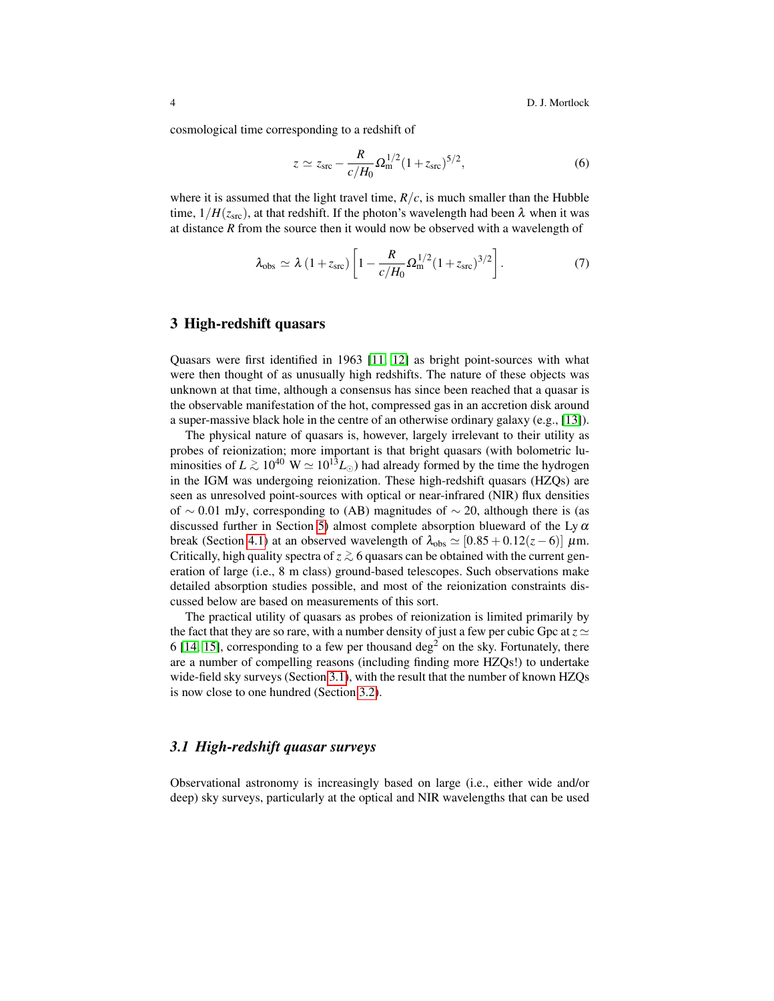4 D. J. Mortlock

cosmological time corresponding to a redshift of

<span id="page-3-3"></span>
$$
z \simeq z_{\rm src} - \frac{R}{c/H_0} \Omega_{\rm m}^{1/2} (1 + z_{\rm src})^{5/2},\tag{6}
$$

where it is assumed that the light travel time,  $R/c$ , is much smaller than the Hubble time,  $1/H(z<sub>src</sub>)$ , at that redshift. If the photon's wavelength had been  $\lambda$  when it was at distance *R* from the source then it would now be observed with a wavelength of

<span id="page-3-2"></span>
$$
\lambda_{\rm obs} \simeq \lambda (1 + z_{\rm src}) \left[ 1 - \frac{R}{c/H_0} \Omega_{\rm m}^{1/2} (1 + z_{\rm src})^{3/2} \right].
$$
 (7)

### <span id="page-3-0"></span>3 High-redshift quasars

Quasars were first identified in 1963 [\[11,](#page-32-10) [12\]](#page-32-11) as bright point-sources with what were then thought of as unusually high redshifts. The nature of these objects was unknown at that time, although a consensus has since been reached that a quasar is the observable manifestation of the hot, compressed gas in an accretion disk around a super-massive black hole in the centre of an otherwise ordinary galaxy (e.g., [\[13\]](#page-32-12)).

The physical nature of quasars is, however, largely irrelevant to their utility as probes of reionization; more important is that bright quasars (with bolometric luminosities of  $L \gtrsim 10^{40} \text{ W} \simeq 10^{13} L_{\odot}$ ) had already formed by the time the hydrogen in the IGM was undergoing reionization. These high-redshift quasars (HZQs) are seen as unresolved point-sources with optical or near-infrared (NIR) flux densities of ∼ 0.01 mJy, corresponding to (AB) magnitudes of ~ 20, although there is (as discussed further in Section [5\)](#page-14-0) almost complete absorption blueward of the Ly  $\alpha$ break (Section [4.1\)](#page-8-0) at an observed wavelength of  $\lambda_{obs} \simeq [0.85 + 0.12(z - 6)] \mu m$ . Critically, high quality spectra of  $z \gtrsim 6$  quasars can be obtained with the current generation of large (i.e., 8 m class) ground-based telescopes. Such observations make detailed absorption studies possible, and most of the reionization constraints discussed below are based on measurements of this sort.

The practical utility of quasars as probes of reionization is limited primarily by the fact that they are so rare, with a number density of just a few per cubic Gpc at  $z \approx$ 6 [\[14,](#page-32-13) [15\]](#page-32-14), corresponding to a few per thousand  $\deg^2$  on the sky. Fortunately, there are a number of compelling reasons (including finding more HZQs!) to undertake wide-field sky surveys (Section [3.1\)](#page-3-1), with the result that the number of known HZQs is now close to one hundred (Section [3.2\)](#page-4-0).

### <span id="page-3-1"></span>*3.1 High-redshift quasar surveys*

Observational astronomy is increasingly based on large (i.e., either wide and/or deep) sky surveys, particularly at the optical and NIR wavelengths that can be used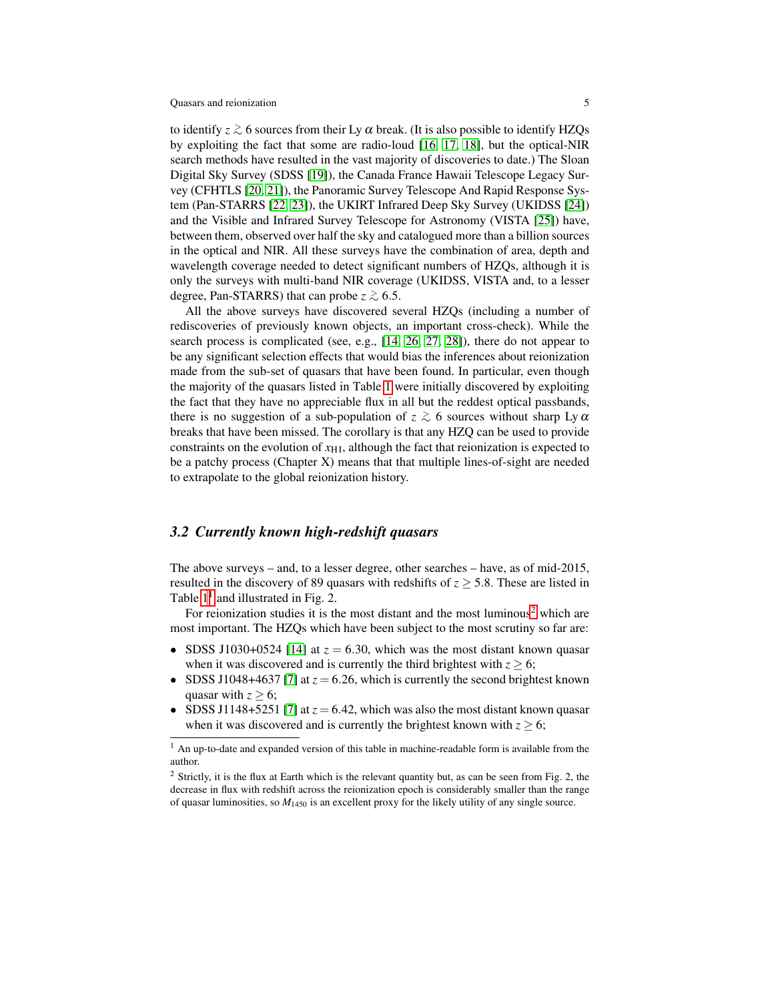to identify  $z \gtrsim 6$  sources from their Ly  $\alpha$  break. (It is also possible to identify HZQs by exploiting the fact that some are radio-loud [\[16,](#page-32-15) [17,](#page-32-16) [18\]](#page-33-0), but the optical-NIR search methods have resulted in the vast majority of discoveries to date.) The Sloan Digital Sky Survey (SDSS [\[19\]](#page-33-1)), the Canada France Hawaii Telescope Legacy Survey (CFHTLS [\[20,](#page-33-2) [21\]](#page-33-3)), the Panoramic Survey Telescope And Rapid Response System (Pan-STARRS [\[22,](#page-33-4) [23\]](#page-33-5)), the UKIRT Infrared Deep Sky Survey (UKIDSS [\[24\]](#page-33-6)) and the Visible and Infrared Survey Telescope for Astronomy (VISTA [\[25\]](#page-33-7)) have, between them, observed over half the sky and catalogued more than a billion sources in the optical and NIR. All these surveys have the combination of area, depth and wavelength coverage needed to detect significant numbers of HZQs, although it is only the surveys with multi-band NIR coverage (UKIDSS, VISTA and, to a lesser degree, Pan-STARRS) that can probe  $z \gtrsim 6.5$ .

All the above surveys have discovered several HZQs (including a number of rediscoveries of previously known objects, an important cross-check). While the search process is complicated (see, e.g., [\[14,](#page-32-13) [26,](#page-33-8) [27,](#page-33-9) [28\]](#page-33-10)), there do not appear to be any significant selection effects that would bias the inferences about reionization made from the sub-set of quasars that have been found. In particular, even though the majority of the quasars listed in Table [1](#page-5-0) were initially discovered by exploiting the fact that they have no appreciable flux in all but the reddest optical passbands, there is no suggestion of a sub-population of  $z \gtrsim 6$  sources without sharp Ly  $\alpha$ breaks that have been missed. The corollary is that any HZQ can be used to provide constraints on the evolution of  $x_{\text{H I}}$ , although the fact that reionization is expected to be a patchy process (Chapter X) means that that multiple lines-of-sight are needed to extrapolate to the global reionization history.

### <span id="page-4-0"></span>*3.2 Currently known high-redshift quasars*

The above surveys – and, to a lesser degree, other searches – have, as of mid-2015, resulted in the discovery of 89 quasars with redshifts of  $z \geq 5.8$ . These are listed in Table  $1<sup>1</sup>$  $1<sup>1</sup>$  and illustrated in Fig. 2.

For reionization studies it is the most distant and the most luminous<sup>[2](#page-4-2)</sup> which are most important. The HZQs which have been subject to the most scrutiny so far are:

- SDSS J1030+0524 [\[14\]](#page-32-13) at  $z = 6.30$ , which was the most distant known quasar when it was discovered and is currently the third brightest with  $z \ge 6$ ;
- SDSS J1048+4637 [\[7\]](#page-32-0) at  $z = 6.26$ , which is currently the second brightest known quasar with  $z \geq 6$ ;
- SDSS J1148+5251 [\[7\]](#page-32-0) at  $z = 6.42$ , which was also the most distant known quasar when it was discovered and is currently the brightest known with  $z \ge 6$ ;

<span id="page-4-1"></span><sup>&</sup>lt;sup>1</sup> An up-to-date and expanded version of this table in machine-readable form is available from the author.

<span id="page-4-2"></span><sup>2</sup> Strictly, it is the flux at Earth which is the relevant quantity but, as can be seen from Fig. 2, the decrease in flux with redshift across the reionization epoch is considerably smaller than the range of quasar luminosities, so *M*<sup>1450</sup> is an excellent proxy for the likely utility of any single source.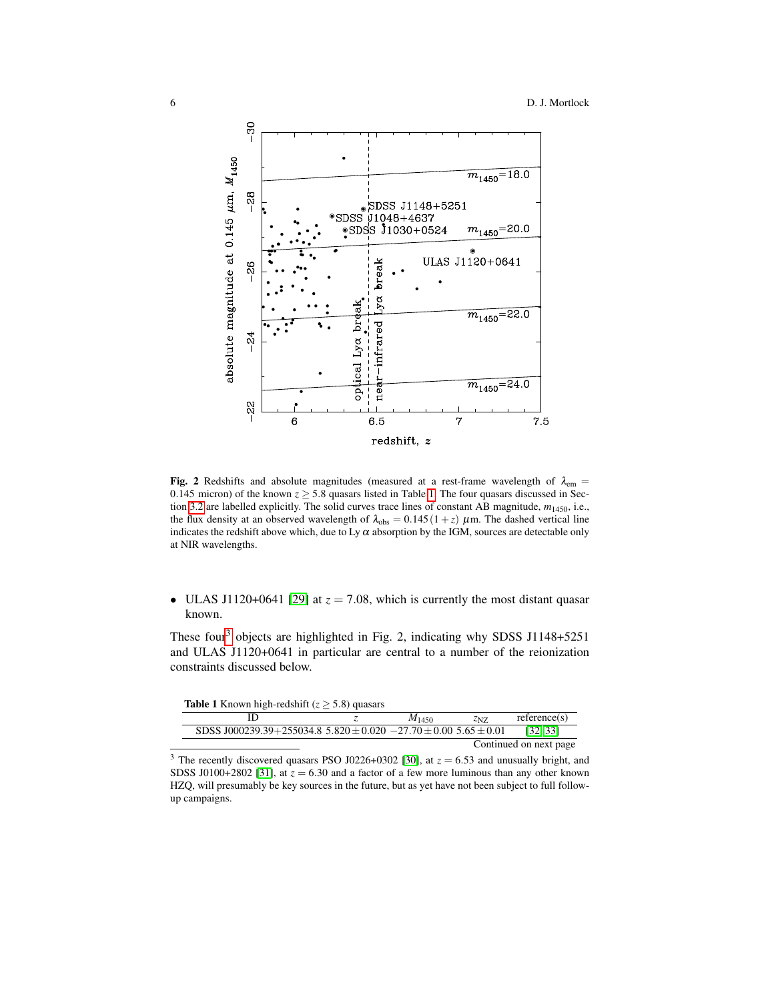

Fig. 2 Redshifts and absolute magnitudes (measured at a rest-frame wavelength of  $\lambda_{em}$  = 0.145 micron) of the known  $z \ge 5.8$  quasars listed in Table [1.](#page-5-0) The four quasars discussed in Section [3.2](#page-4-0) are labelled explicitly. The solid curves trace lines of constant AB magnitude, *m*1450, i.e., the flux density at an observed wavelength of  $\lambda_{obs} = 0.145(1 + z) \mu$ m. The dashed vertical line indicates the redshift above which, due to Ly  $\alpha$  absorption by the IGM, sources are detectable only at NIR wavelengths.

• ULAS J1120+0641 [\[29\]](#page-33-11) at  $z = 7.08$ , which is currently the most distant quasar known.

These four<sup>[3](#page-5-1)</sup> objects are highlighted in Fig. 2, indicating why SDSS J1148+5251 and ULAS J1120+0641 in particular are central to a number of the reionization constraints discussed below.

<span id="page-5-0"></span>

| <b>Table 1</b> Known high-redshift $(z > 5.8)$ quasars                       |            |      |                        |
|------------------------------------------------------------------------------|------------|------|------------------------|
|                                                                              | $M_{1450}$ | ZNZ. | reference(s)           |
| SDSS J000239.39+255034.8 5.820 $\pm$ 0.020 -27.70 $\pm$ 0.00 5.65 $\pm$ 0.01 |            |      | [32, 33]               |
|                                                                              |            |      | Continued on next page |

<span id="page-5-1"></span><sup>&</sup>lt;sup>3</sup> The recently discovered quasars PSO J0226+0302 [\[30\]](#page-33-14), at  $z = 6.53$  and unusually bright, and SDSS J0100+2802 [\[31\]](#page-33-15), at  $z = 6.30$  and a factor of a few more luminous than any other known HZQ, will presumably be key sources in the future, but as yet have not been subject to full followup campaigns.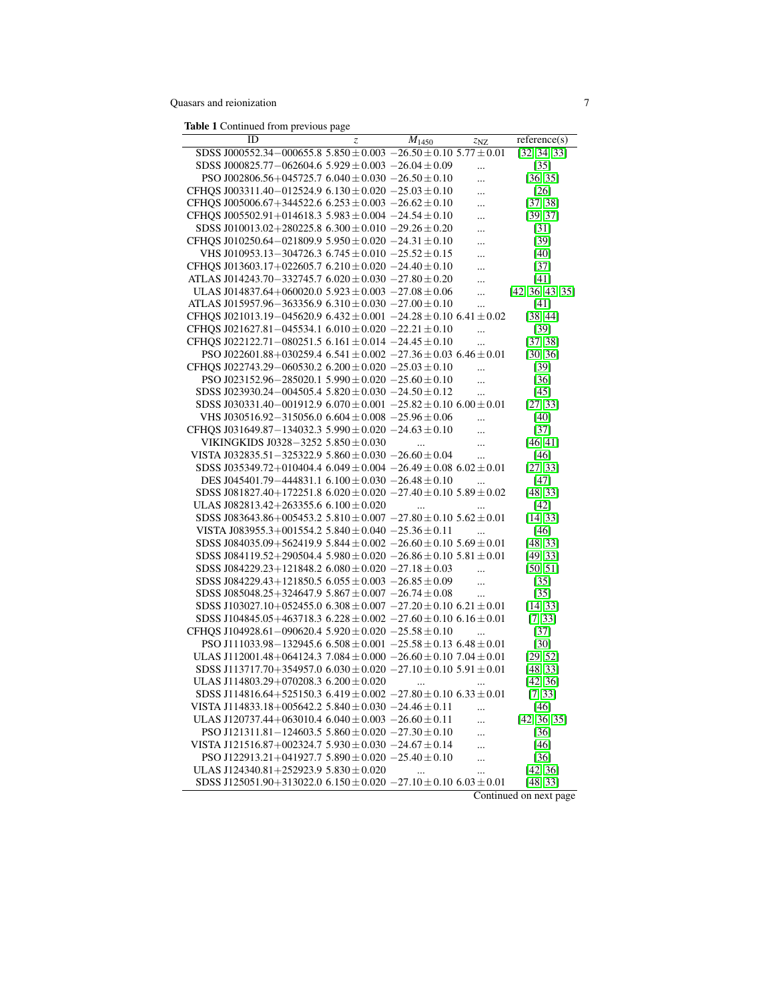Table 1 Continued from previous page

| ID                                                                            | z | $M_{1450}$    | z <sub>NZ</sub> | reference(s)      |
|-------------------------------------------------------------------------------|---|---------------|-----------------|-------------------|
| SDSS J000552.34-000655.8 5.850 $\pm$ 0.003 -26.50 $\pm$ 0.10 5.77 $\pm$ 0.01  |   |               |                 | [32, 34, 33]      |
| SDSS J000825.77-062604.6 5.929 $\pm$ 0.003 -26.04 $\pm$ 0.09                  |   |               |                 | $\left[35\right]$ |
| PSO J002806.56+045725.7 6.040 $\pm$ 0.030 $-26.50 \pm 0.10$                   |   |               |                 | [36, 35]          |
| CFHOS J003311.40-012524.9 6.130 $\pm$ 0.020 -25.03 $\pm$ 0.10                 |   |               | $\ddotsc$       | [26]              |
| CFHQS J005006.67+344522.6 6.253 ± 0.003 -26.62 ± 0.10                         |   |               |                 | [37, 38]          |
| CFHOS J005502.91+014618.3 5.983 $\pm$ 0.004 -24.54 $\pm$ 0.10                 |   |               |                 | [39, 37]          |
| SDSS J010013.02+280225.8 6.300 $\pm$ 0.010 -29.26 $\pm$ 0.20                  |   |               |                 | [31]              |
| CFHQS J010250.64-021809.9 5.950 $\pm$ 0.020 -24.31 $\pm$ 0.10                 |   |               | $\cdots$        | $[39]$            |
| VHS J010953.13-304726.3 $6.745 \pm 0.010 - 25.52 \pm 0.15$                    |   |               | $\cdots$        | [40]              |
| CFHQS J013603.17+022605.7 6.210 ± 0.020 -24.40 ± 0.10                         |   |               |                 | $[37]$            |
| ATLAS J014243.70-332745.7 $6.020 \pm 0.030$ -27.80 $\pm$ 0.20                 |   |               |                 | [41]              |
| ULAS J014837.64+060020.0 5.923 $\pm$ 0.003 -27.08 $\pm$ 0.06                  |   |               |                 | [42, 36, 43, 35]  |
| ATLAS J015957.96-363356.9 6.310 $\pm$ 0.030 -27.00 $\pm$ 0.10                 |   |               |                 | [41]              |
| CFHOS J021013.19-045620.9 6.432 $\pm$ 0.001 -24.28 $\pm$ 0.10 6.41 $\pm$ 0.02 |   |               |                 | [38, 44]          |
| CFHQS J021627.81-045534.1 $6.010 \pm 0.020 -22.21 \pm 0.10$                   |   |               |                 | [39]              |
| CFHQS J022122.71-080251.5 6.161 $\pm$ 0.014 -24.45 $\pm$ 0.10                 |   |               |                 | [37, 38]          |
| PSO J022601.88+030259.4 6.541 $\pm$ 0.002 -27.36 $\pm$ 0.03 6.46 $\pm$ 0.01   |   |               |                 | [30, 36]          |
| CFHOS J022743.29-060530.2 $6.200 \pm 0.020 -25.03 \pm 0.10$                   |   |               |                 | $[39]$            |
| PSO J023152.96-285020.1 5.990 $\pm$ 0.020 -25.60 $\pm$ 0.10                   |   |               |                 | [36]              |
| SDSS J023930.24-004505.4 5.820 $\pm$ 0.030 -24.50 $\pm$ 0.12                  |   |               | $\ddotsc$       | [45]              |
| SDSS J030331.40-001912.9 $6.070 \pm 0.001 - 25.82 \pm 0.10$ $6.00 \pm 0.01$   |   |               | $\ddotsc$       | [27, 33]          |
| VHS J030516.92-315056.0 6.604 $\pm$ 0.008 -25.96 $\pm$ 0.06                   |   |               |                 |                   |
| CFHOS J031649.87-134032.3 5.990 $\pm$ 0.020 -24.63 $\pm$ 0.10                 |   |               | $\ddotsc$       | [40]              |
| VIKINGKIDS J0328-3252 5.850 $\pm$ 0.030                                       |   | $\mathcal{L}$ | $\ddotsc$       | $[37]$            |
| VISTA J032835.51-325322.9 5.860 $\pm$ 0.030 -26.60 $\pm$ 0.04                 |   |               | $\ddotsc$       | [46, 41]          |
|                                                                               |   |               | $\ddotsc$       | [46]              |
| SDSS J035349.72+010404.4 6.049 $\pm$ 0.004 -26.49 $\pm$ 0.08 6.02 $\pm$ 0.01  |   |               |                 | [27, 33]          |
| DES J045401.79-444831.1 $6.100 \pm 0.030 -26.48 \pm 0.10$                     |   |               | $\ddotsc$       | [47]              |
| SDSS J081827.40+172251.8 $6.020 \pm 0.020 -27.40 \pm 0.10$ 5.89 $\pm 0.02$    |   |               |                 | [48, 33]          |
| ULAS J082813.42+263355.6 $6.100 \pm 0.020$                                    |   | $\ddotsc$     |                 | [42]              |
| SDSS J083643.86+005453.2 5.810 $\pm$ 0.007 -27.80 $\pm$ 0.10 5.62 $\pm$ 0.01  |   |               |                 | [14, 33]          |
| VISTA J083955.3+001554.2 5.840 ± 0.040 $-25.36 \pm 0.11$                      |   |               |                 | $[46]$            |
| SDSS J084035.09+562419.9 5.844 $\pm$ 0.002 -26.60 $\pm$ 0.10 5.69 $\pm$ 0.01  |   |               |                 | [48, 33]          |
| SDSS J084119.52+290504.4 5.980 $\pm$ 0.020 -26.86 $\pm$ 0.10 5.81 $\pm$ 0.01  |   |               |                 | [49, 33]          |
| SDSS J084229.23+121848.2 $6.080 \pm 0.020 -27.18 \pm 0.03$                    |   |               | $\ddotsc$       | [50, 51]          |
| SDSS J084229.43+121850.5 $6.055 \pm 0.003 -26.85 \pm 0.09$                    |   |               |                 | $\left[35\right]$ |
| SDSS J085048.25+324647.9 5.867 $\pm$ 0.007 -26.74 $\pm$ 0.08                  |   |               |                 | $[35]$            |
| SDSS J103027.10+052455.0 $6.308 \pm 0.007 -27.20 \pm 0.10$ $6.21 \pm 0.01$    |   |               |                 | [14, 33]          |
| SDSS J104845.05+463718.3 6.228 $\pm$ 0.002 -27.60 $\pm$ 0.10 6.16 $\pm$ 0.01  |   |               |                 | [7, 33]           |
| CFHQS J104928.61-090620.4 5.920 $\pm$ 0.020 -25.58 $\pm$ 0.10                 |   |               |                 | $[37]$            |
| PSO J111033.98-132945.6 $6.508 \pm 0.001 -25.58 \pm 0.13$ $6.48 \pm 0.01$     |   |               |                 | [30]              |
| ULAS J112001.48+064124.3 7.084 $\pm$ 0.000 -26.60 $\pm$ 0.10 7.04 $\pm$ 0.01  |   |               |                 | [29, 52]          |
| SDSS J113717.70+354957.0 $6.030 \pm 0.020 -27.10 \pm 0.10$ 5.91 $\pm 0.01$    |   |               |                 | [48, 33]          |
| ULAS J114803.29+070208.3 $6.200 \pm 0.020$                                    |   | $\ddotsc$     |                 | [42, 36]          |
| SDSS J114816.64+525150.3 6.419 $\pm$ 0.002 -27.80 $\pm$ 0.10 6.33 $\pm$ 0.01  |   |               |                 | [7, 33]           |
| VISTA J114833.18+005642.2 5.840 ± 0.030 $-24.46 \pm 0.11$                     |   |               | $\ddotsc$       | $[46]$            |
| ULAS J120737.44+063010.4 $6.040 \pm 0.003 -26.60 \pm 0.11$                    |   |               | $\ddotsc$       | [42, 36, 35]      |
| PSO J121311.81-124603.5 5.860 $\pm$ 0.020 -27.30 $\pm$ 0.10                   |   |               | $\ddotsc$       | $[36]$            |
| VISTA J121516.87+002324.7 5.930 $\pm$ 0.030 -24.67 $\pm$ 0.14                 |   |               |                 | [46]              |
| PSO J122913.21+041927.7 5.890 $\pm$ 0.020 -25.40 $\pm$ 0.10                   |   |               |                 | $[36]$            |
| ULAS J124340.81+252923.9 5.830 $\pm$ 0.020                                    |   | $\ddotsc$     | $\ddotsc$       | [42, 36]          |
| SDSS J125051.90+313022.0 6.150 $\pm$ 0.020 -27.10 $\pm$ 0.10 6.03 $\pm$ 0.01  |   |               |                 | [48, 33]          |

Continued on next page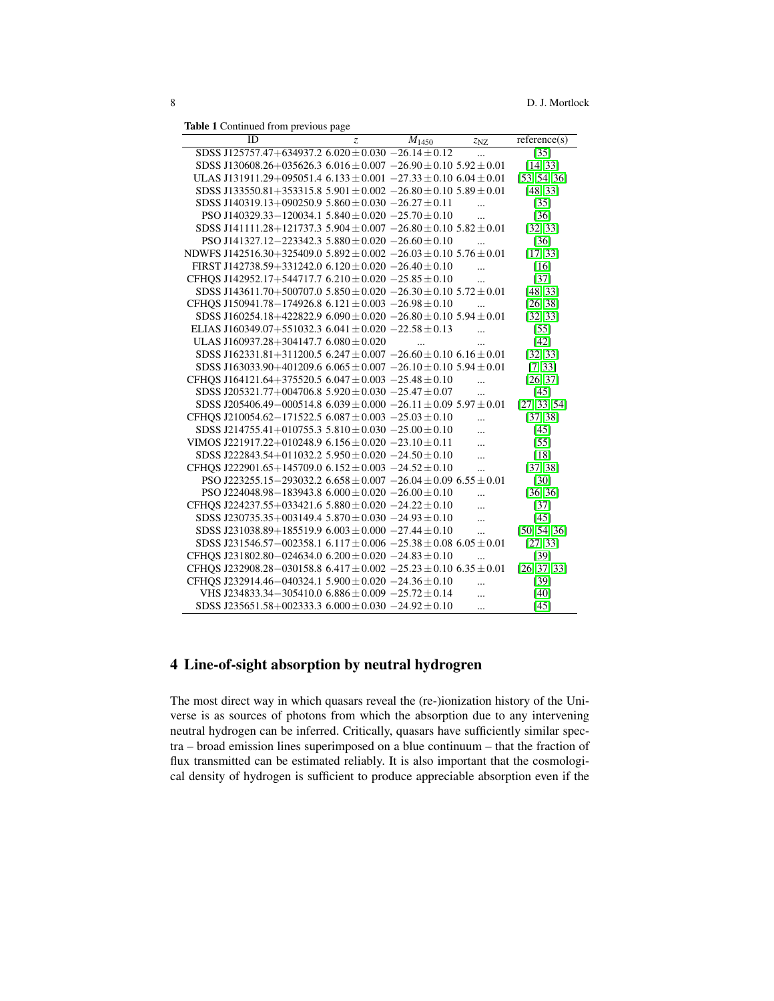Table 1 Continued from previous page

| ID                                                                            | Z | $M_{1450}$ | z <sub>NZ</sub> | reference(s)    |
|-------------------------------------------------------------------------------|---|------------|-----------------|-----------------|
| SDSS J125757.47+634937.2 $6.020 \pm 0.030 -26.14 \pm 0.12$                    |   |            |                 | $\overline{35}$ |
| SDSS J130608.26+035626.3 6.016 $\pm$ 0.007 -26.90 $\pm$ 0.10 5.92 $\pm$ 0.01  |   |            |                 | [14, 33]        |
| ULAS J131911.29+095051.4 $6.133 \pm 0.001 -27.33 \pm 0.10$ $6.04 \pm 0.01$    |   |            |                 | [53, 54, 36]    |
| SDSS J133550.81+353315.8 5.901 $\pm$ 0.002 -26.80 $\pm$ 0.10 5.89 $\pm$ 0.01  |   |            |                 | [48, 33]        |
| SDSS J140319.13+090250.9 5.860 ± 0.030 -26.27 ± 0.11                          |   |            |                 | $[35]$          |
| PSO J140329.33-120034.1 $5.840 \pm 0.020 -25.70 \pm 0.10$                     |   |            |                 | $[36]$          |
| SDSS J141111.28+121737.3 5.904 $\pm$ 0.007 -26.80 $\pm$ 0.10 5.82 $\pm$ 0.01  |   |            |                 | [32, 33]        |
| PSO J141327.12-223342.3 $5.880 \pm 0.020 - 26.60 \pm 0.10$                    |   |            |                 | $[36]$          |
| NDWFS J142516.30+325409.0 5.892 $\pm$ 0.002 -26.03 $\pm$ 0.10 5.76 $\pm$ 0.01 |   |            |                 | [17, 33]        |
| FIRST J142738.59+331242.0 $6.120 \pm 0.020 -26.40 \pm 0.10$                   |   |            | $\ddotsc$       | [16]            |
| CFHOS J142952.17+544717.7 $6.210 \pm 0.020 -25.85 \pm 0.10$                   |   |            |                 | $[37]$          |
| SDSS J143611.70+500707.0 5.850 $\pm$ 0.020 -26.30 $\pm$ 0.10 5.72 $\pm$ 0.01  |   |            |                 | [48, 33]        |
| CFHOS J150941.78-174926.8 6.121 $\pm$ 0.003 -26.98 $\pm$ 0.10                 |   |            |                 | [26, 38]        |
| SDSS J160254.18+422822.9 $6.090 \pm 0.020 -26.80 \pm 0.10$ 5.94 $\pm 0.01$    |   |            |                 | [32, 33]        |
| ELIAS J160349.07+551032.3 6.041 ± 0.020 -22.58 ± 0.13                         |   |            |                 | [55]            |
| ULAS J160937.28+304147.7 $6.080 \pm 0.020$                                    |   |            |                 | [42]            |
| SDSS J162331.81+311200.5 6.247 $\pm$ 0.007 -26.60 $\pm$ 0.10 6.16 $\pm$ 0.01  |   |            |                 | [32, 33]        |
| SDSS J163033.90+401209.6 6.065 $\pm$ 0.007 -26.10 $\pm$ 0.10 5.94 $\pm$ 0.01  |   |            |                 | [7, 33]         |
| CFHQS J164121.64+375520.5 6.047 $\pm$ 0.003 -25.48 $\pm$ 0.10                 |   |            | $\ddotsc$       | [26, 37]        |
| SDSS J205321.77+004706.8 5.920 $\pm$ 0.030 -25.47 $\pm$ 0.07                  |   |            | $\ddotsc$       | [45]            |
| SDSS J205406.49-000514.8 6.039 $\pm$ 0.000 -26.11 $\pm$ 0.09 5.97 $\pm$ 0.01  |   |            |                 | [27, 33, 54]    |
| CFHOS J210054.62-171522.5 6.087 $\pm$ 0.003 -25.03 $\pm$ 0.10                 |   |            | .               | [37, 38]        |
| SDSS J214755.41+010755.3 5.810 $\pm$ 0.030 $-25.00 \pm 0.10$                  |   |            |                 | [45]            |
| VIMOS J221917.22+010248.9 6.156 ± 0.020 -23.10 ± 0.11                         |   |            |                 | [55]            |
| SDSS J222843.54+011032.2 5.950 $\pm$ 0.020 -24.50 $\pm$ 0.10                  |   |            |                 | [18]            |
| CFHQS J222901.65+145709.0 6.152 $\pm$ 0.003 -24.52 $\pm$ 0.10                 |   |            | $\ddotsc$       | [37, 38]        |
| PSO J223255.15-293032.2 $6.658 \pm 0.007 -26.04 \pm 0.09$ $6.55 \pm 0.01$     |   |            |                 | $[30]$          |
| PSO J224048.98-183943.8 $6.000 \pm 0.020 -26.00 \pm 0.10$                     |   |            |                 | [36, 36]        |
| CFHOS J224237.55+033421.6 $5.880 \pm 0.020 -24.22 \pm 0.10$                   |   |            | $\ddotsc$       | $[37]$          |
| SDSS J230735.35+003149.4 5.870 $\pm$ 0.030 $-24.93 \pm 0.10$                  |   |            | $\ddotsc$       | [45]            |
| SDSS J231038.89+185519.9 $6.003 \pm 0.000 -27.44 \pm 0.10$                    |   |            | $\ddotsc$       | [50, 54, 36]    |
| SDSS J231546.57-002358.1 $6.117 \pm 0.006 -25.38 \pm 0.08$ $6.05 \pm 0.01$    |   |            |                 | [27, 33]        |
| CFHQS J231802.80-024634.0 $6.200 \pm 0.020 -24.83 \pm 0.10$                   |   |            | $\ddotsc$       | $[39]$          |
| CFHOS J232908.28-030158.8 6.417 $\pm$ 0.002 -25.23 $\pm$ 0.10 6.35 $\pm$ 0.01 |   |            |                 | [26, 37, 33]    |
| CFHOS J232914.46-040324.1 5.900 $\pm$ 0.020 -24.36 $\pm$ 0.10                 |   |            |                 | $[39]$          |
| VHS J234833.34 - 305410.0 6.886 $\pm$ 0.009 - 25.72 $\pm$ 0.14                |   |            | $\ddotsc$       | $[40]$          |
| SDSS J235651.58+002333.3 $6.000 \pm 0.030 -24.92 \pm 0.10$                    |   |            |                 | $[45]$          |

# <span id="page-7-0"></span>4 Line-of-sight absorption by neutral hydrogren

The most direct way in which quasars reveal the (re-)ionization history of the Universe is as sources of photons from which the absorption due to any intervening neutral hydrogen can be inferred. Critically, quasars have sufficiently similar spectra – broad emission lines superimposed on a blue continuum – that the fraction of flux transmitted can be estimated reliably. It is also important that the cosmological density of hydrogen is sufficient to produce appreciable absorption even if the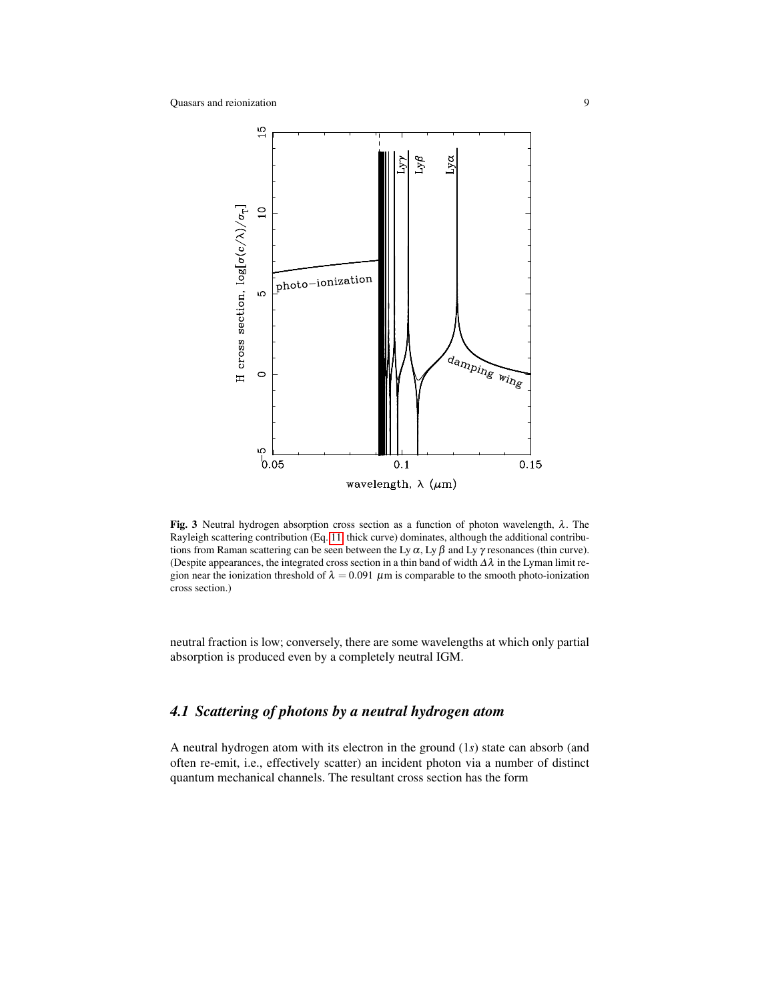

<span id="page-8-1"></span>**Fig. 3** Neutral hydrogen absorption cross section as a function of photon wavelength,  $\lambda$ . The Rayleigh scattering contribution (Eq. [11,](#page-10-0) thick curve) dominates, although the additional contributions from Raman scattering can be seen between the Ly  $\alpha$ , Ly  $\beta$  and Ly  $\gamma$  resonances (thin curve). (Despite appearances, the integrated cross section in a thin band of width  $\Delta \lambda$  in the Lyman limit region near the ionization threshold of  $\lambda = 0.091 \mu m$  is comparable to the smooth photo-ionization cross section.)

neutral fraction is low; conversely, there are some wavelengths at which only partial absorption is produced even by a completely neutral IGM.

# <span id="page-8-0"></span>*4.1 Scattering of photons by a neutral hydrogen atom*

A neutral hydrogen atom with its electron in the ground (1*s*) state can absorb (and often re-emit, i.e., effectively scatter) an incident photon via a number of distinct quantum mechanical channels. The resultant cross section has the form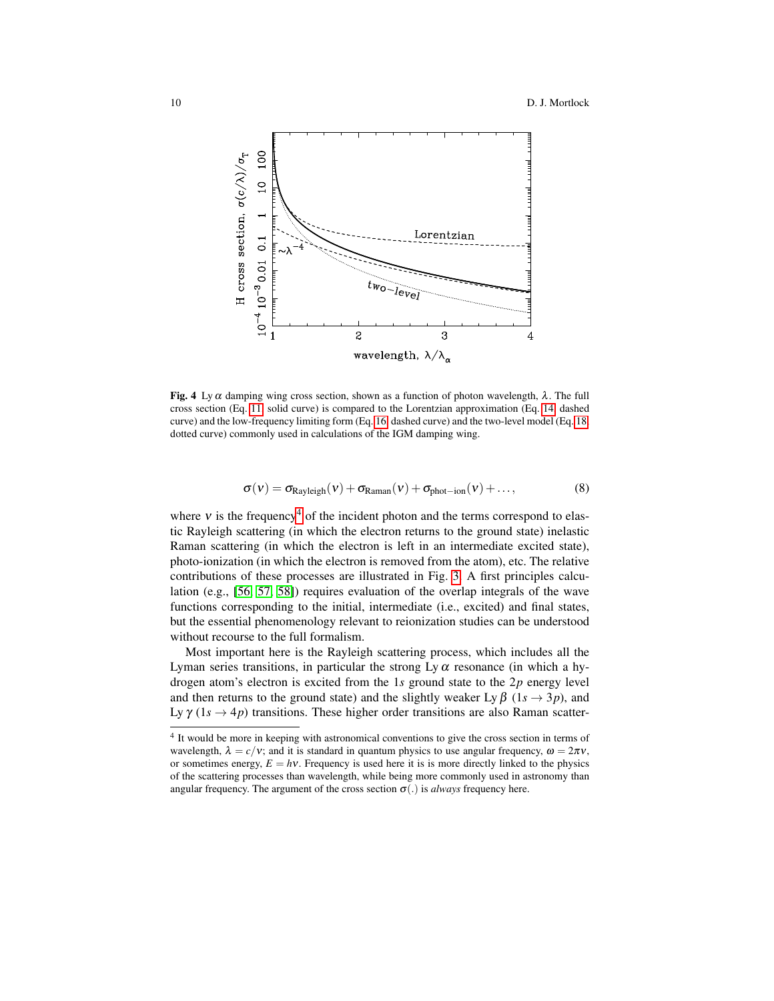

<span id="page-9-1"></span>Fig. 4 Ly  $\alpha$  damping wing cross section, shown as a function of photon wavelength,  $\lambda$ . The full cross section (Eq. [11,](#page-10-0) solid curve) is compared to the Lorentzian approximation (Eq. [14,](#page-11-0) dashed curve) and the low-frequency limiting form (Eq. [16,](#page-12-0) dashed curve) and the two-level model (Eq. [18,](#page-12-1) dotted curve) commonly used in calculations of the IGM damping wing.

$$
\sigma(v) = \sigma_{\text{Rayleigh}}(v) + \sigma_{\text{Raman}}(v) + \sigma_{\text{phot-ion}}(v) + \dots,
$$
\n(8)

where  $v$  is the frequency<sup>[4](#page-9-0)</sup> of the incident photon and the terms correspond to elastic Rayleigh scattering (in which the electron returns to the ground state) inelastic Raman scattering (in which the electron is left in an intermediate excited state), photo-ionization (in which the electron is removed from the atom), etc. The relative contributions of these processes are illustrated in Fig. [3.](#page-8-1) A first principles calculation (e.g., [\[56,](#page-34-12) [57,](#page-34-13) [58\]](#page-34-14)) requires evaluation of the overlap integrals of the wave functions corresponding to the initial, intermediate (i.e., excited) and final states, but the essential phenomenology relevant to reionization studies can be understood without recourse to the full formalism.

Most important here is the Rayleigh scattering process, which includes all the Lyman series transitions, in particular the strong Ly  $\alpha$  resonance (in which a hydrogen atom's electron is excited from the 1*s* ground state to the 2*p* energy level and then returns to the ground state) and the slightly weaker Ly  $\beta$  (1*s*  $\rightarrow$  3*p*), and Ly  $\gamma$  (1s  $\rightarrow$  4p) transitions. These higher order transitions are also Raman scatter-

<span id="page-9-0"></span><sup>&</sup>lt;sup>4</sup> It would be more in keeping with astronomical conventions to give the cross section in terms of wavelength,  $\lambda = c/v$ ; and it is standard in quantum physics to use angular frequency,  $\omega = 2\pi v$ , or sometimes energy,  $E = hv$ . Frequency is used here it is is more directly linked to the physics of the scattering processes than wavelength, while being more commonly used in astronomy than angular frequency. The argument of the cross section  $\sigma(.)$  is *always* frequency here.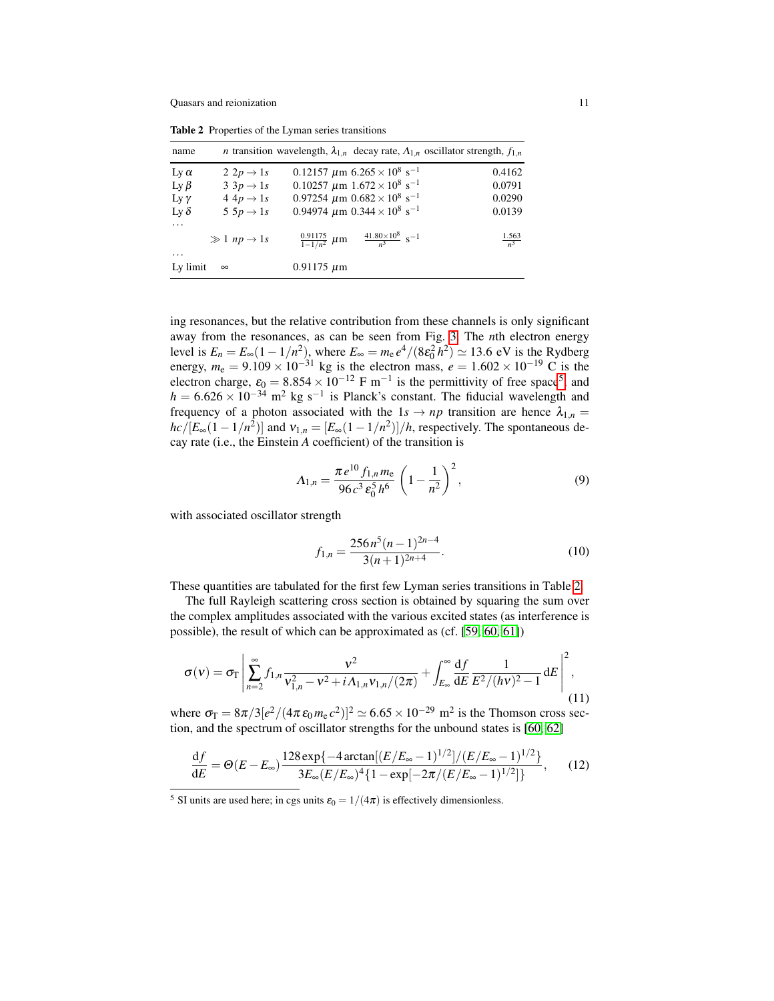<span id="page-10-2"></span>Table 2 Properties of the Lyman series transitions

| name        |                             | <i>n</i> transition wavelength, $\lambda_{1,n}$ decay rate, $\Lambda_{1,n}$ oscillator strength, $f_{1,n}$ |                     |
|-------------|-----------------------------|------------------------------------------------------------------------------------------------------------|---------------------|
| Ly $\alpha$ | $2 2p \rightarrow 1s$       | 0.12157 $\mu$ m 6.265 $\times$ 10 <sup>8</sup> s <sup>-1</sup>                                             | 0.4162              |
| Ly $\beta$  | $3 \cdot 3p \rightarrow 1s$ | $0.10257 \ \mu m \ 1.672 \times 10^8 \ \text{s}^{-1}$                                                      | 0.0791              |
| Ly $\gamma$ | $4 4p \rightarrow 1s$       | 0.97254 $\mu$ m 0.682 $\times$ 10 <sup>8</sup> s <sup>-1</sup>                                             | 0.0290              |
| Ly $\delta$ | $5 5p \rightarrow 1s$       | 0.94974 $\mu$ m 0.344 $\times$ 10 <sup>8</sup> s <sup>-1</sup>                                             | 0.0139              |
| $\cdots$    |                             |                                                                                                            |                     |
|             | $\gg 1$ np $\rightarrow 1s$ | $\frac{41.80\times10^8}{n^3}$ s <sup>-1</sup><br>$\frac{0.91175}{1-1/n^2}$ µm                              | $\frac{1.563}{n^3}$ |
| $\cdots$    |                             |                                                                                                            |                     |
| Ly limit    | $\infty$                    | $0.91175 \mu m$                                                                                            |                     |

ing resonances, but the relative contribution from these channels is only significant away from the resonances, as can be seen from Fig. [3.](#page-8-1) The *n*th electron energy level is  $E_n = E_\infty (1 - 1/n^2)$ , where  $E_\infty = m_e e^4 / (8\varepsilon_0^2 h^2) \simeq 13.6$  eV is the Rydberg energy,  $m_e = 9.109 \times 10^{-31}$  kg is the electron mass,  $e = 1.602 \times 10^{-19}$  C is the electron charge,  $\varepsilon_0 = 8.854 \times 10^{-12}$  $\varepsilon_0 = 8.854 \times 10^{-12}$  $\varepsilon_0 = 8.854 \times 10^{-12}$  F m<sup>-1</sup> is the permittivity of free space<sup>5</sup>, and  $h = 6.626 \times 10^{-34}$  m<sup>2</sup> kg s<sup>-1</sup> is Planck's constant. The fiducial wavelength and frequency of a photon associated with the  $1s \rightarrow np$  transition are hence  $\lambda_{1,n} =$  $hc/[E_{\infty}(1-1/n^2)]$  and  $v_{1,n} = [E_{\infty}(1-1/n^2)]/h$ , respectively. The spontaneous decay rate (i.e., the Einstein *A* coefficient) of the transition is

$$
\Lambda_{1,n} = \frac{\pi e^{10} f_{1,n} m_e}{96 c^3 \epsilon_0^5 h^6} \left(1 - \frac{1}{n^2}\right)^2, \tag{9}
$$

with associated oscillator strength

$$
f_{1,n} = \frac{256 n^5 (n-1)^{2n-4}}{3(n+1)^{2n+4}}.
$$
 (10)

These quantities are tabulated for the first few Lyman series transitions in Table [2.](#page-10-2)

The full Rayleigh scattering cross section is obtained by squaring the sum over the complex amplitudes associated with the various excited states (as interference is possible), the result of which can be approximated as (cf. [\[59,](#page-34-15) [60,](#page-34-16) [61\]](#page-34-17))

<span id="page-10-0"></span>
$$
\sigma(v) = \sigma_{\Gamma} \left| \sum_{n=2}^{\infty} f_{1,n} \frac{v^2}{v_{1,n}^2 - v^2 + i \Lambda_{1,n} v_{1,n} / (2\pi)} + \int_{E_{\infty}}^{\infty} \frac{df}{dE} \frac{1}{E^2 / (h v)^2 - 1} dE \right|^2,
$$
\n(11)

where  $\sigma_{\rm T} = 8\pi/3 [e^2/(4\pi \epsilon_0 m_{\rm e} c^2)]^2 \simeq 6.65 \times 10^{-29}$  m<sup>2</sup> is the Thomson cross section, and the spectrum of oscillator strengths for the unbound states is [\[60,](#page-34-16) [62\]](#page-34-18)

$$
\frac{\mathrm{d}f}{\mathrm{d}E} = \Theta(E - E_{\infty}) \frac{128 \exp\{-4 \arctan\left[\frac{(E/E_{\infty} - 1)^{1/2}}{E_{\infty} - 1}\right]^{1/2}}{3E_{\infty}(E/E_{\infty})^{4} \{1 - \exp\left[-2\pi/(E/E_{\infty} - 1)^{1/2}\right]\}},\tag{12}
$$

<span id="page-10-1"></span><sup>&</sup>lt;sup>5</sup> SI units are used here; in cgs units  $\varepsilon_0 = 1/(4\pi)$  is effectively dimensionless.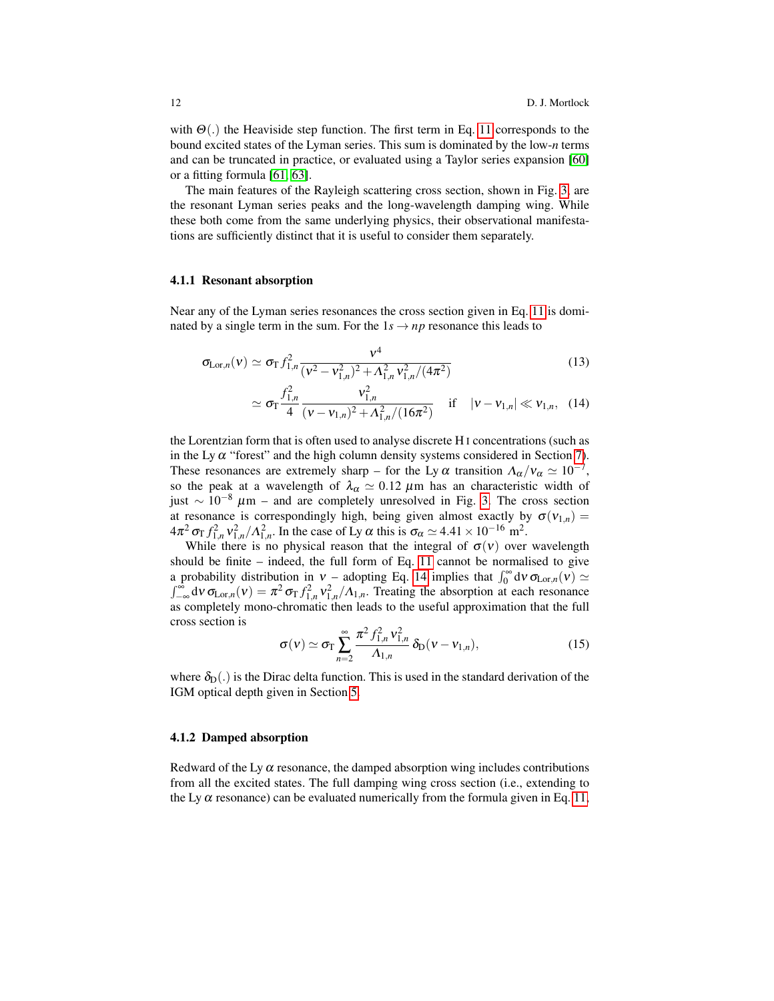with  $\Theta(.)$  the Heaviside step function. The first term in Eq. [11](#page-10-0) corresponds to the bound excited states of the Lyman series. This sum is dominated by the low-*n* terms and can be truncated in practice, or evaluated using a Taylor series expansion [\[60\]](#page-34-16) or a fitting formula [\[61,](#page-34-17) [63\]](#page-34-19).

The main features of the Rayleigh scattering cross section, shown in Fig. [3,](#page-8-1) are the resonant Lyman series peaks and the long-wavelength damping wing. While these both come from the same underlying physics, their observational manifestations are sufficiently distinct that it is useful to consider them separately.

### 4.1.1 Resonant absorption

Near any of the Lyman series resonances the cross section given in Eq. [11](#page-10-0) is dominated by a single term in the sum. For the  $1s \rightarrow np$  resonance this leads to

<span id="page-11-0"></span>
$$
\sigma_{\text{Lor},n}(v) \simeq \sigma_{\text{T}} f_{1,n}^2 \frac{v^4}{(v^2 - v_{1,n}^2)^2 + \Lambda_{1,n}^2 v_{1,n}^2/(4\pi^2)}
$$
(13)

$$
\simeq \sigma_{\rm T} \frac{f_{1,n}^2}{4} \frac{v_{1,n}^2}{(\nu - \nu_{1,n})^2 + \Lambda_{1,n}^2/(16\pi^2)} \quad \text{if} \quad |\nu - \nu_{1,n}| \ll \nu_{1,n}, \quad (14)
$$

the Lorentzian form that is often used to analyse discrete H I concentrations (such as in the Ly  $\alpha$  "forest" and the high column density systems considered in Section [7\)](#page-24-0). These resonances are extremely sharp – for the Ly  $\alpha$  transition  $\Lambda_{\alpha}/v_{\alpha} \simeq 10^{-7}$ , so the peak at a wavelength of  $\lambda_{\alpha} \simeq 0.12 \ \mu \text{m}$  has an characteristic width of just ∼ 10−<sup>8</sup> µm – and are completely unresolved in Fig. [3.](#page-8-1) The cross section at resonance is correspondingly high, being given almost exactly by  $\sigma(v_{1,n}) =$  $4\pi^2 \sigma_T f_{1,n}^2 v_{1,n}^2 / \Lambda_{1,n}^2$ . In the case of Ly  $\alpha$  this is  $\sigma_\alpha \simeq 4.41 \times 10^{-16}$  m<sup>2</sup>.

While there is no physical reason that the integral of  $\sigma(v)$  over wavelength should be finite – indeed, the full form of Eq. [11](#page-10-0) cannot be normalised to give a probability distribution in  $v -$  adopting Eq. [14](#page-11-0) implies that  $\int_0^\infty d v \sigma_{\text{Lor},n}(v) \simeq$  $\int_{-\infty}^{\infty} d\nu \sigma_{\text{Lor},n}(\nu) = \pi^2 \sigma_{\text{T}} f_{1,n}^2 v_{1,n}^2 / \Lambda_{1,n}$ . Treating the absorption at each resonance as completely mono-chromatic then leads to the useful approximation that the full cross section is

<span id="page-11-1"></span>
$$
\sigma(v) \simeq \sigma_{\Gamma} \sum_{n=2}^{\infty} \frac{\pi^2 f_{1,n}^2 v_{1,n}^2}{\Lambda_{1,n}} \, \delta_{\rm D}(v - v_{1,n}), \tag{15}
$$

where  $\delta_D(.)$  is the Dirac delta function. This is used in the standard derivation of the IGM optical depth given in Section [5.](#page-14-0)

### 4.1.2 Damped absorption

Redward of the Ly  $\alpha$  resonance, the damped absorption wing includes contributions from all the excited states. The full damping wing cross section (i.e., extending to the Ly  $\alpha$  resonance) can be evaluated numerically from the formula given in Eq. [11,](#page-10-0)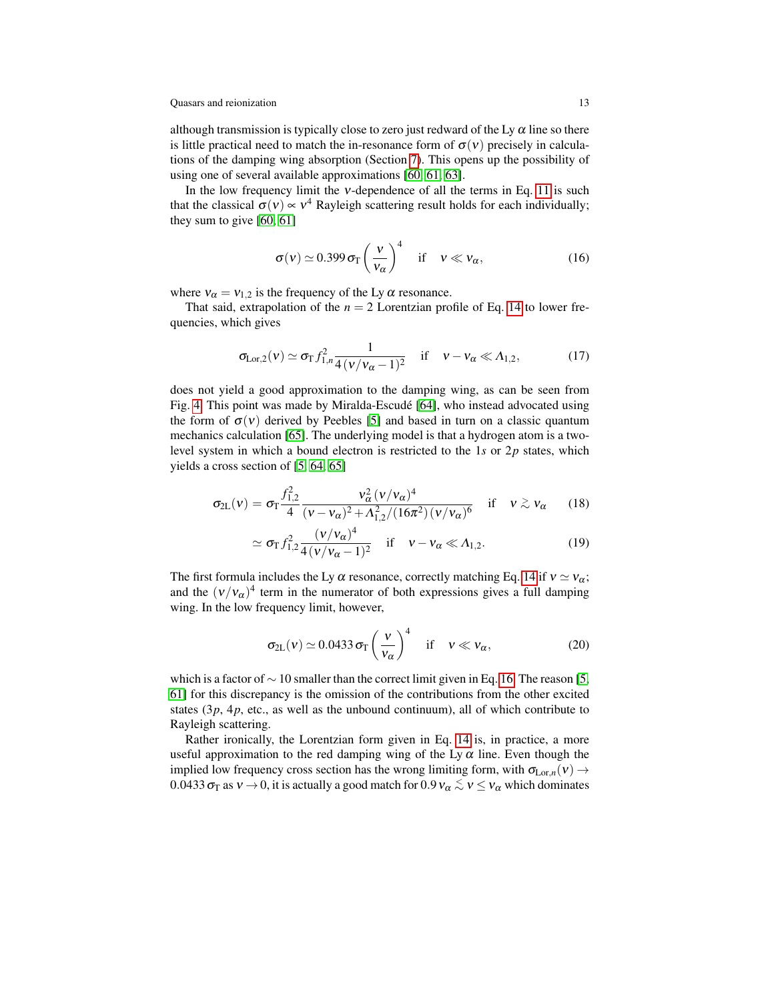although transmission is typically close to zero just redward of the Ly  $\alpha$  line so there is little practical need to match the in-resonance form of  $\sigma(v)$  precisely in calculations of the damping wing absorption (Section [7\)](#page-24-0). This opens up the possibility of using one of several available approximations [\[60,](#page-34-16) [61,](#page-34-17) [63\]](#page-34-19).

In the low frequency limit the  $v$ -dependence of all the terms in Eq. [11](#page-10-0) is such that the classical  $\sigma(v) \propto v^4$  Rayleigh scattering result holds for each individually; they sum to give  $[60, 61]$  $[60, 61]$ 

<span id="page-12-0"></span>
$$
\sigma(v) \simeq 0.399 \,\sigma_{\rm T} \left(\frac{v}{v_{\alpha}}\right)^4 \quad \text{if} \quad v \ll v_{\alpha},\tag{16}
$$

where  $v_{\alpha} = v_{1,2}$  is the frequency of the Ly  $\alpha$  resonance.

That said, extrapolation of the  $n = 2$  Lorentzian profile of Eq. [14](#page-11-0) to lower frequencies, which gives

$$
\sigma_{\text{Lor},2}(\nu) \simeq \sigma_{\text{T}} f_{1,n}^2 \frac{1}{4(\nu/\nu_\alpha - 1)^2} \quad \text{if} \quad \nu - \nu_\alpha \ll \Lambda_{1,2}, \tag{17}
$$

does not yield a good approximation to the damping wing, as can be seen from Fig. [4.](#page-9-1) This point was made by Miralda-Escude [\[64\]](#page-34-20), who instead advocated using ´ the form of  $\sigma(v)$  derived by Peebles [\[5\]](#page-32-8) and based in turn on a classic quantum mechanics calculation [\[65\]](#page-34-21). The underlying model is that a hydrogen atom is a twolevel system in which a bound electron is restricted to the 1*s* or 2*p* states, which yields a cross section of [\[5,](#page-32-8) [64,](#page-34-20) [65\]](#page-34-21)

<span id="page-12-1"></span>
$$
\sigma_{2L}(v) = \sigma_{T} \frac{f_{1,2}^{2}}{4} \frac{v_{\alpha}^{2} (v/v_{\alpha})^{4}}{(v-v_{\alpha})^{2} + \Lambda_{1,2}^{2}/(16\pi^{2}) (v/v_{\alpha})^{6}} \quad \text{if} \quad v \gtrsim v_{\alpha} \qquad (18)
$$

$$
\simeq \sigma_{\rm T} f_{1,2}^2 \frac{(v/v_{\alpha})^4}{4(v/v_{\alpha}-1)^2} \quad \text{if} \quad v - v_{\alpha} \ll \Lambda_{1,2}.
$$
 (19)

The first formula includes the Ly  $\alpha$  resonance, correctly matching Eq. [14](#page-11-0) if  $v \simeq v_{\alpha}$ ; and the  $(v/v_\alpha)^4$  term in the numerator of both expressions gives a full damping wing. In the low frequency limit, however,

$$
\sigma_{2L}(v) \simeq 0.0433 \sigma_{T} \left(\frac{v}{v_{\alpha}}\right)^{4} \quad \text{if} \quad v \ll v_{\alpha}, \tag{20}
$$

which is a factor of  $\sim$  10 smaller than the correct limit given in Eq. [16.](#page-12-0) The reason [\[5,](#page-32-8) [61\]](#page-34-17) for this discrepancy is the omission of the contributions from the other excited states  $(3p, 4p,$  etc., as well as the unbound continuum), all of which contribute to Rayleigh scattering.

Rather ironically, the Lorentzian form given in Eq. [14](#page-11-0) is, in practice, a more useful approximation to the red damping wing of the Ly  $\alpha$  line. Even though the implied low frequency cross section has the wrong limiting form, with  $\sigma_{\text{Lor},n}(v) \rightarrow$ 0.0433  $\sigma_{\Gamma}$  as  $v \to 0$ , it is actually a good match for 0.9  $v_{\alpha} \lesssim v \leq v_{\alpha}$  which dominates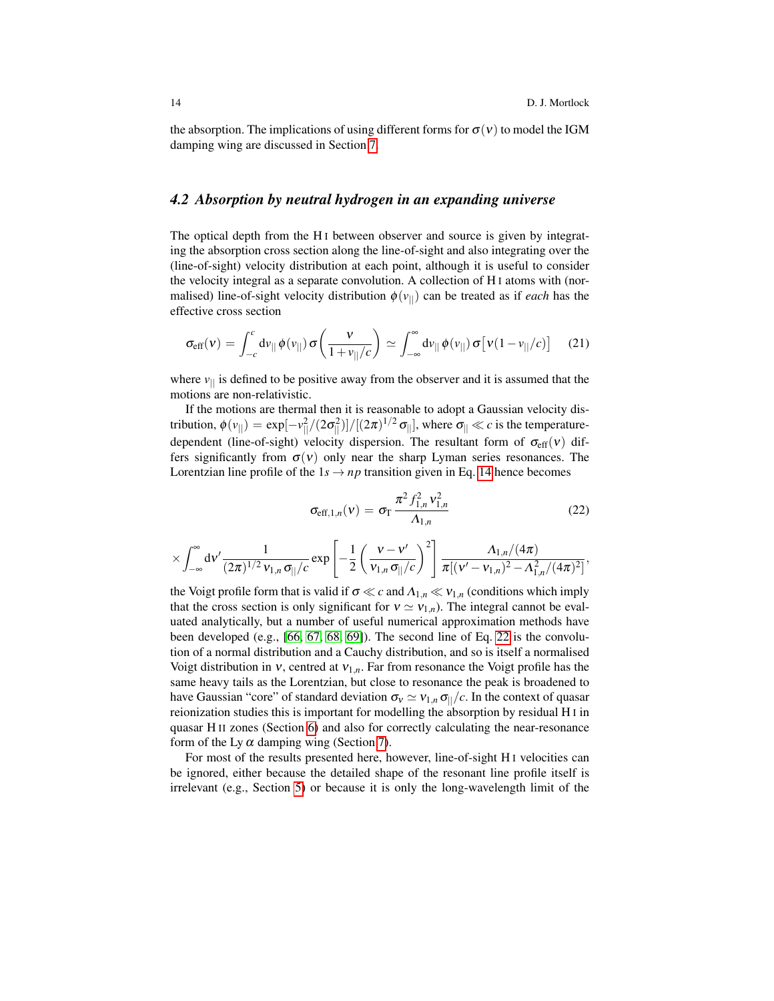the absorption. The implications of using different forms for  $\sigma(v)$  to model the IGM damping wing are discussed in Section [7.](#page-24-0)

### <span id="page-13-0"></span>*4.2 Absorption by neutral hydrogen in an expanding universe*

The optical depth from the H<sub>I</sub> between observer and source is given by integrating the absorption cross section along the line-of-sight and also integrating over the (line-of-sight) velocity distribution at each point, although it is useful to consider the velocity integral as a separate convolution. A collection of H I atoms with (normalised) line-of-sight velocity distribution  $\phi(v_{\parallel})$  can be treated as if *each* has the effective cross section

<span id="page-13-2"></span>
$$
\sigma_{\text{eff}}(\mathbf{v}) = \int_{-c}^{c} d\mathbf{v}_{||} \phi(\mathbf{v}_{||}) \sigma\left(\frac{\mathbf{v}}{1 + \mathbf{v}_{||}/c}\right) \simeq \int_{-\infty}^{\infty} d\mathbf{v}_{||} \phi(\mathbf{v}_{||}) \sigma\left[\mathbf{v}(1 - \mathbf{v}_{||}/c)\right] \tag{21}
$$

where  $v_{\parallel}$  is defined to be positive away from the observer and it is assumed that the motions are non-relativistic.

If the motions are thermal then it is reasonable to adopt a Gaussian velocity distribution,  $\phi(v_{||}) = \exp[-v_{||}^2/(2\sigma_{||}^2)]/[(2\pi)^{1/2} \sigma_{||}]$ , where  $\sigma_{||} \ll c$  is the temperaturedependent (line-of-sight) velocity dispersion. The resultant form of  $\sigma_{\text{eff}}(v)$  differs significantly from  $\sigma(v)$  only near the sharp Lyman series resonances. The Lorentzian line profile of the  $1s \rightarrow np$  transition given in Eq. [14](#page-11-0) hence becomes

<span id="page-13-1"></span>
$$
\sigma_{\text{eff},1,n}(v) = \sigma_{\text{T}} \frac{\pi^2 f_{1,n}^2 v_{1,n}^2}{\Lambda_{1,n}}
$$
 (22)

$$
\times \int_{-\infty}^{\infty} d\nu' \frac{1}{(2\pi)^{1/2} \nu_{1,n} \sigma_{||}/c} exp\left[-\frac{1}{2}\left(\frac{\nu - \nu'}{\nu_{1,n} \sigma_{||}/c}\right)^2\right] \frac{\Lambda_{1,n}/(4\pi)}{\pi[(\nu' - \nu_{1,n})^2 - \Lambda_{1,n}^2/(4\pi)^2]},
$$

the Voigt profile form that is valid if  $\sigma \ll c$  and  $\Lambda_{1,n} \ll v_{1,n}$  (conditions which imply that the cross section is only significant for  $v \simeq v_{1,n}$ ). The integral cannot be evaluated analytically, but a number of useful numerical approximation methods have been developed (e.g., [\[66,](#page-34-22) [67,](#page-34-23) [68,](#page-34-24) [69\]](#page-34-25)). The second line of Eq. [22](#page-13-1) is the convolution of a normal distribution and a Cauchy distribution, and so is itself a normalised Voigt distribution in  $v$ , centred at  $v_{1,n}$ . Far from resonance the Voigt profile has the same heavy tails as the Lorentzian, but close to resonance the peak is broadened to have Gaussian "core" of standard deviation  $\sigma_v \simeq v_{1,n} \sigma_{||}/c$ . In the context of quasar reionization studies this is important for modelling the absorption by residual H I in quasar H II zones (Section [6\)](#page-19-0) and also for correctly calculating the near-resonance form of the Ly  $\alpha$  damping wing (Section [7\)](#page-24-0).

For most of the results presented here, however, line-of-sight H I velocities can be ignored, either because the detailed shape of the resonant line profile itself is irrelevant (e.g., Section [5\)](#page-14-0) or because it is only the long-wavelength limit of the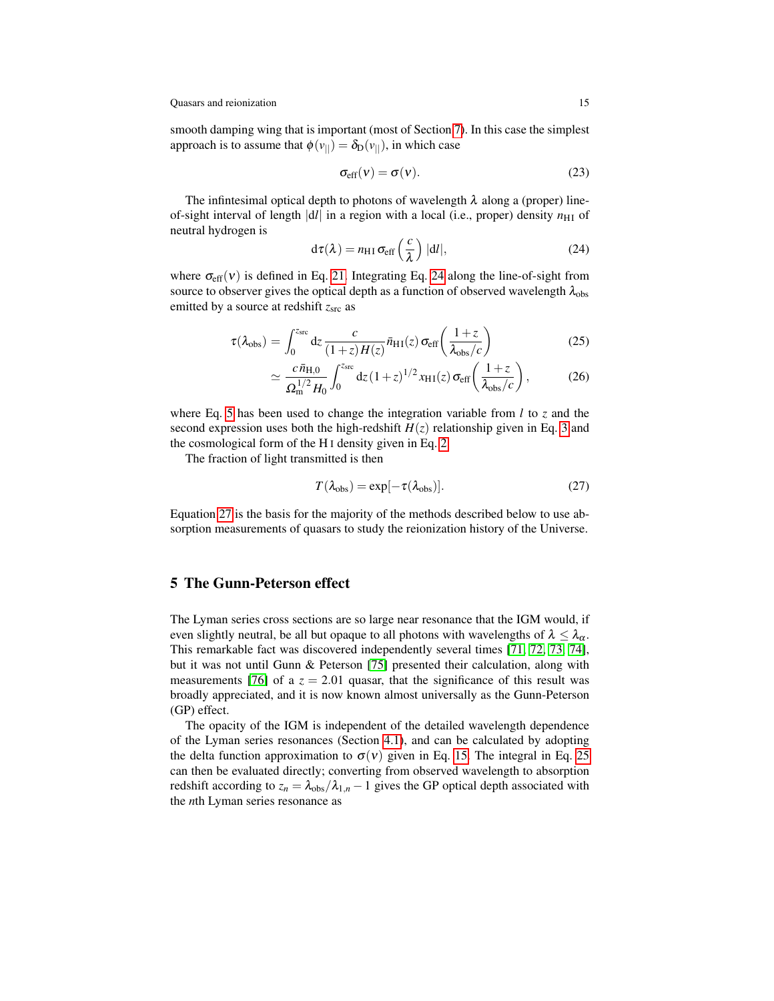smooth damping wing that is important (most of Section [7\)](#page-24-0). In this case the simplest approach is to assume that  $\phi(v_{||}) = \delta_D(v_{||})$ , in which case

$$
\sigma_{\rm eff}(\nu) = \sigma(\nu). \tag{23}
$$

The infintesimal optical depth to photons of wavelength  $\lambda$  along a (proper) lineof-sight interval of length  $|d\ell|$  in a region with a local (i.e., proper) density  $n_{\text{H I}}$  of neutral hydrogen is

<span id="page-14-1"></span>
$$
d\tau(\lambda) = n_{\rm HI} \sigma_{\rm eff} \left(\frac{c}{\lambda}\right) |dl|, \qquad (24)
$$

where  $\sigma_{\text{eff}}(v)$  is defined in Eq. [21.](#page-13-2) Integrating Eq. [24](#page-14-1) along the line-of-sight from source to observer gives the optical depth as a function of observed wavelength  $\lambda_{obs}$ emitted by a source at redshift  $z<sub>src</sub>$  as

<span id="page-14-3"></span>
$$
\tau(\lambda_{\rm obs}) = \int_0^{z_{\rm src}} dz \frac{c}{(1+z)H(z)} \bar{n}_{\rm HI}(z) \,\sigma_{\rm eff}\left(\frac{1+z}{\lambda_{\rm obs}/c}\right) \tag{25}
$$

$$
\simeq \frac{c\,\bar{n}_{\rm H,0}}{\Omega_{\rm m}^{1/2}H_0} \int_0^{z_{\rm src}} dz \,(1+z)^{1/2} x_{\rm H\,I}(z) \,\sigma_{\rm eff} \bigg(\frac{1+z}{\lambda_{\rm obs}/c}\bigg),\tag{26}
$$

where Eq. [5](#page-2-1) has been used to change the integration variable from *l* to *z* and the second expression uses both the high-redshift  $H(z)$  relationship given in Eq. [3](#page-2-2) and the cosmological form of the H I density given in Eq. [2.](#page-2-3)

The fraction of light transmitted is then

<span id="page-14-2"></span>
$$
T(\lambda_{\rm obs}) = \exp[-\tau(\lambda_{\rm obs})]. \tag{27}
$$

Equation [27](#page-14-2) is the basis for the majority of the methods described below to use absorption measurements of quasars to study the reionization history of the Universe.

# <span id="page-14-0"></span>5 The Gunn-Peterson effect

The Lyman series cross sections are so large near resonance that the IGM would, if even slightly neutral, be all but opaque to all photons with wavelengths of  $\lambda \leq \lambda_{\alpha}$ . This remarkable fact was discovered independently several times [\[71,](#page-34-26) [72,](#page-35-0) [73,](#page-35-1) [74\]](#page-35-2), but it was not until Gunn & Peterson [\[75\]](#page-35-3) presented their calculation, along with measurements [\[76\]](#page-35-4) of a  $z = 2.01$  quasar, that the significance of this result was broadly appreciated, and it is now known almost universally as the Gunn-Peterson (GP) effect.

The opacity of the IGM is independent of the detailed wavelength dependence of the Lyman series resonances (Section [4.1\)](#page-8-0), and can be calculated by adopting the delta function approximation to  $\sigma(v)$  given in Eq. [15.](#page-11-1) The integral in Eq. [25](#page-14-3) can then be evaluated directly; converting from observed wavelength to absorption redshift according to  $z_n = \lambda_{obs}/\lambda_{1,n} - 1$  gives the GP optical depth associated with the *n*th Lyman series resonance as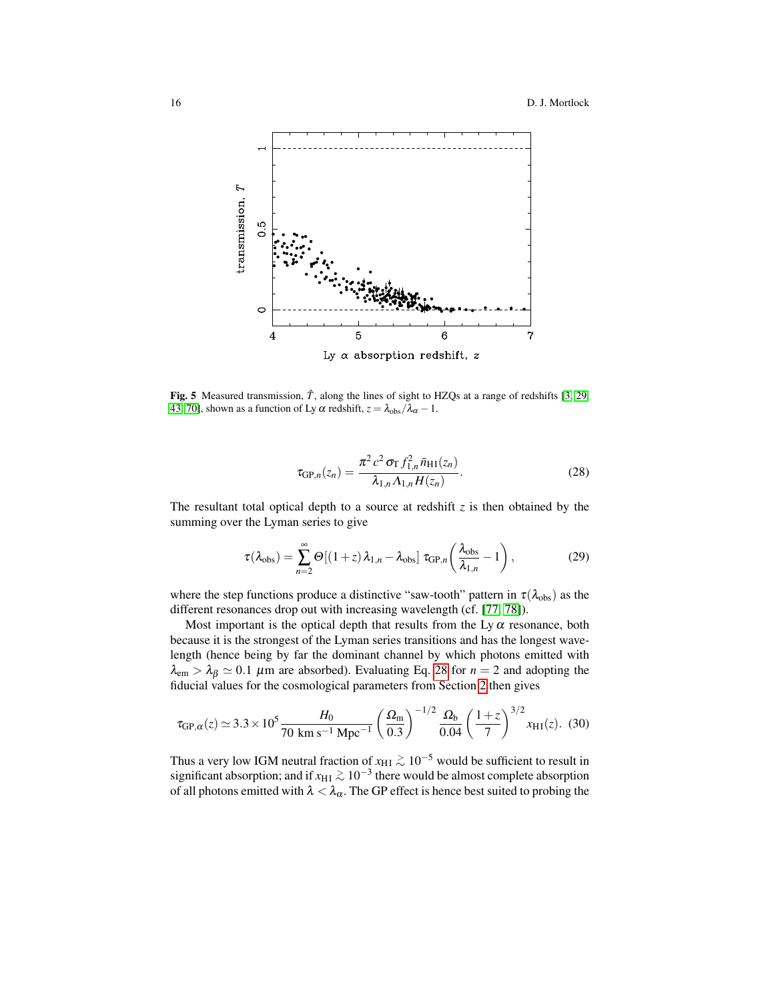

<span id="page-15-1"></span>Fig. 5 Measured transmission,  $\hat{T}$ , along the lines of sight to HZQs at a range of redshifts [\[3,](#page-32-6) [29,](#page-33-11) [43,](#page-33-25) [70\]](#page-34-27), shown as a function of Ly  $\alpha$  redshift,  $z = \lambda_{obs}/\lambda_{\alpha} - 1$ .

<span id="page-15-0"></span>
$$
\tau_{GP,n}(z_n) = \frac{\pi^2 c^2 \sigma_{\text{T}} f_{1,n}^2 \bar{n}_{\text{H1}}(z_n)}{\lambda_{1,n} \Lambda_{1,n} H(z_n)}.
$$
(28)

The resultant total optical depth to a source at redshift  $z$  is then obtained by the summing over the Lyman series to give

$$
\tau(\lambda_{\text{obs}}) = \sum_{n=2}^{\infty} \Theta[(1+z)\lambda_{1,n} - \lambda_{\text{obs}}] \tau_{\text{GP},n} \left(\frac{\lambda_{\text{obs}}}{\lambda_{1,n}} - 1\right),\tag{29}
$$

where the step functions produce a distinctive "saw-tooth" pattern in  $\tau(\lambda_{obs})$  as the different resonances drop out with increasing wavelength (cf. [\[77,](#page-35-5) [78\]](#page-35-6)).

Most important is the optical depth that results from the Ly  $\alpha$  resonance, both because it is the strongest of the Lyman series transitions and has the longest wavelength (hence being by far the dominant channel by which photons emitted with  $\lambda_{\rm em} > \lambda_{\beta} \simeq 0.1$  µm are absorbed). Evaluating Eq. [28](#page-15-0) for  $n = 2$  and adopting the fiducial values for the cosmological parameters from Section [2](#page-2-0) then gives

$$
\tau_{GP,\alpha}(z) \simeq 3.3 \times 10^5 \frac{H_0}{70 \text{ km s}^{-1} \text{ Mpc}^{-1}} \left(\frac{\Omega_{\text{m}}}{0.3}\right)^{-1/2} \frac{\Omega_{\text{b}}}{0.04} \left(\frac{1+z}{7}\right)^{3/2} x_{\text{H1}}(z). (30)
$$

Thus a very low IGM neutral fraction of  $x_{\text{HI}} \gtrsim 10^{-5}$  would be sufficient to result in significant absorption; and if  $x_{\rm HI} \gtrsim 10^{-3}$  there would be almost complete absorption of all photons emitted with  $\lambda < \lambda_{\alpha}$ . The GP effect is hence best suited to probing the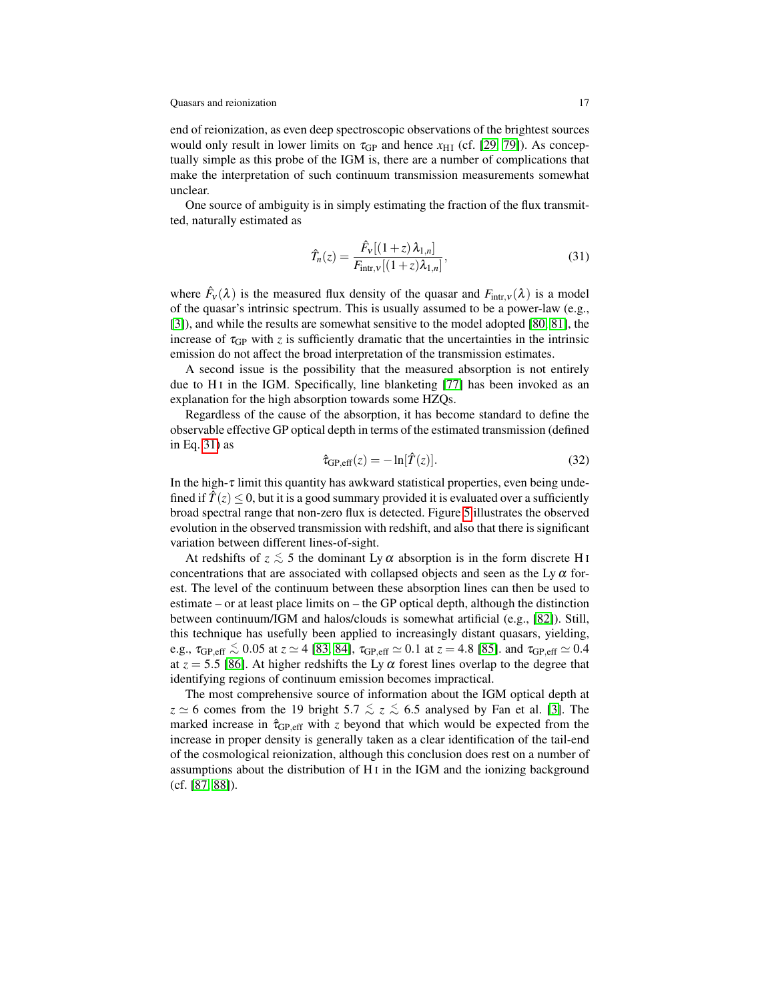end of reionization, as even deep spectroscopic observations of the brightest sources would only result in lower limits on  $\tau_{GP}$  and hence  $x_{HI}$  (cf. [\[29,](#page-33-11) [79\]](#page-35-7)). As conceptually simple as this probe of the IGM is, there are a number of complications that make the interpretation of such continuum transmission measurements somewhat unclear.

One source of ambiguity is in simply estimating the fraction of the flux transmitted, naturally estimated as

<span id="page-16-0"></span>
$$
\hat{T}_n(z) = \frac{\hat{F}_v[(1+z)\,\lambda_{1,n}]}{F_{\text{intr},v}[(1+z)\lambda_{1,n}]},\tag{31}
$$

where  $\hat{F}_v(\lambda)$  is the measured flux density of the quasar and  $F_{\text{intr},v}(\lambda)$  is a model of the quasar's intrinsic spectrum. This is usually assumed to be a power-law (e.g., [\[3\]](#page-32-6)), and while the results are somewhat sensitive to the model adopted [\[80,](#page-35-8) [81\]](#page-35-9), the increase of  $\tau_{GP}$  with *z* is sufficiently dramatic that the uncertainties in the intrinsic emission do not affect the broad interpretation of the transmission estimates.

A second issue is the possibility that the measured absorption is not entirely due to  $H I$  in the IGM. Specifically, line blanketing [\[77\]](#page-35-5) has been invoked as an explanation for the high absorption towards some HZQs.

Regardless of the cause of the absorption, it has become standard to define the observable effective GP optical depth in terms of the estimated transmission (defined in Eq. [31\)](#page-16-0) as

$$
\hat{\tau}_{GP,eff}(z) = -\ln[\hat{T}(z)].\tag{32}
$$

In the high- $\tau$  limit this quantity has awkward statistical properties, even being undefined if  $\hat{T}(z) \leq 0$ , but it is a good summary provided it is evaluated over a sufficiently broad spectral range that non-zero flux is detected. Figure [5](#page-15-1) illustrates the observed evolution in the observed transmission with redshift, and also that there is significant variation between different lines-of-sight.

At redshifts of  $z \lesssim 5$  the dominant Ly  $\alpha$  absorption is in the form discrete H<sub>I</sub> concentrations that are associated with collapsed objects and seen as the Ly  $\alpha$  forest. The level of the continuum between these absorption lines can then be used to estimate – or at least place limits on – the GP optical depth, although the distinction between continuum/IGM and halos/clouds is somewhat artificial (e.g., [\[82\]](#page-35-10)). Still, this technique has usefully been applied to increasingly distant quasars, yielding, e.g.,  $\tau_{\text{GP,eff}} \lesssim 0.05$  at  $z \simeq 4$  [\[83,](#page-35-11) [84\]](#page-35-12),  $\tau_{\text{GP,eff}} \simeq 0.1$  at  $z = 4.8$  [\[85\]](#page-35-13). and  $\tau_{\text{GP,eff}} \simeq 0.4$ at  $z = 5.5$  [\[86\]](#page-35-14). At higher redshifts the Ly  $\alpha$  forest lines overlap to the degree that identifying regions of continuum emission becomes impractical.

The most comprehensive source of information about the IGM optical depth at  $z \approx 6$  comes from the 19 bright 5.7  $\le z \le 6.5$  analysed by Fan et al. [\[3\]](#page-32-6). The marked increase in  $\hat{\tau}_{GP,eff}$  with *z* beyond that which would be expected from the increase in proper density is generally taken as a clear identification of the tail-end of the cosmological reionization, although this conclusion does rest on a number of assumptions about the distribution of H I in the IGM and the ionizing background (cf. [\[87,](#page-35-15) [88\]](#page-35-16)).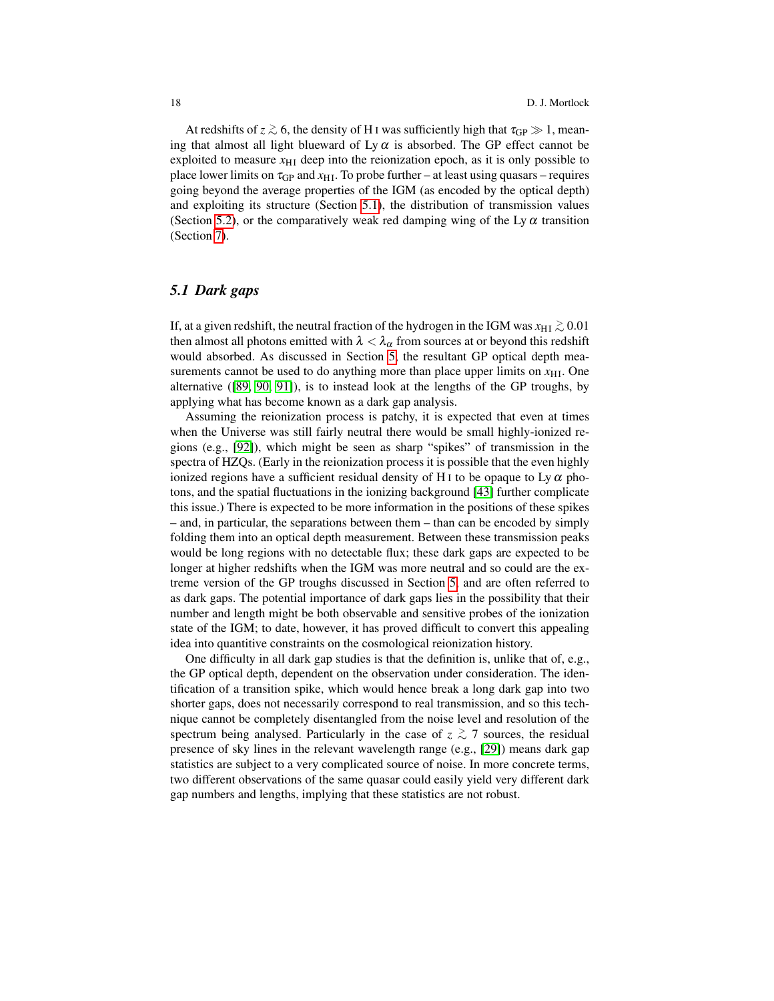At redshifts of  $z \gtrsim 6$ , the density of H I was sufficiently high that  $\tau_{\text{GP}} \gg 1$ , meaning that almost all light blueward of Ly  $\alpha$  is absorbed. The GP effect cannot be exploited to measure  $x_{\text{H I}}$  deep into the reionization epoch, as it is only possible to place lower limits on  $\tau_{GP}$  and  $x_{HI}$ . To probe further – at least using quasars – requires going beyond the average properties of the IGM (as encoded by the optical depth) and exploiting its structure (Section [5.1\)](#page-17-0), the distribution of transmission values (Section [5.2\)](#page-18-0), or the comparatively weak red damping wing of the Ly  $\alpha$  transition (Section [7\)](#page-24-0).

# <span id="page-17-0"></span>*5.1 Dark gaps*

If, at a given redshift, the neutral fraction of the hydrogen in the IGM was  $x_{\rm HI} \gtrsim 0.01$ then almost all photons emitted with  $\lambda < \lambda_{\alpha}$  from sources at or beyond this redshift would absorbed. As discussed in Section [5,](#page-14-0) the resultant GP optical depth measurements cannot be used to do anything more than place upper limits on  $x_{\text{H}}$ . One alternative ([\[89,](#page-35-17) [90,](#page-35-18) [91\]](#page-35-19)), is to instead look at the lengths of the GP troughs, by applying what has become known as a dark gap analysis.

Assuming the reionization process is patchy, it is expected that even at times when the Universe was still fairly neutral there would be small highly-ionized regions (e.g., [\[92\]](#page-35-20)), which might be seen as sharp "spikes" of transmission in the spectra of HZQs. (Early in the reionization process it is possible that the even highly ionized regions have a sufficient residual density of H<sub>I</sub> to be opaque to Ly  $\alpha$  photons, and the spatial fluctuations in the ionizing background [\[43\]](#page-33-25) further complicate this issue.) There is expected to be more information in the positions of these spikes – and, in particular, the separations between them – than can be encoded by simply folding them into an optical depth measurement. Between these transmission peaks would be long regions with no detectable flux; these dark gaps are expected to be longer at higher redshifts when the IGM was more neutral and so could are the extreme version of the GP troughs discussed in Section [5,](#page-14-0) and are often referred to as dark gaps. The potential importance of dark gaps lies in the possibility that their number and length might be both observable and sensitive probes of the ionization state of the IGM; to date, however, it has proved difficult to convert this appealing idea into quantitive constraints on the cosmological reionization history.

One difficulty in all dark gap studies is that the definition is, unlike that of, e.g., the GP optical depth, dependent on the observation under consideration. The identification of a transition spike, which would hence break a long dark gap into two shorter gaps, does not necessarily correspond to real transmission, and so this technique cannot be completely disentangled from the noise level and resolution of the spectrum being analysed. Particularly in the case of  $z \stackrel{\text{>}}{\sim} 7$  sources, the residual presence of sky lines in the relevant wavelength range (e.g., [\[29\]](#page-33-11)) means dark gap statistics are subject to a very complicated source of noise. In more concrete terms, two different observations of the same quasar could easily yield very different dark gap numbers and lengths, implying that these statistics are not robust.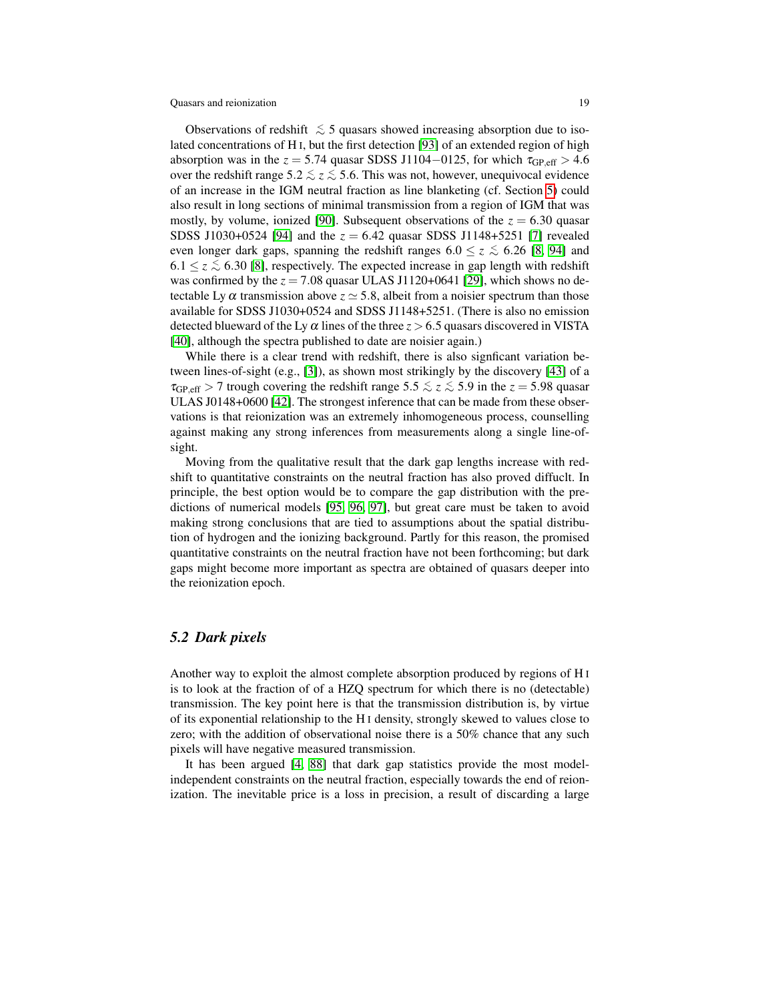Observations of redshift  $\leq 5$  quasars showed increasing absorption due to isolated concentrations of H I, but the first detection [\[93\]](#page-35-21) of an extended region of high absorption was in the  $z = 5.74$  quasar SDSS J1104–0125, for which  $\tau_{GP, eff} > 4.6$ over the redshift range  $5.2 \lesssim z \lesssim 5.6$ . This was not, however, unequivocal evidence of an increase in the IGM neutral fraction as line blanketing (cf. Section [5\)](#page-14-0) could also result in long sections of minimal transmission from a region of IGM that was mostly, by volume, ionized [\[90\]](#page-35-18). Subsequent observations of the  $z = 6.30$  quasar SDSS J1030+0524 [\[94\]](#page-35-22) and the *z* = 6.42 quasar SDSS J1148+5251 [\[7\]](#page-32-0) revealed even longer dark gaps, spanning the redshift ranges  $6.0 \le z \le 6.26$  [\[8,](#page-32-1) [94\]](#page-35-22) and 6.1 ≤  $z$  ≤ 6.30 [\[8\]](#page-32-1), respectively. The expected increase in gap length with redshift was confirmed by the  $z = 7.08$  quasar ULAS J1120+0641 [\[29\]](#page-33-11), which shows no detectable Ly  $\alpha$  transmission above  $z \approx 5.8$ , albeit from a noisier spectrum than those available for SDSS J1030+0524 and SDSS J1148+5251. (There is also no emission detected blueward of the Ly  $\alpha$  lines of the three  $z > 6.5$  quasars discovered in VISTA [\[40\]](#page-33-22), although the spectra published to date are noisier again.)

While there is a clear trend with redshift, there is also signficant variation between lines-of-sight (e.g., [\[3\]](#page-32-6)), as shown most strikingly by the discovery [\[43\]](#page-33-25) of a  $\tau_{GP,eff}$  > 7 trough covering the redshift range 5.5  $\le z \le 5.9$  in the  $z = 5.98$  quasar ULAS J0148+0600 [\[42\]](#page-33-24). The strongest inference that can be made from these observations is that reionization was an extremely inhomogeneous process, counselling against making any strong inferences from measurements along a single line-ofsight.

Moving from the qualitative result that the dark gap lengths increase with redshift to quantitative constraints on the neutral fraction has also proved diffuclt. In principle, the best option would be to compare the gap distribution with the predictions of numerical models [\[95,](#page-35-23) [96,](#page-36-0) [97\]](#page-36-1), but great care must be taken to avoid making strong conclusions that are tied to assumptions about the spatial distribution of hydrogen and the ionizing background. Partly for this reason, the promised quantitative constraints on the neutral fraction have not been forthcoming; but dark gaps might become more important as spectra are obtained of quasars deeper into the reionization epoch.

### <span id="page-18-0"></span>*5.2 Dark pixels*

Another way to exploit the almost complete absorption produced by regions of H I is to look at the fraction of of a HZQ spectrum for which there is no (detectable) transmission. The key point here is that the transmission distribution is, by virtue of its exponential relationship to the H I density, strongly skewed to values close to zero; with the addition of observational noise there is a 50% chance that any such pixels will have negative measured transmission.

It has been argued [\[4,](#page-32-7) [88\]](#page-35-16) that dark gap statistics provide the most modelindependent constraints on the neutral fraction, especially towards the end of reionization. The inevitable price is a loss in precision, a result of discarding a large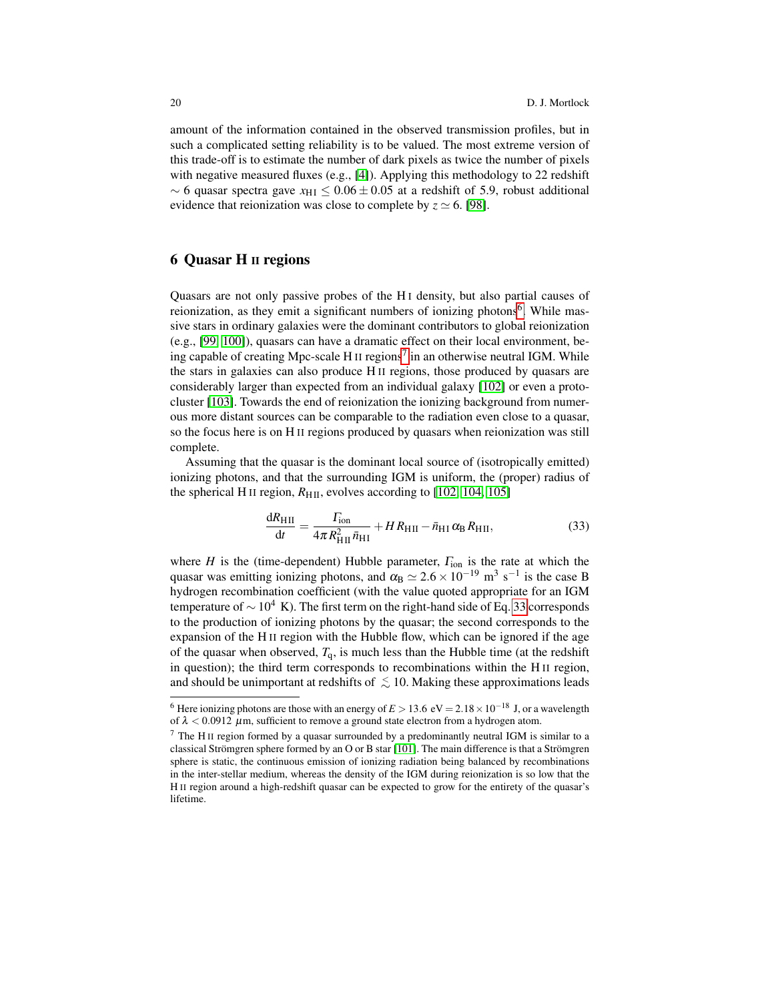amount of the information contained in the observed transmission profiles, but in such a complicated setting reliability is to be valued. The most extreme version of this trade-off is to estimate the number of dark pixels as twice the number of pixels with negative measured fluxes (e.g., [\[4\]](#page-32-7)). Applying this methodology to 22 redshift  $\sim$  6 quasar spectra gave  $x_{\text{H I}} \leq 0.06 \pm 0.05$  at a redshift of 5.9, robust additional evidence that reionization was close to complete by  $z \approx 6$ . [\[98\]](#page-36-2).

# <span id="page-19-0"></span>6 Quasar H II regions

Quasars are not only passive probes of the H I density, but also partial causes of reionization, as they emit a significant numbers of ionizing photons<sup>[6](#page-19-1)</sup>. While massive stars in ordinary galaxies were the dominant contributors to global reionization (e.g., [\[99,](#page-36-3) [100\]](#page-36-4)), quasars can have a dramatic effect on their local environment, be-ing capable of creating Mpc-scale H<sub>II</sub> regions<sup>[7](#page-19-2)</sup> in an otherwise neutral IGM. While the stars in galaxies can also produce H II regions, those produced by quasars are considerably larger than expected from an individual galaxy [\[102\]](#page-36-5) or even a protocluster [\[103\]](#page-36-6). Towards the end of reionization the ionizing background from numerous more distant sources can be comparable to the radiation even close to a quasar, so the focus here is on H II regions produced by quasars when reionization was still complete.

Assuming that the quasar is the dominant local source of (isotropically emitted) ionizing photons, and that the surrounding IGM is uniform, the (proper) radius of the spherical H<sub>II</sub> region,  $R_{\text{HII}}$ , evolves according to [\[102,](#page-36-5) [104,](#page-36-7) [105\]](#page-36-8)

<span id="page-19-3"></span>
$$
\frac{dR_{\rm HII}}{dt} = \frac{\Gamma_{\rm ion}}{4\pi R_{\rm HII}^2 \bar{n}_{\rm HI}} + HR_{\rm HII} - \bar{n}_{\rm HI} \alpha_{\rm B} R_{\rm HII},\tag{33}
$$

where  $H$  is the (time-dependent) Hubble parameter,  $\Gamma_{\text{ion}}$  is the rate at which the quasar was emitting ionizing photons, and  $\alpha_B \simeq 2.6 \times 10^{-19}$  m<sup>3</sup> s<sup>-1</sup> is the case B hydrogen recombination coefficient (with the value quoted appropriate for an IGM temperature of  $\sim 10^4$  K). The first term on the right-hand side of Eq. [33](#page-19-3) corresponds to the production of ionizing photons by the quasar; the second corresponds to the expansion of the H II region with the Hubble flow, which can be ignored if the age of the quasar when observed,  $T<sub>q</sub>$ , is much less than the Hubble time (at the redshift in question); the third term corresponds to recombinations within the H II region, and should be unimportant at redshifts of  $\lesssim 10$ . Making these approximations leads

<span id="page-19-1"></span><sup>&</sup>lt;sup>6</sup> Here ionizing photons are those with an energy of  $E > 13.6 \text{ eV} = 2.18 \times 10^{-18} \text{ J}$ , or a wavelength of  $\lambda$  < 0.0912  $\mu$ m, sufficient to remove a ground state electron from a hydrogen atom.

<span id="page-19-2"></span> $7$  The H<sub>II</sub> region formed by a quasar surrounded by a predominantly neutral IGM is similar to a classical Strömgren sphere formed by an O or B star [\[101\]](#page-36-9). The main difference is that a Strömgren sphere is static, the continuous emission of ionizing radiation being balanced by recombinations in the inter-stellar medium, whereas the density of the IGM during reionization is so low that the H II region around a high-redshift quasar can be expected to grow for the entirety of the quasar's lifetime.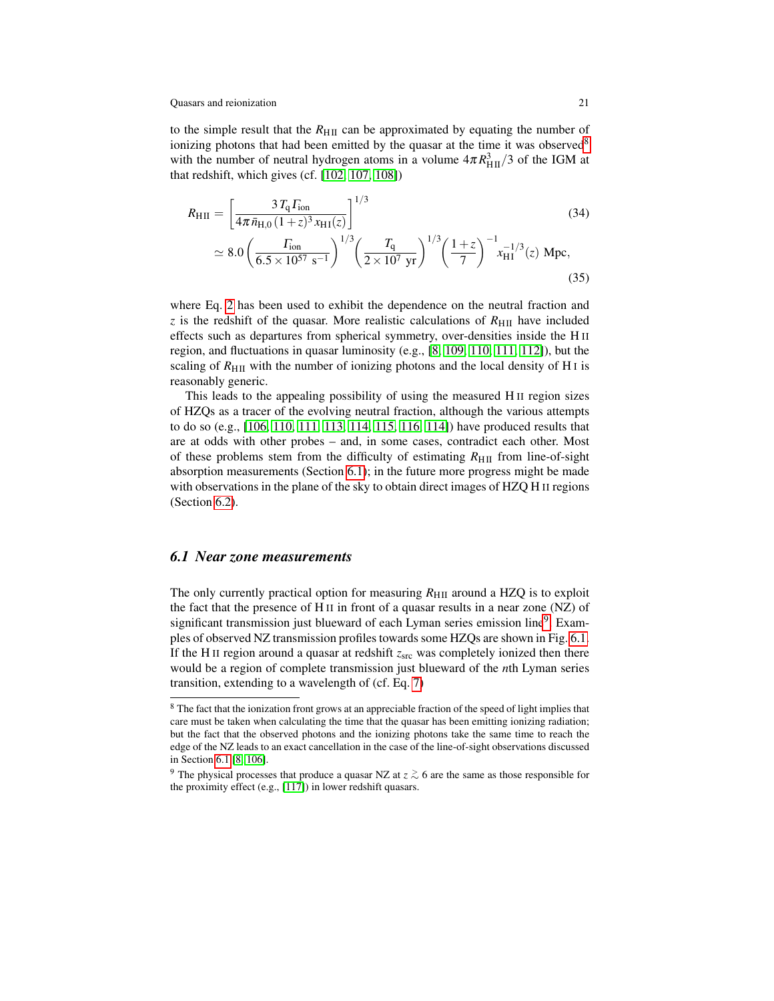to the simple result that the  $R_{\text{HII}}$  can be approximated by equating the number of ionizing photons that had been emitted by the quasar at the time it was observed<sup>[8](#page-20-0)</sup> with the number of neutral hydrogen atoms in a volume  $4\pi R_{\text{HII}}^3/3$  of the IGM at that redshift, which gives (cf. [\[102,](#page-36-5) [107,](#page-36-10) [108\]](#page-36-11))

<span id="page-20-3"></span>
$$
R_{\rm HII} = \left[\frac{3 T_{\rm q} \Gamma_{\rm ion}}{4 \pi \bar{n}_{\rm H,0} \left(1+z\right)^3 x_{\rm HI}(z)}\right]^{1/3} \qquad (34)
$$
\n
$$
\simeq 8.0 \left(\frac{\Gamma_{\rm ion}}{6.5 \times 10^{57} \text{ s}^{-1}}\right)^{1/3} \left(\frac{T_{\rm q}}{2 \times 10^7 \text{ yr}}\right)^{1/3} \left(\frac{1+z}{7}\right)^{-1} x_{\rm HI}^{-1/3}(z) \text{ Mpc}, \qquad (35)
$$

where Eq. [2](#page-2-3) has been used to exhibit the dependence on the neutral fraction and  $\bar{z}$  is the redshift of the quasar. More realistic calculations of  $R_{\rm HII}$  have included effects such as departures from spherical symmetry, over-densities inside the H II region, and fluctuations in quasar luminosity (e.g., [\[8,](#page-32-1) [109,](#page-36-12) [110,](#page-36-13) [111,](#page-36-14) [112\]](#page-36-15)), but the scaling of  $R_{\text{H II}}$  with the number of ionizing photons and the local density of H<sub>I</sub> is reasonably generic.

This leads to the appealing possibility of using the measured H II region sizes of HZQs as a tracer of the evolving neutral fraction, although the various attempts to do so (e.g., [\[106,](#page-36-16) [110,](#page-36-13) [111,](#page-36-14) [113,](#page-36-17) [114,](#page-36-18) [115,](#page-36-19) [116,](#page-36-20) [114\]](#page-36-18)) have produced results that are at odds with other probes – and, in some cases, contradict each other. Most of these problems stem from the difficulty of estimating  $R_{\text{HII}}$  from line-of-sight absorption measurements (Section [6.1\)](#page-20-1); in the future more progress might be made with observations in the plane of the sky to obtain direct images of HZQ H II regions (Section [6.2\)](#page-23-0).

### <span id="page-20-1"></span>*6.1 Near zone measurements*

The only currently practical option for measuring  $R_{\text{HII}}$  around a HZQ is to exploit the fact that the presence of H II in front of a quasar results in a near zone (NZ) of significant transmission just blueward of each Lyman series emission line<sup>[9](#page-20-2)</sup>. Examples of observed NZ transmission profiles towards some HZQs are shown in Fig. [6.1.](#page-21-0) If the H<sub>II</sub> region around a quasar at redshift  $z<sub>src</sub>$  was completely ionized then there would be a region of complete transmission just blueward of the *n*th Lyman series transition, extending to a wavelength of (cf. Eq. [7\)](#page-3-2)

<span id="page-20-0"></span><sup>&</sup>lt;sup>8</sup> The fact that the ionization front grows at an appreciable fraction of the speed of light implies that care must be taken when calculating the time that the quasar has been emitting ionizing radiation; but the fact that the observed photons and the ionizing photons take the same time to reach the edge of the NZ leads to an exact cancellation in the case of the line-of-sight observations discussed in Section [6.1](#page-20-1) [\[8,](#page-32-1) [106\]](#page-36-16).

<span id="page-20-2"></span><sup>&</sup>lt;sup>9</sup> The physical processes that produce a quasar NZ at  $z \gtrsim 6$  are the same as those responsible for the proximity effect (e.g., [\[117\]](#page-36-21)) in lower redshift quasars.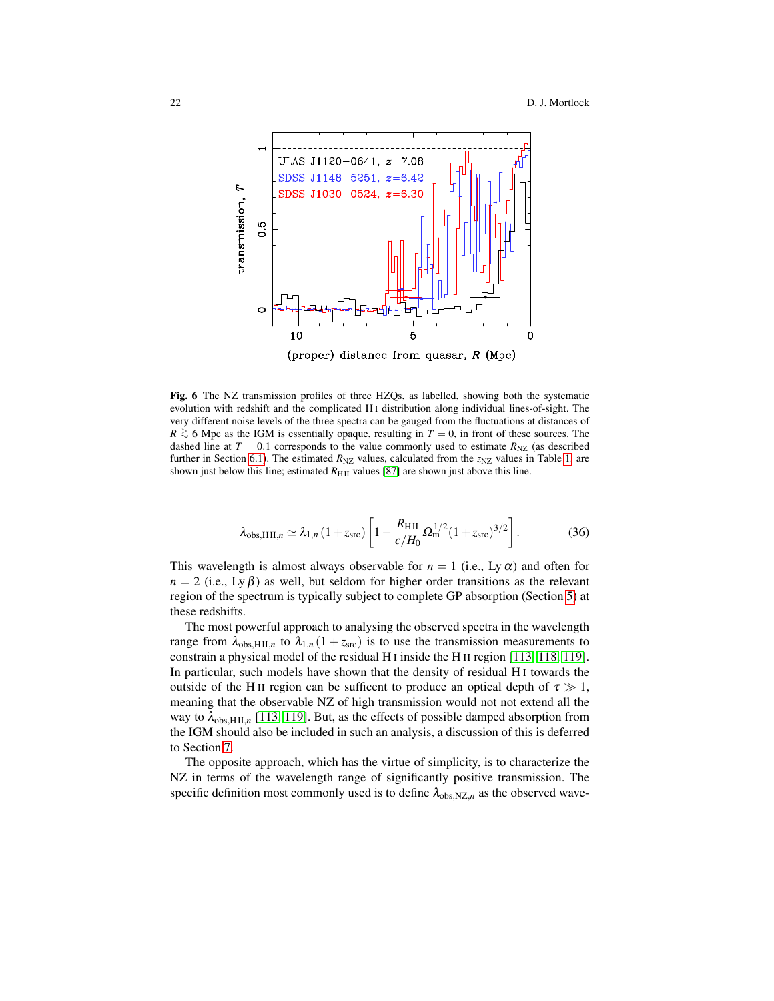

<span id="page-21-0"></span>Fig. 6 The NZ transmission profiles of three HZQs, as labelled, showing both the systematic evolution with redshift and the complicated H I distribution along individual lines-of-sight. The very different noise levels of the three spectra can be gauged from the fluctuations at distances of *R*  $\geq$  6 Mpc as the IGM is essentially opaque, resulting in *T* = 0, in front of these sources. The dashed line at  $T = 0.1$  corresponds to the value commonly used to estimate  $R_{\text{NZ}}$  (as described further in Section [6.1\)](#page-20-1). The estimated  $R_{\text{NZ}}$  values, calculated from the  $z_{\text{NZ}}$  values in Table [1,](#page-5-0) are shown just below this line; estimated  $R_{\text{HII}}$  values [\[87\]](#page-35-15) are shown just above this line.

$$
\lambda_{\text{obs,HII},n} \simeq \lambda_{1,n} \left(1 + z_{\text{src}}\right) \left[1 - \frac{R_{\text{HII}}}{c/H_0} \Omega_{\text{m}}^{1/2} \left(1 + z_{\text{src}}\right)^{3/2}\right].
$$
 (36)

This wavelength is almost always observable for  $n = 1$  (i.e., Ly  $\alpha$ ) and often for  $n = 2$  (i.e., Ly  $\beta$ ) as well, but seldom for higher order transitions as the relevant region of the spectrum is typically subject to complete GP absorption (Section [5\)](#page-14-0) at these redshifts.

The most powerful approach to analysing the observed spectra in the wavelength range from  $\lambda_{obs,HII,n}$  to  $\lambda_{1,n}$  (1 +  $z_{src}$ ) is to use the transmission measurements to constrain a physical model of the residual H I inside the H II region [\[113,](#page-36-17) [118,](#page-36-22) [119\]](#page-36-23). In particular, such models have shown that the density of residual H I towards the outside of the H<sub>II</sub> region can be sufficent to produce an optical depth of  $\tau \gg 1$ , meaning that the observable NZ of high transmission would not not extend all the way to  $\lambda_{obs, HII, n}$  [\[113,](#page-36-17) [119\]](#page-36-23). But, as the effects of possible damped absorption from the IGM should also be included in such an analysis, a discussion of this is deferred to Section [7.](#page-24-0)

The opposite approach, which has the virtue of simplicity, is to characterize the NZ in terms of the wavelength range of significantly positive transmission. The specific definition most commonly used is to define  $\lambda_{obs,NZ,n}$  as the observed wave-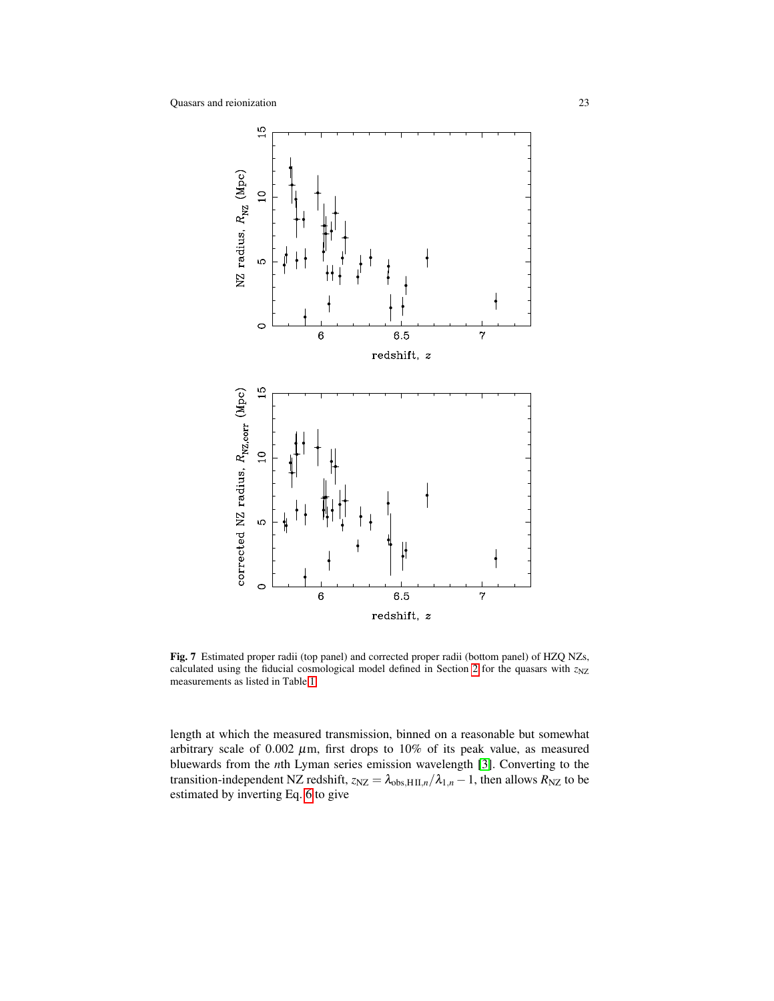

<span id="page-22-0"></span>Fig. 7 Estimated proper radii (top panel) and corrected proper radii (bottom panel) of HZQ NZs, calculated using the fiducial cosmological model defined in Section [2](#page-2-0) for the quasars with  $z_{NZ}$ measurements as listed in Table [1.](#page-5-0)

length at which the measured transmission, binned on a reasonable but somewhat arbitrary scale of  $0.002 \mu m$ , first drops to  $10\%$  of its peak value, as measured bluewards from the *n*th Lyman series emission wavelength [\[3\]](#page-32-6). Converting to the transition-independent NZ redshift,  $z_{NZ} = \lambda_{obs,HII,n}/\lambda_{1,n} - 1$ , then allows  $R_{NZ}$  to be estimated by inverting Eq. [6](#page-3-3) to give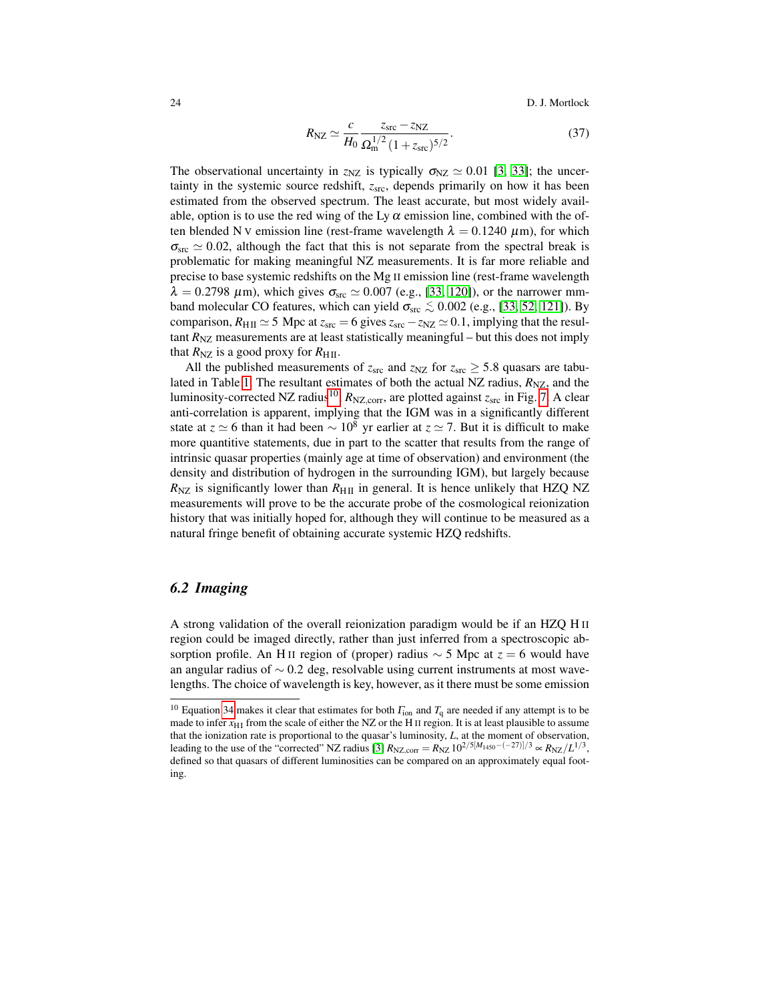24 D. J. Mortlock

$$
R_{\rm NZ} \simeq \frac{c}{H_0} \frac{z_{\rm src} - z_{\rm NZ}}{\Omega_{\rm m}^{1/2} \left(1 + z_{\rm src}\right)^{5/2}}.
$$
\n(37)

The observational uncertainty in  $z_{NZ}$  is typically  $\sigma_{NZ} \simeq 0.01$  [\[3,](#page-32-6) [33\]](#page-33-13); the uncertainty in the systemic source redshift,  $z<sub>src</sub>$ , depends primarily on how it has been estimated from the observed spectrum. The least accurate, but most widely available, option is to use the red wing of the Ly  $\alpha$  emission line, combined with the often blended N v emission line (rest-frame wavelength  $\lambda = 0.1240 \mu m$ ), for which  $\sigma_{\rm src} \simeq 0.02$ , although the fact that this is not separate from the spectral break is problematic for making meaningful NZ measurements. It is far more reliable and precise to base systemic redshifts on the Mg II emission line (rest-frame wavelength  $\lambda = 0.2798 \ \mu \text{m}$ ), which gives  $\sigma_{\text{src}} \simeq 0.007$  (e.g., [\[33,](#page-33-13) [120\]](#page-36-24)), or the narrower mmband molecular CO features, which can yield  $\sigma_{src} \lesssim 0.002$  (e.g., [\[33,](#page-33-13) [52,](#page-34-8) [121\]](#page-37-0)). By comparison,  $R_{\text{H II}} \simeq 5$  Mpc at  $z_{\text{src}} = 6$  gives  $z_{\text{src}} - z_{\text{NZ}} \simeq 0.1$ , implying that the resultant  $R_{\text{NZ}}$  measurements are at least statistically meaningful – but this does not imply that  $R_{\text{NZ}}$  is a good proxy for  $R_{\text{H II}}$ .

All the published measurements of  $z_{src}$  and  $z_{NZ}$  for  $z_{src} \geq 5.8$  quasars are tabu-lated in Table [1.](#page-5-0) The resultant estimates of both the actual NZ radius,  $R_{\text{NZ}}$ , and the luminosity-corrected NZ radius<sup>[10](#page-23-1)</sup>,  $R_{\text{NZ,corr}}$ , are plotted against  $z_{\text{src}}$  in Fig. [7.](#page-22-0) A clear anti-correlation is apparent, implying that the IGM was in a significantly different state at  $z \approx 6$  than it had been  $\sim 10^8$  yr earlier at  $z \approx 7$ . But it is difficult to make more quantitive statements, due in part to the scatter that results from the range of intrinsic quasar properties (mainly age at time of observation) and environment (the density and distribution of hydrogen in the surrounding IGM), but largely because  $R_{\text{NZ}}$  is significantly lower than  $R_{\text{HII}}$  in general. It is hence unlikely that HZQ NZ measurements will prove to be the accurate probe of the cosmological reionization history that was initially hoped for, although they will continue to be measured as a natural fringe benefit of obtaining accurate systemic HZQ redshifts.

# <span id="page-23-0"></span>*6.2 Imaging*

A strong validation of the overall reionization paradigm would be if an HZQ H II region could be imaged directly, rather than just inferred from a spectroscopic absorption profile. An H II region of (proper) radius ∼ 5 Mpc at *z* = 6 would have an angular radius of  $\sim$  0.2 deg, resolvable using current instruments at most wavelengths. The choice of wavelength is key, however, as it there must be some emission

<span id="page-23-1"></span><sup>&</sup>lt;sup>10</sup> Equation [34](#page-20-3) makes it clear that estimates for both  $\Gamma_{\text{ion}}$  and  $T_q$  are needed if any attempt is to be made to infer  $x_{\text{H I}}$  from the scale of either the NZ or the H II region. It is at least plausible to assume that the ionization rate is proportional to the quasar's luminosity, *L*, at the moment of observation, leading to the use of the "corrected" NZ radius [\[3\]](#page-32-6)  $R_{\text{NZ,corr}} = R_{\text{NZ}} 10^{2/5[M_{1450} - (-27)]/3} \propto R_{\text{NZ}} / L^{1/3}$ , defined so that quasars of different luminosities can be compared on an approximately equal footing.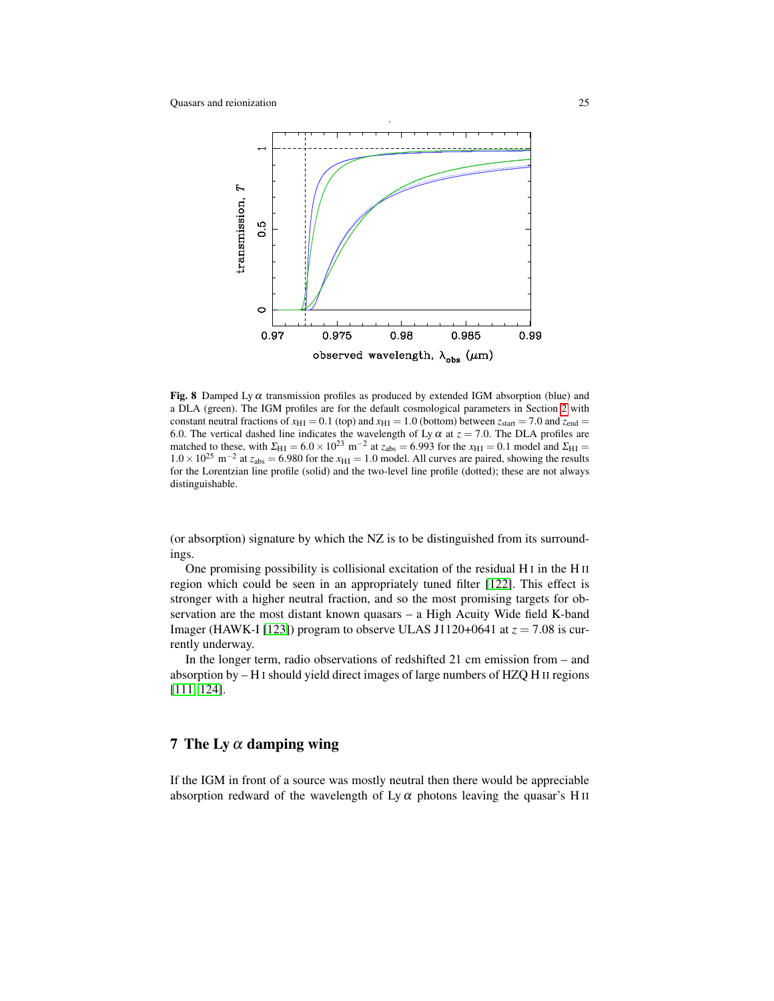

<span id="page-24-1"></span>Fig. 8 Damped Ly  $\alpha$  transmission profiles as produced by extended IGM absorption (blue) and a DLA (green). The IGM profiles are for the default cosmological parameters in Section [2](#page-2-0) with constant neutral fractions of  $x_{\text{H I}} = 0.1$  (top) and  $x_{\text{H I}} = 1.0$  (bottom) between  $z_{\text{start}} = 7.0$  and  $z_{\text{end}} =$ 6.0. The vertical dashed line indicates the wavelength of Ly  $\alpha$  at  $z = 7.0$ . The DLA profiles are matched to these, with  $\Sigma_{\text{H I}} = 6.0 \times 10^{23} \text{ m}^{-2}$  at  $z_{\text{abs}} = 6.993$  for the  $x_{\text{H I}} = 0.1$  model and  $\Sigma_{\text{H I}} =$  $1.0 \times 10^{25}$  m<sup>-2</sup> at  $z_{abs} = 6.980$  for the  $x_{HI} = 1.0$  model. All curves are paired, showing the results for the Lorentzian line profile (solid) and the two-level line profile (dotted); these are not always distinguishable.

(or absorption) signature by which the NZ is to be distinguished from its surroundings.

One promising possibility is collisional excitation of the residual H I in the H II region which could be seen in an appropriately tuned filter [\[122\]](#page-37-1). This effect is stronger with a higher neutral fraction, and so the most promising targets for observation are the most distant known quasars – a High Acuity Wide field K-band Imager (HAWK-I [\[123\]](#page-37-2)) program to observe ULAS J1120+0641 at  $z = 7.08$  is currently underway.

In the longer term, radio observations of redshifted 21 cm emission from – and absorption by – H I should yield direct images of large numbers of HZQ H II regions [\[111,](#page-36-14) [124\]](#page-37-3).

# <span id="page-24-0"></span>7 The Ly  $\alpha$  damping wing

If the IGM in front of a source was mostly neutral then there would be appreciable absorption redward of the wavelength of Ly  $\alpha$  photons leaving the quasar's H<sub>II</sub>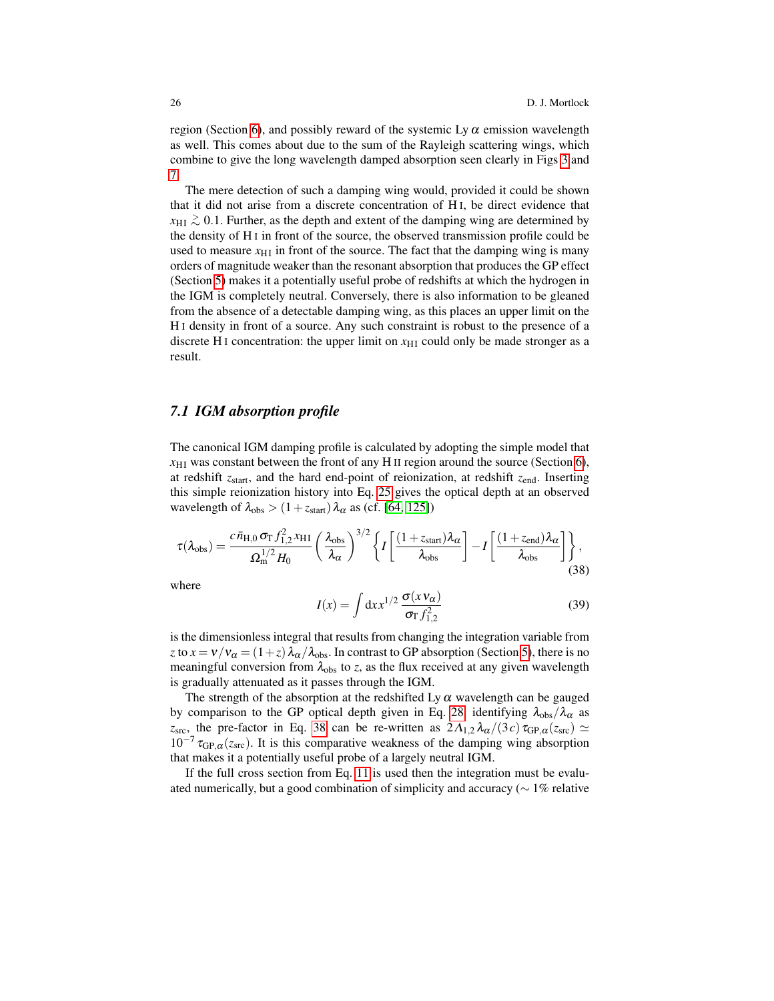region (Section [6\)](#page-19-0), and possibly reward of the systemic Ly  $\alpha$  emission wavelength as well. This comes about due to the sum of the Rayleigh scattering wings, which combine to give the long wavelength damped absorption seen clearly in Figs [3](#page-8-1) and [7.](#page-24-1)

The mere detection of such a damping wing would, provided it could be shown that it did not arise from a discrete concentration of H I, be direct evidence that  $x_{\text{HI}} \gtrsim 0.1$ . Further, as the depth and extent of the damping wing are determined by the density of H I in front of the source, the observed transmission profile could be used to measure  $x_{\text{H I}}$  in front of the source. The fact that the damping wing is many orders of magnitude weaker than the resonant absorption that produces the GP effect (Section [5\)](#page-14-0) makes it a potentially useful probe of redshifts at which the hydrogen in the IGM is completely neutral. Conversely, there is also information to be gleaned from the absence of a detectable damping wing, as this places an upper limit on the H I density in front of a source. Any such constraint is robust to the presence of a discrete H<sub>I</sub> concentration: the upper limit on  $x_{\text{H}}$  could only be made stronger as a result.

### <span id="page-25-1"></span>*7.1 IGM absorption profile*

The canonical IGM damping profile is calculated by adopting the simple model that  $x_{\rm H I}$  was constant between the front of any H II region around the source (Section [6\)](#page-19-0), at redshift *z*start, and the hard end-point of reionization, at redshift *z*end. Inserting this simple reionization history into Eq. [25](#page-14-3) gives the optical depth at an observed wavelength of  $\lambda_{obs} > (1 + z_{start})\lambda_{\alpha}$  as (cf. [\[64,](#page-34-20) [125\]](#page-37-4))

<span id="page-25-0"></span>
$$
\tau(\lambda_{\text{obs}}) = \frac{c\,\bar{n}_{\text{H},0}\,\sigma_{\text{T}}\,f_{1,2}^2\,x_{\text{HI}}}{\Omega_{\text{m}}^{1/2}H_0} \left(\frac{\lambda_{\text{obs}}}{\lambda_{\alpha}}\right)^{3/2} \left\{ I\left[\frac{(1+z_{\text{start}})\lambda_{\alpha}}{\lambda_{\text{obs}}}\right] - I\left[\frac{(1+z_{\text{end}})\lambda_{\alpha}}{\lambda_{\text{obs}}}\right] \right\},\tag{38}
$$

where

$$
I(x) = \int \mathrm{d}x x^{1/2} \, \frac{\sigma(x v_{\alpha})}{\sigma_{\rm T} f_{1,2}^2} \tag{39}
$$

is the dimensionless integral that results from changing the integration variable from *z* to  $x = v/v_\alpha = (1+z)\lambda_\alpha/\lambda_{obs}$ . In contrast to GP absorption (Section [5\)](#page-14-0), there is no meaningful conversion from  $\lambda_{obs}$  to *z*, as the flux received at any given wavelength is gradually attenuated as it passes through the IGM.

The strength of the absorption at the redshifted Ly  $\alpha$  wavelength can be gauged by comparison to the GP optical depth given in Eq. [28:](#page-15-0) identifying  $\lambda_{obs}/\lambda_{\alpha}$  as *z*<sub>src</sub>, the pre-factor in Eq. [38](#page-25-0) can be re-written as  $2\Lambda_{1,2}\lambda_{\alpha}/(3c)\tau_{GP,\alpha}(z_{src}) \simeq$  $10^{-7} \tau_{\text{GP},\alpha}(z_{\text{src}})$ . It is this comparative weakness of the damping wing absorption that makes it a potentially useful probe of a largely neutral IGM.

If the full cross section from Eq. [11](#page-10-0) is used then the integration must be evaluated numerically, but a good combination of simplicity and accuracy ( $\sim 1\%$  relative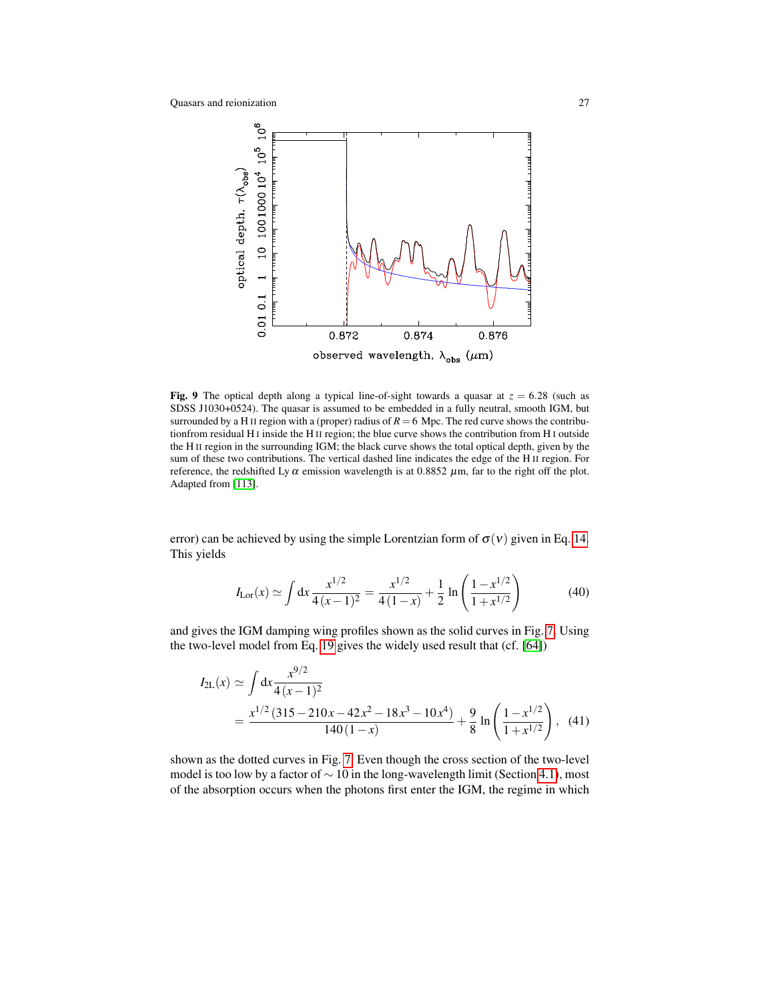

<span id="page-26-0"></span>Fig. 9 The optical depth along a typical line-of-sight towards a quasar at  $z = 6.28$  (such as SDSS J1030+0524). The quasar is assumed to be embedded in a fully neutral, smooth IGM, but surrounded by a H<sub>II</sub> region with a (proper) radius of  $R = 6$  Mpc. The red curve shows the contributionfrom residual H I inside the H II region; the blue curve shows the contribution from H I outside the H II region in the surrounding IGM; the black curve shows the total optical depth, given by the sum of these two contributions. The vertical dashed line indicates the edge of the H II region. For reference, the redshifted Ly  $\alpha$  emission wavelength is at 0.8852  $\mu$ m, far to the right off the plot. Adapted from [\[113\]](#page-36-17).

error) can be achieved by using the simple Lorentzian form of  $\sigma(v)$  given in Eq. [14.](#page-11-0) This yields

$$
I_{\text{Lor}}(x) \simeq \int \mathrm{d}x \, \frac{x^{1/2}}{4(x-1)^2} = \frac{x^{1/2}}{4(1-x)} + \frac{1}{2} \ln\left(\frac{1-x^{1/2}}{1+x^{1/2}}\right) \tag{40}
$$

and gives the IGM damping wing profiles shown as the solid curves in Fig. [7.](#page-24-1) Using the two-level model from Eq. [19](#page-12-1) gives the widely used result that (cf. [\[64\]](#page-34-20))

$$
I_{2L}(x) \simeq \int dx \frac{x^{9/2}}{4(x-1)^2}
$$
  
= 
$$
\frac{x^{1/2} (315 - 210x - 42x^2 - 18x^3 - 10x^4)}{140(1-x)} + \frac{9}{8} \ln \left( \frac{1 - x^{1/2}}{1 + x^{1/2}} \right),
$$
 (41)

shown as the dotted curves in Fig. [7.](#page-24-1) Even though the cross section of the two-level model is too low by a factor of  $\sim$  10 in the long-wavelength limit (Section [4.1\)](#page-8-0), most of the absorption occurs when the photons first enter the IGM, the regime in which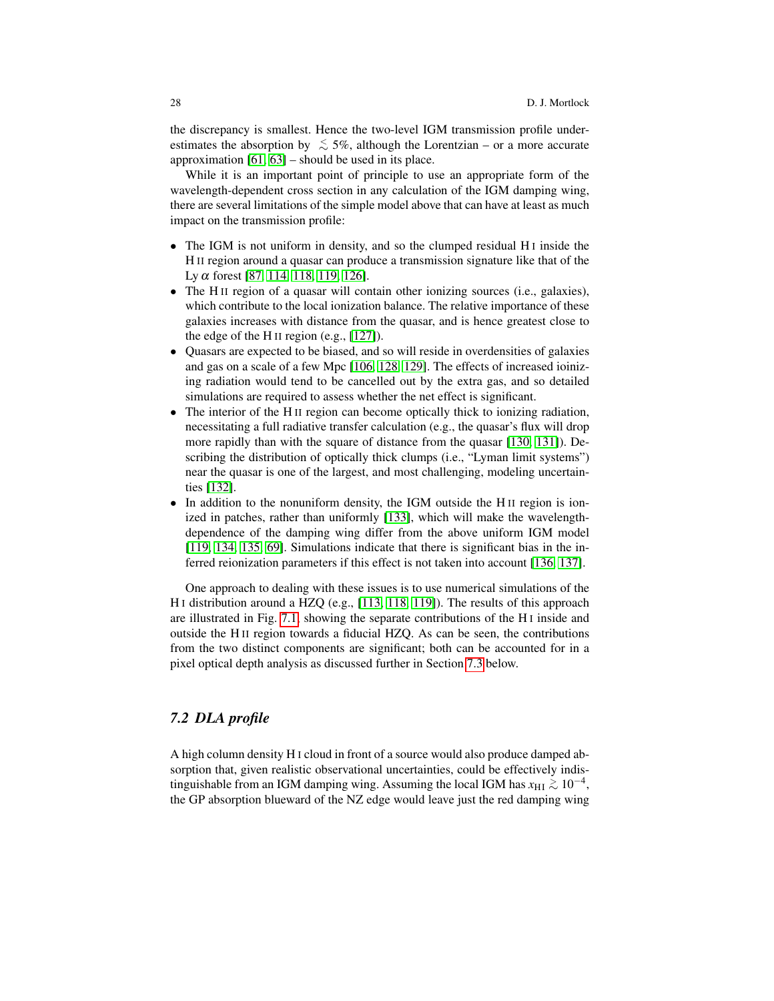the discrepancy is smallest. Hence the two-level IGM transmission profile underestimates the absorption by  $\lesssim 5\%$ , although the Lorentzian – or a more accurate approximation [\[61,](#page-34-17) [63\]](#page-34-19) – should be used in its place.

While it is an important point of principle to use an appropriate form of the wavelength-dependent cross section in any calculation of the IGM damping wing, there are several limitations of the simple model above that can have at least as much impact on the transmission profile:

- The IGM is not uniform in density, and so the clumped residual H<sub>I</sub> inside the H II region around a quasar can produce a transmission signature like that of the Ly α forest [\[87,](#page-35-15) [114,](#page-36-18) [118,](#page-36-22) [119,](#page-36-23) [126\]](#page-37-5).
- The H II region of a quasar will contain other ionizing sources (i.e., galaxies), which contribute to the local ionization balance. The relative importance of these galaxies increases with distance from the quasar, and is hence greatest close to the edge of the H II region (e.g., [\[127\]](#page-37-6)).
- Quasars are expected to be biased, and so will reside in overdensities of galaxies and gas on a scale of a few Mpc [\[106,](#page-36-16) [128,](#page-37-7) [129\]](#page-37-8). The effects of increased ioinizing radiation would tend to be cancelled out by the extra gas, and so detailed simulations are required to assess whether the net effect is significant.
- The interior of the H<sub>II</sub> region can become optically thick to ionizing radiation, necessitating a full radiative transfer calculation (e.g., the quasar's flux will drop more rapidly than with the square of distance from the quasar [\[130,](#page-37-9) [131\]](#page-37-10)). Describing the distribution of optically thick clumps (i.e., "Lyman limit systems") near the quasar is one of the largest, and most challenging, modeling uncertainties [\[132\]](#page-37-11).
- In addition to the nonuniform density, the IGM outside the H<sub>II</sub> region is ionized in patches, rather than uniformly [\[133\]](#page-37-12), which will make the wavelengthdependence of the damping wing differ from the above uniform IGM model [\[119,](#page-36-23) [134,](#page-37-13) [135,](#page-37-14) [69\]](#page-34-25). Simulations indicate that there is significant bias in the inferred reionization parameters if this effect is not taken into account [\[136,](#page-37-15) [137\]](#page-37-16).

One approach to dealing with these issues is to use numerical simulations of the H I distribution around a HZQ (e.g., [\[113,](#page-36-17) [118,](#page-36-22) [119\]](#page-36-23)). The results of this approach are illustrated in Fig. [7.1,](#page-26-0) showing the separate contributions of the H I inside and outside the H II region towards a fiducial HZQ. As can be seen, the contributions from the two distinct components are significant; both can be accounted for in a pixel optical depth analysis as discussed further in Section [7.3](#page-28-0) below.

### *7.2 DLA profile*

A high column density H I cloud in front of a source would also produce damped absorption that, given realistic observational uncertainties, could be effectively indistinguishable from an IGM damping wing. Assuming the local IGM has  $x_{\rm HI} \gtrsim 10^{-4}$ , the GP absorption blueward of the NZ edge would leave just the red damping wing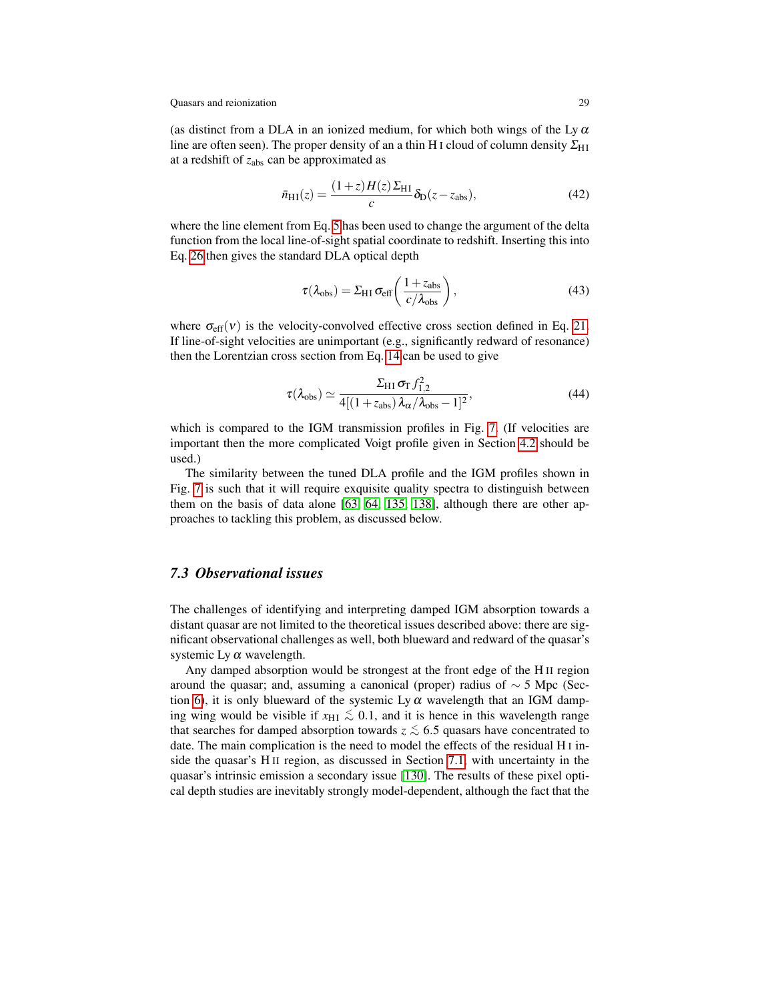(as distinct from a DLA in an ionized medium, for which both wings of the Ly  $\alpha$ line are often seen). The proper density of an a thin H I cloud of column density  $\Sigma_{\rm HI}$ at a redshift of *z*abs can be approximated as

$$
\bar{n}_{\rm HI}(z) = \frac{(1+z)H(z)\Sigma_{\rm HI}}{c}\delta_{\rm D}(z-z_{\rm abs}),\tag{42}
$$

where the line element from Eq. [5](#page-2-1) has been used to change the argument of the delta function from the local line-of-sight spatial coordinate to redshift. Inserting this into Eq. [26](#page-14-3) then gives the standard DLA optical depth

$$
\tau(\lambda_{\rm obs}) = \Sigma_{\rm H1} \sigma_{\rm eff} \left( \frac{1 + z_{\rm abs}}{c/\lambda_{\rm obs}} \right),\tag{43}
$$

where  $\sigma_{\text{eff}}(v)$  is the velocity-convolved effective cross section defined in Eq. [21.](#page-13-2) If line-of-sight velocities are unimportant (e.g., significantly redward of resonance) then the Lorentzian cross section from Eq. [14](#page-11-0) can be used to give

$$
\tau(\lambda_{\rm obs}) \simeq \frac{\Sigma_{\rm H\,I}\,\sigma_{\rm T}\,f_{1,2}^2}{4[(1+z_{\rm abs})\,\lambda_{\alpha}/\lambda_{\rm obs}-1]^2},\tag{44}
$$

which is compared to the IGM transmission profiles in Fig. [7.](#page-24-1) (If velocities are important then the more complicated Voigt profile given in Section [4.2](#page-13-0) should be used.)

The similarity between the tuned DLA profile and the IGM profiles shown in Fig. [7](#page-24-1) is such that it will require exquisite quality spectra to distinguish between them on the basis of data alone [\[63,](#page-34-19) [64,](#page-34-20) [135,](#page-37-14) [138\]](#page-37-17), although there are other approaches to tackling this problem, as discussed below.

### <span id="page-28-0"></span>*7.3 Observational issues*

The challenges of identifying and interpreting damped IGM absorption towards a distant quasar are not limited to the theoretical issues described above: there are significant observational challenges as well, both blueward and redward of the quasar's systemic Ly  $\alpha$  wavelength.

Any damped absorption would be strongest at the front edge of the H II region around the quasar; and, assuming a canonical (proper) radius of  $\sim$  5 Mpc (Sec-tion [6\)](#page-19-0), it is only blueward of the systemic Ly  $\alpha$  wavelength that an IGM damping wing would be visible if  $x_{\text{HI}} \lesssim 0.1$ , and it is hence in this wavelength range that searches for damped absorption towards  $z \lesssim 6.5$  quasars have concentrated to date. The main complication is the need to model the effects of the residual H I inside the quasar's H II region, as discussed in Section [7.1,](#page-25-1) with uncertainty in the quasar's intrinsic emission a secondary issue [\[130\]](#page-37-9). The results of these pixel optical depth studies are inevitably strongly model-dependent, although the fact that the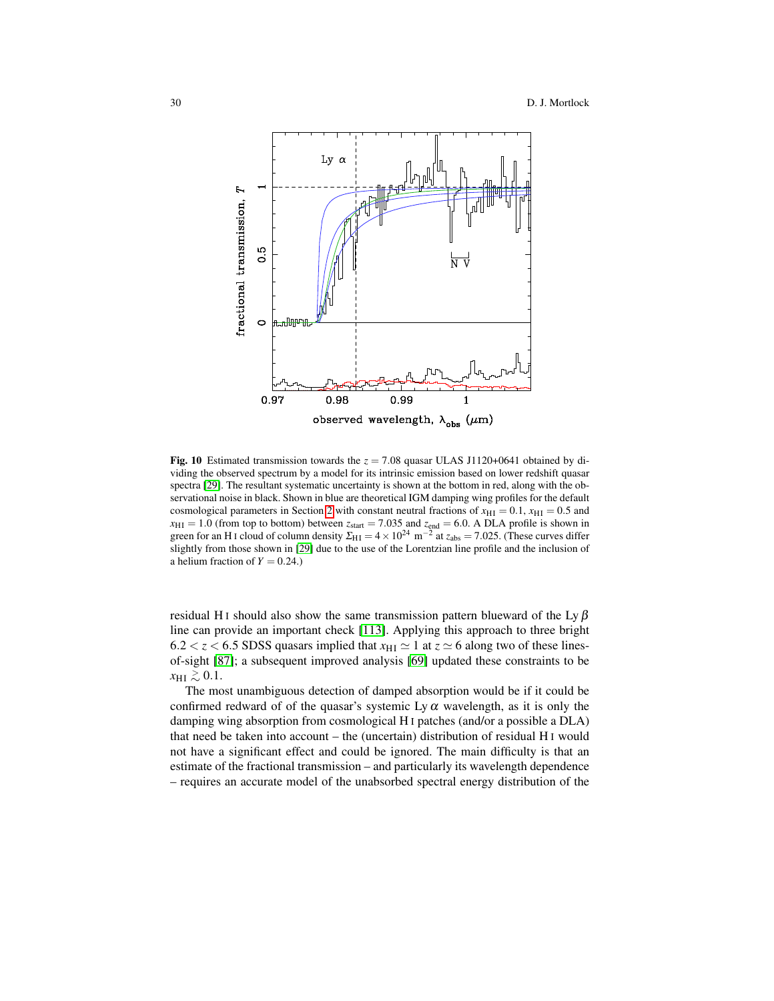

<span id="page-29-0"></span>Fig. 10 Estimated transmission towards the  $z = 7.08$  quasar ULAS J1120+0641 obtained by dividing the observed spectrum by a model for its intrinsic emission based on lower redshift quasar spectra [\[29\]](#page-33-11). The resultant systematic uncertainty is shown at the bottom in red, along with the observational noise in black. Shown in blue are theoretical IGM damping wing profiles for the default cosmological parameters in Section [2](#page-2-0) with constant neutral fractions of  $x_{\text{H I}} = 0.1$ ,  $x_{\text{H I}} = 0.5$  and  $x_{\text{HI}} = 1.0$  (from top to bottom) between  $z_{\text{start}} = 7.035$  and  $z_{\text{end}} = 6.0$ . A DLA profile is shown in green for an H<sub>I</sub> cloud of column density  $\Sigma_{\text{H I}} = 4 \times 10^{24} \text{ m}^{-2}$  at  $z_{\text{abs}} = 7.025$ . (These curves differ slightly from those shown in [\[29\]](#page-33-11) due to the use of the Lorentzian line profile and the inclusion of a helium fraction of  $Y = 0.24$ .)

residual H<sub>I</sub> should also show the same transmission pattern blueward of the Ly  $\beta$ line can provide an important check [\[113\]](#page-36-17). Applying this approach to three bright  $6.2 < z < 6.5$  SDSS quasars implied that  $x_{\text{H I}} \simeq 1$  at  $z \simeq 6$  along two of these linesof-sight [\[87\]](#page-35-15); a subsequent improved analysis [\[69\]](#page-34-25) updated these constraints to be  $x_{\text{H I}} \gtrsim 0.1$ .

The most unambiguous detection of damped absorption would be if it could be confirmed redward of of the quasar's systemic Ly  $\alpha$  wavelength, as it is only the damping wing absorption from cosmological H I patches (and/or a possible a DLA) that need be taken into account – the (uncertain) distribution of residual H I would not have a significant effect and could be ignored. The main difficulty is that an estimate of the fractional transmission – and particularly its wavelength dependence – requires an accurate model of the unabsorbed spectral energy distribution of the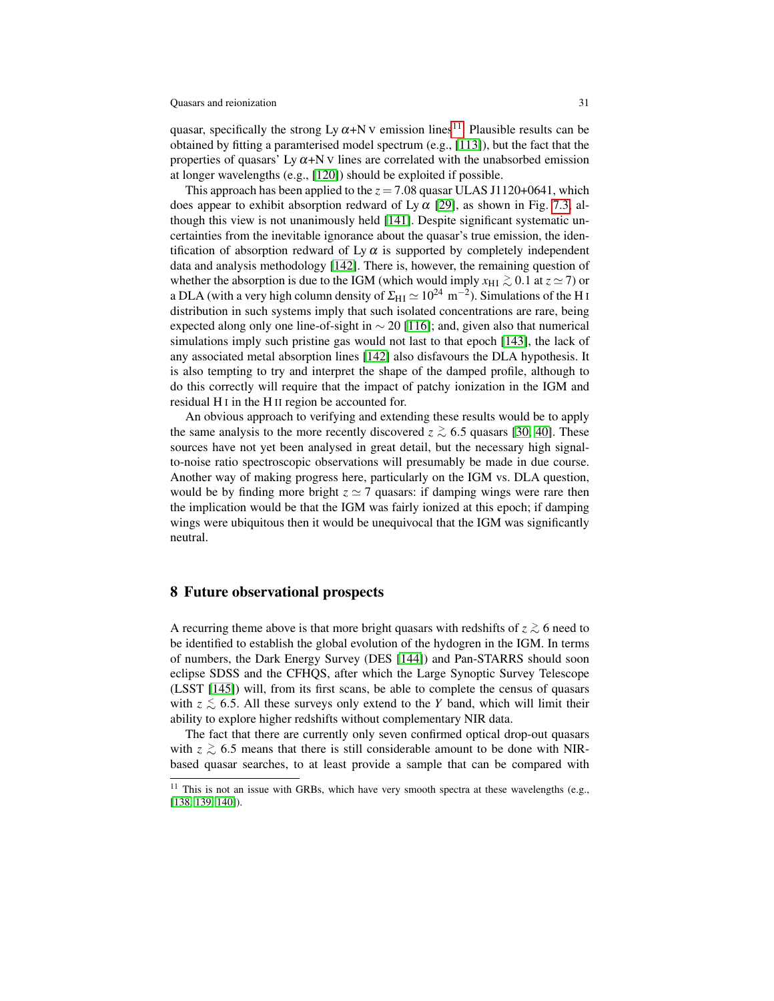quasar, specifically the strong Ly  $\alpha+N$  V emission lines<sup>[11](#page-30-1)</sup>. Plausible results can be obtained by fitting a paramterised model spectrum (e.g., [\[113\]](#page-36-17)), but the fact that the properties of quasars' Ly  $\alpha$ +N v lines are correlated with the unabsorbed emission at longer wavelengths (e.g., [\[120\]](#page-36-24)) should be exploited if possible.

This approach has been applied to the  $z = 7.08$  quasar ULAS J1120+0641, which does appear to exhibit absorption redward of Ly  $\alpha$  [\[29\]](#page-33-11), as shown in Fig. [7.3,](#page-29-0) although this view is not unanimously held [\[141\]](#page-37-18). Despite significant systematic uncertainties from the inevitable ignorance about the quasar's true emission, the identification of absorption redward of Ly  $\alpha$  is supported by completely independent data and analysis methodology [\[142\]](#page-37-19). There is, however, the remaining question of whether the absorption is due to the IGM (which would imply  $x_{\text{HI}} \gtrsim 0.1$  at  $z \simeq 7$ ) or a DLA (with a very high column density of  $\Sigma_{\rm HI}$   $\simeq 10^{24}~$  m $^{-2}$ ). Simulations of the H I distribution in such systems imply that such isolated concentrations are rare, being expected along only one line-of-sight in  $\sim$  20 [\[116\]](#page-36-20); and, given also that numerical simulations imply such pristine gas would not last to that epoch [\[143\]](#page-37-20), the lack of any associated metal absorption lines [\[142\]](#page-37-19) also disfavours the DLA hypothesis. It is also tempting to try and interpret the shape of the damped profile, although to do this correctly will require that the impact of patchy ionization in the IGM and residual H I in the H II region be accounted for.

An obvious approach to verifying and extending these results would be to apply the same analysis to the more recently discovered  $z \gtrsim 6.5$  quasars [\[30,](#page-33-14) [40\]](#page-33-22). These sources have not yet been analysed in great detail, but the necessary high signalto-noise ratio spectroscopic observations will presumably be made in due course. Another way of making progress here, particularly on the IGM vs. DLA question, would be by finding more bright  $z \approx 7$  quasars: if damping wings were rare then the implication would be that the IGM was fairly ionized at this epoch; if damping wings were ubiquitous then it would be unequivocal that the IGM was significantly neutral.

### <span id="page-30-0"></span>8 Future observational prospects

A recurring theme above is that more bright quasars with redshifts of *z* <sup>&</sup>gt;∼ 6 need to be identified to establish the global evolution of the hydogren in the IGM. In terms of numbers, the Dark Energy Survey (DES [\[144\]](#page-37-21)) and Pan-STARRS should soon eclipse SDSS and the CFHQS, after which the Large Synoptic Survey Telescope (LSST [\[145\]](#page-37-22)) will, from its first scans, be able to complete the census of quasars with  $z \lesssim 6.5$ . All these surveys only extend to the *Y* band, which will limit their ability to explore higher redshifts without complementary NIR data.

The fact that there are currently only seven confirmed optical drop-out quasars with  $z \gtrsim 6.5$  means that there is still considerable amount to be done with NIRbased quasar searches, to at least provide a sample that can be compared with

<span id="page-30-1"></span> $11$  This is not an issue with GRBs, which have very smooth spectra at these wavelengths (e.g., [\[138,](#page-37-17) [139,](#page-37-23) [140\]](#page-37-24)).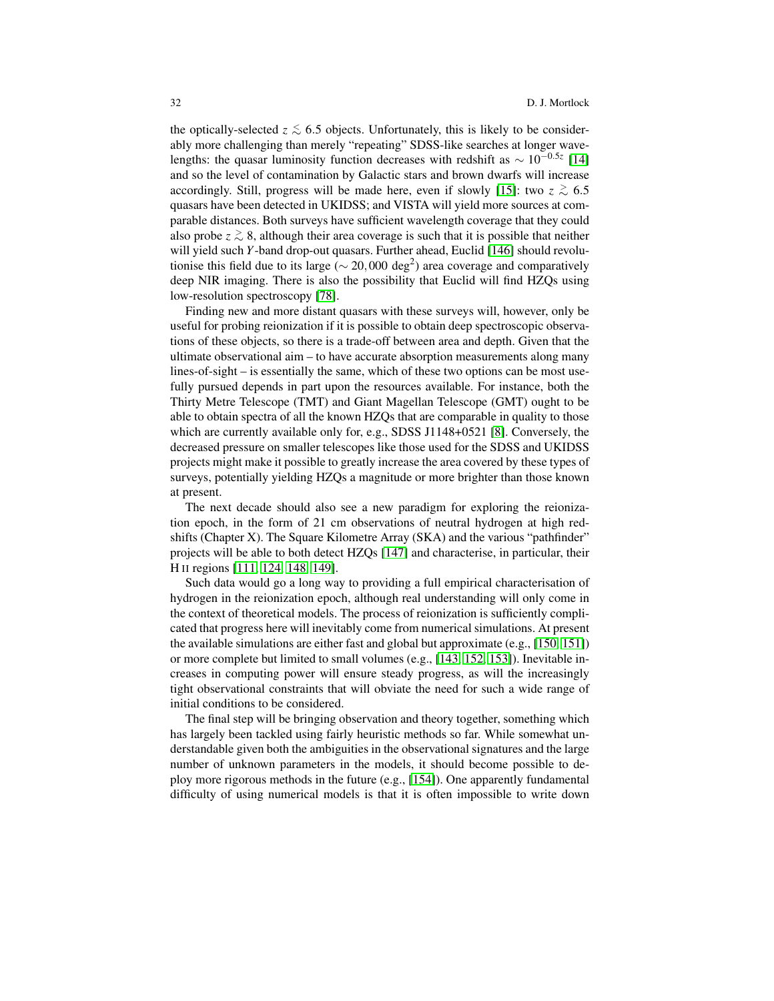the optically-selected  $z \lesssim 6.5$  objects. Unfortunately, this is likely to be considerably more challenging than merely "repeating" SDSS-like searches at longer wavelengths: the quasar luminosity function decreases with redshift as ∼ 10−0.5*<sup>z</sup>* [\[14\]](#page-32-13) and so the level of contamination by Galactic stars and brown dwarfs will increase accordingly. Still, progress will be made here, even if slowly [\[15\]](#page-32-14): two  $z \ge 6.5$ quasars have been detected in UKIDSS; and VISTA will yield more sources at comparable distances. Both surveys have sufficient wavelength coverage that they could also probe *z* <sup>&</sup>gt;∼ 8, although their area coverage is such that it is possible that neither will yield such *Y*-band drop-out quasars. Further ahead, Euclid [\[146\]](#page-38-0) should revolutionise this field due to its large ( $\sim$  20,000 deg<sup>2</sup>) area coverage and comparatively deep NIR imaging. There is also the possibility that Euclid will find HZQs using low-resolution spectroscopy [\[78\]](#page-35-6).

Finding new and more distant quasars with these surveys will, however, only be useful for probing reionization if it is possible to obtain deep spectroscopic observations of these objects, so there is a trade-off between area and depth. Given that the ultimate observational aim – to have accurate absorption measurements along many lines-of-sight – is essentially the same, which of these two options can be most usefully pursued depends in part upon the resources available. For instance, both the Thirty Metre Telescope (TMT) and Giant Magellan Telescope (GMT) ought to be able to obtain spectra of all the known HZQs that are comparable in quality to those which are currently available only for, e.g., SDSS J1148+0521 [\[8\]](#page-32-1). Conversely, the decreased pressure on smaller telescopes like those used for the SDSS and UKIDSS projects might make it possible to greatly increase the area covered by these types of surveys, potentially yielding HZQs a magnitude or more brighter than those known at present.

The next decade should also see a new paradigm for exploring the reionization epoch, in the form of 21 cm observations of neutral hydrogen at high redshifts (Chapter X). The Square Kilometre Array (SKA) and the various "pathfinder" projects will be able to both detect HZQs [\[147\]](#page-38-1) and characterise, in particular, their H II regions [\[111,](#page-36-14) [124,](#page-37-3) [148,](#page-38-2) [149\]](#page-38-3).

Such data would go a long way to providing a full empirical characterisation of hydrogen in the reionization epoch, although real understanding will only come in the context of theoretical models. The process of reionization is sufficiently complicated that progress here will inevitably come from numerical simulations. At present the available simulations are either fast and global but approximate (e.g., [\[150,](#page-38-4) [151\]](#page-38-5)) or more complete but limited to small volumes (e.g., [\[143,](#page-37-20) [152,](#page-38-6) [153\]](#page-38-7)). Inevitable increases in computing power will ensure steady progress, as will the increasingly tight observational constraints that will obviate the need for such a wide range of initial conditions to be considered.

The final step will be bringing observation and theory together, something which has largely been tackled using fairly heuristic methods so far. While somewhat understandable given both the ambiguities in the observational signatures and the large number of unknown parameters in the models, it should become possible to deploy more rigorous methods in the future (e.g., [\[154\]](#page-38-8)). One apparently fundamental difficulty of using numerical models is that it is often impossible to write down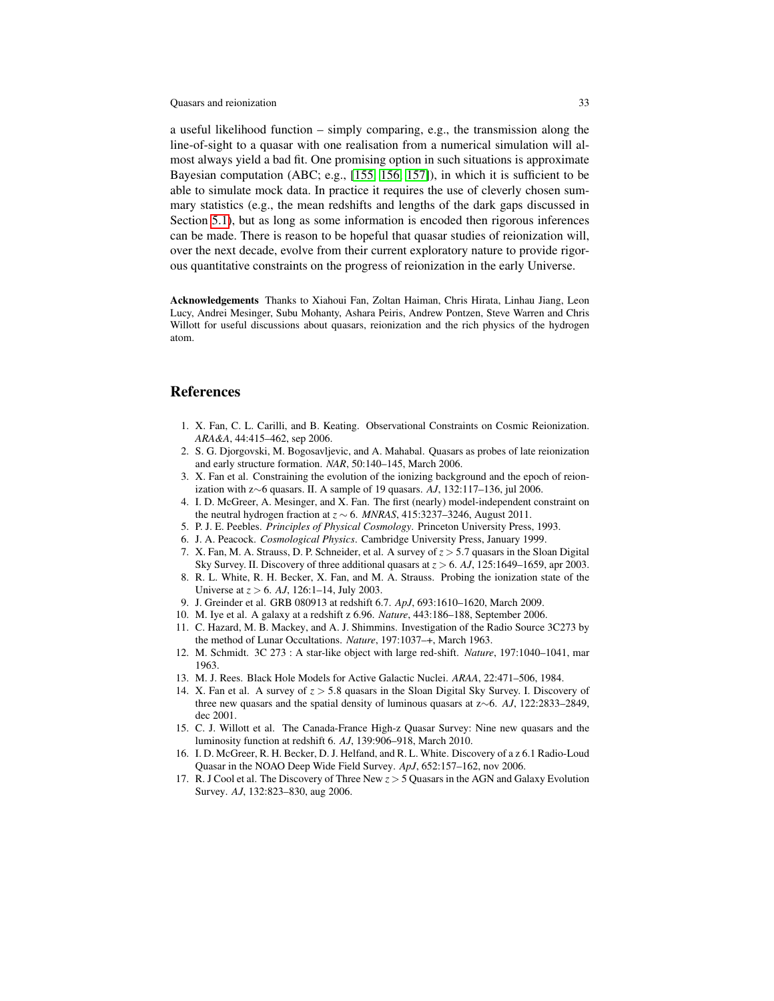a useful likelihood function – simply comparing, e.g., the transmission along the line-of-sight to a quasar with one realisation from a numerical simulation will almost always yield a bad fit. One promising option in such situations is approximate Bayesian computation (ABC; e.g., [\[155,](#page-38-9) [156,](#page-38-10) [157\]](#page-38-11)), in which it is sufficient to be able to simulate mock data. In practice it requires the use of cleverly chosen summary statistics (e.g., the mean redshifts and lengths of the dark gaps discussed in Section [5.1\)](#page-17-0), but as long as some information is encoded then rigorous inferences can be made. There is reason to be hopeful that quasar studies of reionization will, over the next decade, evolve from their current exploratory nature to provide rigorous quantitative constraints on the progress of reionization in the early Universe.

Acknowledgements Thanks to Xiahoui Fan, Zoltan Haiman, Chris Hirata, Linhau Jiang, Leon Lucy, Andrei Mesinger, Subu Mohanty, Ashara Peiris, Andrew Pontzen, Steve Warren and Chris Willott for useful discussions about quasars, reionization and the rich physics of the hydrogen atom.

### References

- <span id="page-32-4"></span>1. X. Fan, C. L. Carilli, and B. Keating. Observational Constraints on Cosmic Reionization. *ARA&A*, 44:415–462, sep 2006.
- <span id="page-32-5"></span>2. S. G. Djorgovski, M. Bogosavljevic, and A. Mahabal. Quasars as probes of late reionization and early structure formation. *NAR*, 50:140–145, March 2006.
- <span id="page-32-6"></span>3. X. Fan et al. Constraining the evolution of the ionizing background and the epoch of reionization with z∼6 quasars. II. A sample of 19 quasars. *AJ*, 132:117–136, jul 2006.
- <span id="page-32-7"></span>4. I. D. McGreer, A. Mesinger, and X. Fan. The first (nearly) model-independent constraint on the neutral hydrogen fraction at  $z \sim 6$ . *MNRAS*, 415:3237–3246, August 2011.
- <span id="page-32-8"></span>5. P. J. E. Peebles. *Principles of Physical Cosmology*. Princeton University Press, 1993.
- <span id="page-32-9"></span>6. J. A. Peacock. *Cosmological Physics*. Cambridge University Press, January 1999.
- <span id="page-32-0"></span>7. X. Fan, M. A. Strauss, D. P. Schneider, et al. A survey of *z* > 5.7 quasars in the Sloan Digital Sky Survey. II. Discovery of three additional quasars at *z* > 6. *AJ*, 125:1649–1659, apr 2003.
- <span id="page-32-1"></span>8. R. L. White, R. H. Becker, X. Fan, and M. A. Strauss. Probing the ionization state of the Universe at *z* > 6. *AJ*, 126:1–14, July 2003.
- <span id="page-32-2"></span>9. J. Greinder et al. GRB 080913 at redshift 6.7. *ApJ*, 693:1610–1620, March 2009.
- <span id="page-32-3"></span>10. M. Iye et al. A galaxy at a redshift z 6.96. *Nature*, 443:186–188, September 2006.
- <span id="page-32-10"></span>11. C. Hazard, M. B. Mackey, and A. J. Shimmins. Investigation of the Radio Source 3C273 by the method of Lunar Occultations. *Nature*, 197:1037–+, March 1963.
- <span id="page-32-11"></span>12. M. Schmidt. 3C 273 : A star-like object with large red-shift. *Nature*, 197:1040–1041, mar 1963.
- <span id="page-32-12"></span>13. M. J. Rees. Black Hole Models for Active Galactic Nuclei. *ARAA*, 22:471–506, 1984.
- <span id="page-32-13"></span>14. X. Fan et al. A survey of  $z > 5.8$  quasars in the Sloan Digital Sky Survey. I. Discovery of three new quasars and the spatial density of luminous quasars at z∼6. *AJ*, 122:2833–2849, dec 2001.
- <span id="page-32-14"></span>15. C. J. Willott et al. The Canada-France High-z Quasar Survey: Nine new quasars and the luminosity function at redshift 6. *AJ*, 139:906–918, March 2010.
- <span id="page-32-15"></span>16. I. D. McGreer, R. H. Becker, D. J. Helfand, and R. L. White. Discovery of a z 6.1 Radio-Loud Quasar in the NOAO Deep Wide Field Survey. *ApJ*, 652:157–162, nov 2006.
- <span id="page-32-16"></span>17. R. J Cool et al. The Discovery of Three New *z* > 5 Quasars in the AGN and Galaxy Evolution Survey. *AJ*, 132:823–830, aug 2006.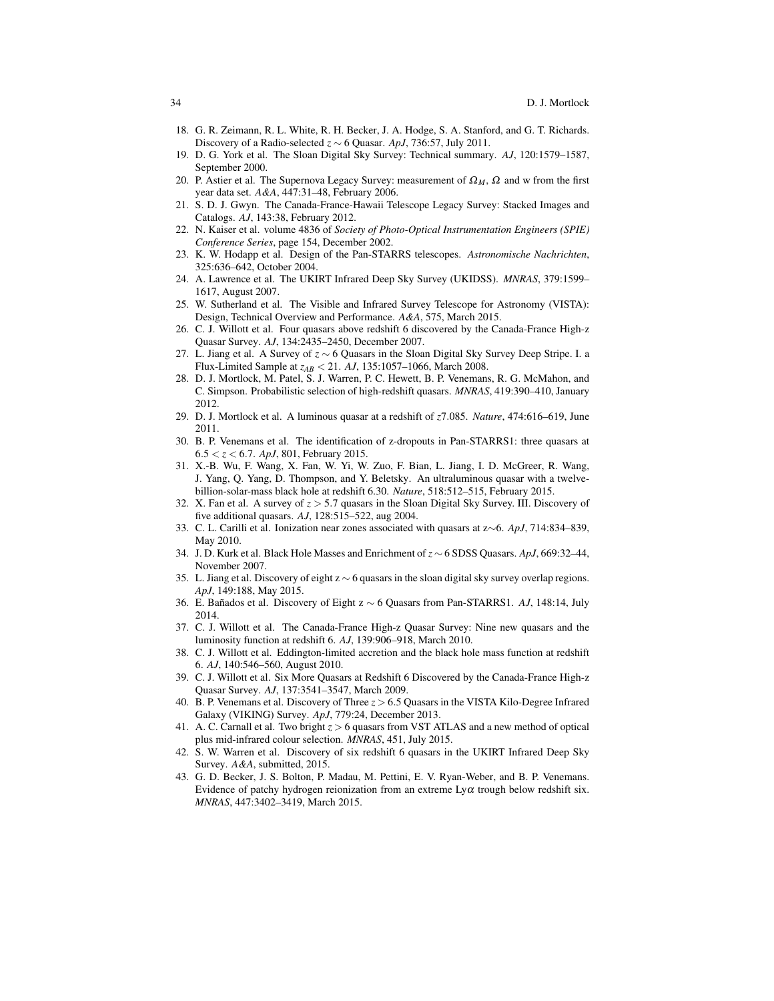- <span id="page-33-0"></span>18. G. R. Zeimann, R. L. White, R. H. Becker, J. A. Hodge, S. A. Stanford, and G. T. Richards. Discovery of a Radio-selected *z* ∼ 6 Quasar. *ApJ*, 736:57, July 2011.
- <span id="page-33-1"></span>19. D. G. York et al. The Sloan Digital Sky Survey: Technical summary. *AJ*, 120:1579–1587, September 2000.
- <span id="page-33-2"></span>20. P. Astier et al. The Supernova Legacy Survey: measurement of  $\Omega_M$ ,  $\Omega$  and w from the first year data set. *A&A*, 447:31–48, February 2006.
- <span id="page-33-3"></span>21. S. D. J. Gwyn. The Canada-France-Hawaii Telescope Legacy Survey: Stacked Images and Catalogs. *AJ*, 143:38, February 2012.
- <span id="page-33-4"></span>22. N. Kaiser et al. volume 4836 of *Society of Photo-Optical Instrumentation Engineers (SPIE) Conference Series*, page 154, December 2002.
- <span id="page-33-5"></span>23. K. W. Hodapp et al. Design of the Pan-STARRS telescopes. *Astronomische Nachrichten*, 325:636–642, October 2004.
- <span id="page-33-6"></span>24. A. Lawrence et al. The UKIRT Infrared Deep Sky Survey (UKIDSS). *MNRAS*, 379:1599– 1617, August 2007.
- <span id="page-33-7"></span>25. W. Sutherland et al. The Visible and Infrared Survey Telescope for Astronomy (VISTA): Design, Technical Overview and Performance. *A&A*, 575, March 2015.
- <span id="page-33-8"></span>26. C. J. Willott et al. Four quasars above redshift 6 discovered by the Canada-France High-z Quasar Survey. *AJ*, 134:2435–2450, December 2007.
- <span id="page-33-9"></span>27. L. Jiang et al. A Survey of *z* ∼ 6 Quasars in the Sloan Digital Sky Survey Deep Stripe. I. a Flux-Limited Sample at *zAB* < 21. *AJ*, 135:1057–1066, March 2008.
- <span id="page-33-10"></span>28. D. J. Mortlock, M. Patel, S. J. Warren, P. C. Hewett, B. P. Venemans, R. G. McMahon, and C. Simpson. Probabilistic selection of high-redshift quasars. *MNRAS*, 419:390–410, January 2012.
- <span id="page-33-11"></span>29. D. J. Mortlock et al. A luminous quasar at a redshift of *z*7.085. *Nature*, 474:616–619, June 2011.
- <span id="page-33-14"></span>30. B. P. Venemans et al. The identification of z-dropouts in Pan-STARRS1: three quasars at 6.5 < *z* < 6.7. *ApJ*, 801, February 2015.
- <span id="page-33-15"></span>31. X.-B. Wu, F. Wang, X. Fan, W. Yi, W. Zuo, F. Bian, L. Jiang, I. D. McGreer, R. Wang, J. Yang, Q. Yang, D. Thompson, and Y. Beletsky. An ultraluminous quasar with a twelvebillion-solar-mass black hole at redshift 6.30. *Nature*, 518:512–515, February 2015.
- <span id="page-33-12"></span>32. X. Fan et al. A survey of *z* > 5.7 quasars in the Sloan Digital Sky Survey. III. Discovery of five additional quasars. *AJ*, 128:515–522, aug 2004.
- <span id="page-33-13"></span>33. C. L. Carilli et al. Ionization near zones associated with quasars at z∼6. *ApJ*, 714:834–839, May 2010.
- <span id="page-33-16"></span>34. J. D. Kurk et al. Black Hole Masses and Enrichment of *z* ∼ 6 SDSS Quasars. *ApJ*, 669:32–44, November 2007.
- <span id="page-33-17"></span>35. L. Jiang et al. Discovery of eight z ∼ 6 quasars in the sloan digital sky survey overlap regions. *ApJ*, 149:188, May 2015.
- <span id="page-33-18"></span>36. E. Banados et al. Discovery of Eight z ˜ ∼ 6 Quasars from Pan-STARRS1. *AJ*, 148:14, July 2014.
- <span id="page-33-19"></span>37. C. J. Willott et al. The Canada-France High-z Quasar Survey: Nine new quasars and the luminosity function at redshift 6. *AJ*, 139:906–918, March 2010.
- <span id="page-33-20"></span>38. C. J. Willott et al. Eddington-limited accretion and the black hole mass function at redshift 6. *AJ*, 140:546–560, August 2010.
- <span id="page-33-21"></span>39. C. J. Willott et al. Six More Quasars at Redshift 6 Discovered by the Canada-France High-z Quasar Survey. *AJ*, 137:3541–3547, March 2009.
- <span id="page-33-22"></span>40. B. P. Venemans et al. Discovery of Three *z* > 6.5 Quasars in the VISTA Kilo-Degree Infrared Galaxy (VIKING) Survey. *ApJ*, 779:24, December 2013.
- <span id="page-33-23"></span>41. A. C. Carnall et al. Two bright  $z > 6$  quasars from VST ATLAS and a new method of optical plus mid-infrared colour selection. *MNRAS*, 451, July 2015.
- <span id="page-33-24"></span>42. S. W. Warren et al. Discovery of six redshift 6 quasars in the UKIRT Infrared Deep Sky Survey. *A&A*, submitted, 2015.
- <span id="page-33-25"></span>43. G. D. Becker, J. S. Bolton, P. Madau, M. Pettini, E. V. Ryan-Weber, and B. P. Venemans. Evidence of patchy hydrogen reionization from an extreme  $Ly\alpha$  trough below redshift six. *MNRAS*, 447:3402–3419, March 2015.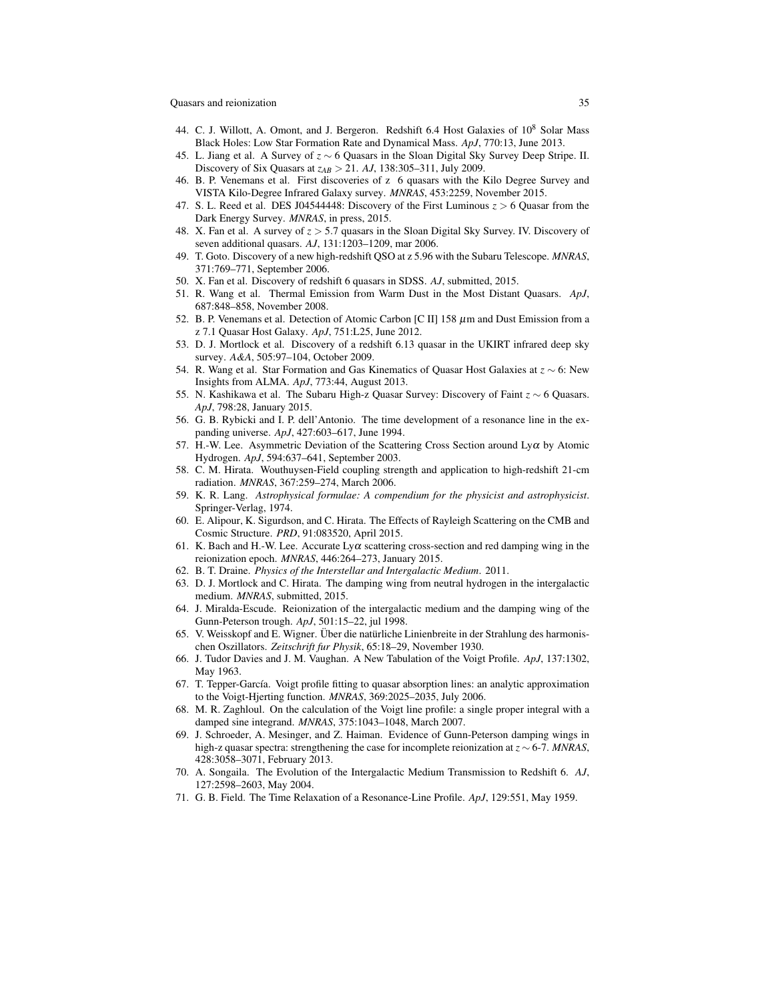- <span id="page-34-0"></span>44. C. J. Willott, A. Omont, and J. Bergeron. Redshift 6.4 Host Galaxies of  $10^8$  Solar Mass Black Holes: Low Star Formation Rate and Dynamical Mass. *ApJ*, 770:13, June 2013.
- <span id="page-34-1"></span>45. L. Jiang et al. A Survey of *z* ∼ 6 Quasars in the Sloan Digital Sky Survey Deep Stripe. II. Discovery of Six Quasars at *zAB* > 21. *AJ*, 138:305–311, July 2009.
- <span id="page-34-2"></span>46. B. P. Venemans et al. First discoveries of z 6 quasars with the Kilo Degree Survey and VISTA Kilo-Degree Infrared Galaxy survey. *MNRAS*, 453:2259, November 2015.
- <span id="page-34-3"></span>47. S. L. Reed et al. DES J04544448: Discovery of the First Luminous  $z > 6$  Quasar from the Dark Energy Survey. *MNRAS*, in press, 2015.
- <span id="page-34-4"></span>48. X. Fan et al. A survey of *z* > 5.7 quasars in the Sloan Digital Sky Survey. IV. Discovery of seven additional quasars. *AJ*, 131:1203–1209, mar 2006.
- <span id="page-34-5"></span>49. T. Goto. Discovery of a new high-redshift QSO at z 5.96 with the Subaru Telescope. *MNRAS*, 371:769–771, September 2006.
- <span id="page-34-6"></span>50. X. Fan et al. Discovery of redshift 6 quasars in SDSS. *AJ*, submitted, 2015.
- <span id="page-34-7"></span>51. R. Wang et al. Thermal Emission from Warm Dust in the Most Distant Quasars. *ApJ*, 687:848–858, November 2008.
- <span id="page-34-8"></span>52. B. P. Venemans et al. Detection of Atomic Carbon [C II] 158  $\mu$ m and Dust Emission from a z 7.1 Quasar Host Galaxy. *ApJ*, 751:L25, June 2012.
- <span id="page-34-9"></span>53. D. J. Mortlock et al. Discovery of a redshift 6.13 quasar in the UKIRT infrared deep sky survey. *A&A*, 505:97–104, October 2009.
- <span id="page-34-10"></span>54. R. Wang et al. Star Formation and Gas Kinematics of Quasar Host Galaxies at *z* ∼ 6: New Insights from ALMA. *ApJ*, 773:44, August 2013.
- <span id="page-34-11"></span>55. N. Kashikawa et al. The Subaru High-z Quasar Survey: Discovery of Faint *z* ∼ 6 Quasars. *ApJ*, 798:28, January 2015.
- <span id="page-34-12"></span>56. G. B. Rybicki and I. P. dell'Antonio. The time development of a resonance line in the expanding universe. *ApJ*, 427:603–617, June 1994.
- <span id="page-34-13"></span>57. H.-W. Lee. Asymmetric Deviation of the Scattering Cross Section around  $Ly\alpha$  by Atomic Hydrogen. *ApJ*, 594:637–641, September 2003.
- <span id="page-34-14"></span>58. C. M. Hirata. Wouthuysen-Field coupling strength and application to high-redshift 21-cm radiation. *MNRAS*, 367:259–274, March 2006.
- <span id="page-34-15"></span>59. K. R. Lang. *Astrophysical formulae: A compendium for the physicist and astrophysicist*. Springer-Verlag, 1974.
- <span id="page-34-16"></span>60. E. Alipour, K. Sigurdson, and C. Hirata. The Effects of Rayleigh Scattering on the CMB and Cosmic Structure. *PRD*, 91:083520, April 2015.
- <span id="page-34-17"></span>61. K. Bach and H.-W. Lee. Accurate  $Ly\alpha$  scattering cross-section and red damping wing in the reionization epoch. *MNRAS*, 446:264–273, January 2015.
- <span id="page-34-18"></span>62. B. T. Draine. *Physics of the Interstellar and Intergalactic Medium*. 2011.
- <span id="page-34-19"></span>63. D. J. Mortlock and C. Hirata. The damping wing from neutral hydrogen in the intergalactic medium. *MNRAS*, submitted, 2015.
- <span id="page-34-20"></span>64. J. Miralda-Escude. Reionization of the intergalactic medium and the damping wing of the Gunn-Peterson trough. *ApJ*, 501:15–22, jul 1998.
- <span id="page-34-21"></span>65. V. Weisskopf and E. Wigner. Über die natürliche Linienbreite in der Strahlung des harmonischen Oszillators. *Zeitschrift fur Physik*, 65:18–29, November 1930.
- <span id="page-34-22"></span>66. J. Tudor Davies and J. M. Vaughan. A New Tabulation of the Voigt Profile. *ApJ*, 137:1302, May 1963.
- <span id="page-34-23"></span>67. T. Tepper-García. Voigt profile fitting to quasar absorption lines: an analytic approximation to the Voigt-Hjerting function. *MNRAS*, 369:2025–2035, July 2006.
- <span id="page-34-24"></span>68. M. R. Zaghloul. On the calculation of the Voigt line profile: a single proper integral with a damped sine integrand. *MNRAS*, 375:1043–1048, March 2007.
- <span id="page-34-25"></span>69. J. Schroeder, A. Mesinger, and Z. Haiman. Evidence of Gunn-Peterson damping wings in high-z quasar spectra: strengthening the case for incomplete reionization at *z* ∼ 6-7. *MNRAS*, 428:3058–3071, February 2013.
- <span id="page-34-27"></span>70. A. Songaila. The Evolution of the Intergalactic Medium Transmission to Redshift 6. *AJ*, 127:2598–2603, May 2004.
- <span id="page-34-26"></span>71. G. B. Field. The Time Relaxation of a Resonance-Line Profile. *ApJ*, 129:551, May 1959.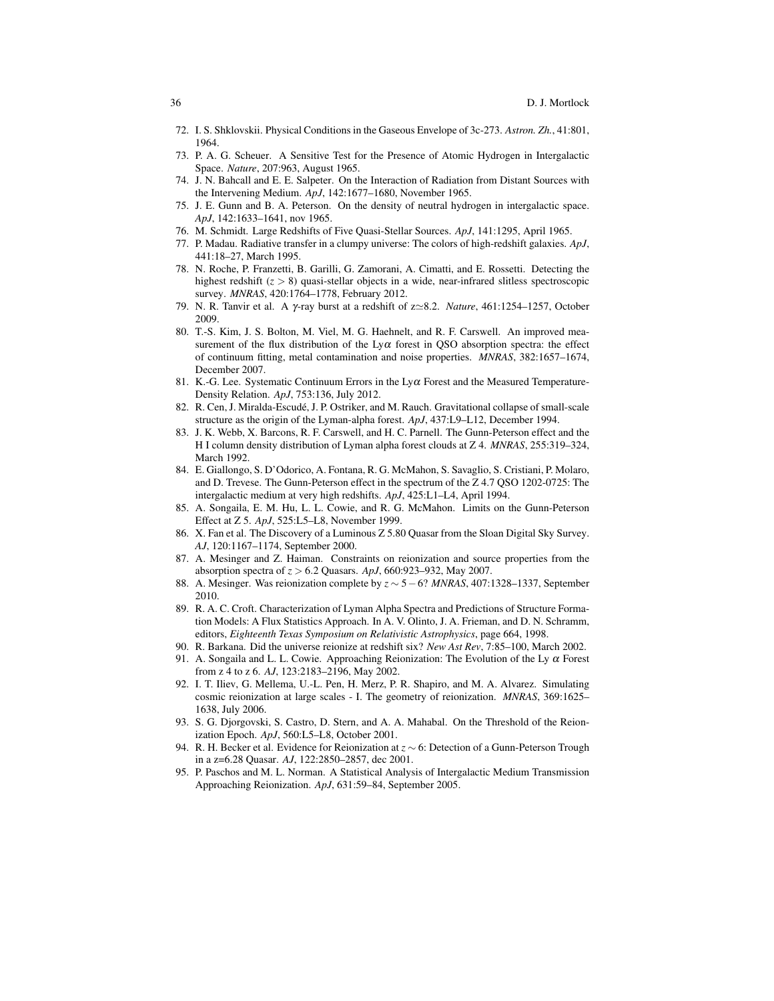- <span id="page-35-0"></span>72. I. S. Shklovskii. Physical Conditions in the Gaseous Envelope of 3c-273. *Astron. Zh.*, 41:801, 1964.
- <span id="page-35-1"></span>73. P. A. G. Scheuer. A Sensitive Test for the Presence of Atomic Hydrogen in Intergalactic Space. *Nature*, 207:963, August 1965.
- <span id="page-35-2"></span>74. J. N. Bahcall and E. E. Salpeter. On the Interaction of Radiation from Distant Sources with the Intervening Medium. *ApJ*, 142:1677–1680, November 1965.
- <span id="page-35-3"></span>75. J. E. Gunn and B. A. Peterson. On the density of neutral hydrogen in intergalactic space. *ApJ*, 142:1633–1641, nov 1965.
- <span id="page-35-4"></span>76. M. Schmidt. Large Redshifts of Five Quasi-Stellar Sources. *ApJ*, 141:1295, April 1965.
- <span id="page-35-5"></span>77. P. Madau. Radiative transfer in a clumpy universe: The colors of high-redshift galaxies. *ApJ*, 441:18–27, March 1995.
- <span id="page-35-6"></span>78. N. Roche, P. Franzetti, B. Garilli, G. Zamorani, A. Cimatti, and E. Rossetti. Detecting the highest redshift (*z* > 8) quasi-stellar objects in a wide, near-infrared slitless spectroscopic survey. *MNRAS*, 420:1764–1778, February 2012.
- <span id="page-35-7"></span>79. N. R. Tanvir et al. A γ-ray burst at a redshift of z'8.2. *Nature*, 461:1254–1257, October 2009.
- <span id="page-35-8"></span>80. T.-S. Kim, J. S. Bolton, M. Viel, M. G. Haehnelt, and R. F. Carswell. An improved measurement of the flux distribution of the  $Ly\alpha$  forest in QSO absorption spectra: the effect of continuum fitting, metal contamination and noise properties. *MNRAS*, 382:1657–1674, December 2007.
- <span id="page-35-9"></span>81. K.-G. Lee. Systematic Continuum Errors in the Ly $\alpha$  Forest and the Measured Temperature-Density Relation. *ApJ*, 753:136, July 2012.
- <span id="page-35-10"></span>82. R. Cen, J. Miralda-Escude, J. P. Ostriker, and M. Rauch. Gravitational collapse of small-scale ´ structure as the origin of the Lyman-alpha forest. *ApJ*, 437:L9–L12, December 1994.
- <span id="page-35-11"></span>83. J. K. Webb, X. Barcons, R. F. Carswell, and H. C. Parnell. The Gunn-Peterson effect and the H I column density distribution of Lyman alpha forest clouds at Z 4. *MNRAS*, 255:319–324, March 1992.
- <span id="page-35-12"></span>84. E. Giallongo, S. D'Odorico, A. Fontana, R. G. McMahon, S. Savaglio, S. Cristiani, P. Molaro, and D. Trevese. The Gunn-Peterson effect in the spectrum of the Z 4.7 QSO 1202-0725: The intergalactic medium at very high redshifts. *ApJ*, 425:L1–L4, April 1994.
- <span id="page-35-13"></span>85. A. Songaila, E. M. Hu, L. L. Cowie, and R. G. McMahon. Limits on the Gunn-Peterson Effect at Z 5. *ApJ*, 525:L5–L8, November 1999.
- <span id="page-35-14"></span>86. X. Fan et al. The Discovery of a Luminous Z 5.80 Quasar from the Sloan Digital Sky Survey. *AJ*, 120:1167–1174, September 2000.
- <span id="page-35-15"></span>87. A. Mesinger and Z. Haiman. Constraints on reionization and source properties from the absorption spectra of *z* > 6.2 Quasars. *ApJ*, 660:923–932, May 2007.
- <span id="page-35-16"></span>88. A. Mesinger. Was reionization complete by *z* ∼ 5−6? *MNRAS*, 407:1328–1337, September 2010.
- <span id="page-35-17"></span>89. R. A. C. Croft. Characterization of Lyman Alpha Spectra and Predictions of Structure Formation Models: A Flux Statistics Approach. In A. V. Olinto, J. A. Frieman, and D. N. Schramm, editors, *Eighteenth Texas Symposium on Relativistic Astrophysics*, page 664, 1998.
- <span id="page-35-18"></span>90. R. Barkana. Did the universe reionize at redshift six? *New Ast Rev*, 7:85–100, March 2002.
- <span id="page-35-19"></span>91. A. Songaila and L. L. Cowie. Approaching Reionization: The Evolution of the Ly  $\alpha$  Forest from z 4 to z 6. *AJ*, 123:2183–2196, May 2002.
- <span id="page-35-20"></span>92. I. T. Iliev, G. Mellema, U.-L. Pen, H. Merz, P. R. Shapiro, and M. A. Alvarez. Simulating cosmic reionization at large scales - I. The geometry of reionization. *MNRAS*, 369:1625– 1638, July 2006.
- <span id="page-35-21"></span>93. S. G. Djorgovski, S. Castro, D. Stern, and A. A. Mahabal. On the Threshold of the Reionization Epoch. *ApJ*, 560:L5–L8, October 2001.
- <span id="page-35-22"></span>94. R. H. Becker et al. Evidence for Reionization at *z* ∼ 6: Detection of a Gunn-Peterson Trough in a z=6.28 Quasar. *AJ*, 122:2850–2857, dec 2001.
- <span id="page-35-23"></span>95. P. Paschos and M. L. Norman. A Statistical Analysis of Intergalactic Medium Transmission Approaching Reionization. *ApJ*, 631:59–84, September 2005.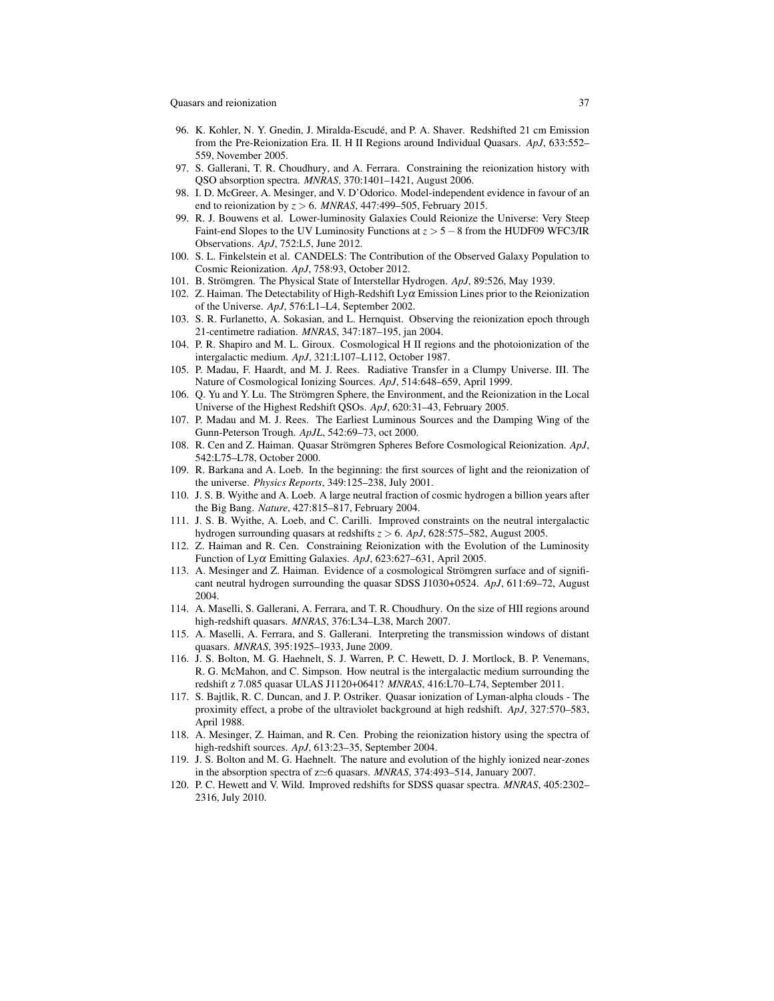- <span id="page-36-0"></span>96. K. Kohler, N. Y. Gnedin, J. Miralda-Escude, and P. A. Shaver. Redshifted 21 cm Emission ´ from the Pre-Reionization Era. II. H II Regions around Individual Quasars. *ApJ*, 633:552– 559, November 2005.
- <span id="page-36-1"></span>97. S. Gallerani, T. R. Choudhury, and A. Ferrara. Constraining the reionization history with QSO absorption spectra. *MNRAS*, 370:1401–1421, August 2006.
- <span id="page-36-2"></span>98. I. D. McGreer, A. Mesinger, and V. D'Odorico. Model-independent evidence in favour of an end to reionization by *z* > 6. *MNRAS*, 447:499–505, February 2015.
- <span id="page-36-3"></span>99. R. J. Bouwens et al. Lower-luminosity Galaxies Could Reionize the Universe: Very Steep Faint-end Slopes to the UV Luminosity Functions at *z* > 5−8 from the HUDF09 WFC3/IR Observations. *ApJ*, 752:L5, June 2012.
- <span id="page-36-4"></span>100. S. L. Finkelstein et al. CANDELS: The Contribution of the Observed Galaxy Population to Cosmic Reionization. *ApJ*, 758:93, October 2012.
- <span id="page-36-9"></span>101. B. Strömgren. The Physical State of Interstellar Hydrogen. *ApJ*, 89:526, May 1939.
- <span id="page-36-5"></span>102. Z. Haiman. The Detectability of High-Redshift  $Ly\alpha$  Emission Lines prior to the Reionization of the Universe. *ApJ*, 576:L1–L4, September 2002.
- <span id="page-36-6"></span>103. S. R. Furlanetto, A. Sokasian, and L. Hernquist. Observing the reionization epoch through 21-centimetre radiation. *MNRAS*, 347:187–195, jan 2004.
- <span id="page-36-7"></span>104. P. R. Shapiro and M. L. Giroux. Cosmological H II regions and the photoionization of the intergalactic medium. *ApJ*, 321:L107–L112, October 1987.
- <span id="page-36-8"></span>105. P. Madau, F. Haardt, and M. J. Rees. Radiative Transfer in a Clumpy Universe. III. The Nature of Cosmological Ionizing Sources. *ApJ*, 514:648–659, April 1999.
- <span id="page-36-16"></span>106. Q. Yu and Y. Lu. The Strömgren Sphere, the Environment, and the Reionization in the Local Universe of the Highest Redshift QSOs. *ApJ*, 620:31–43, February 2005.
- <span id="page-36-10"></span>107. P. Madau and M. J. Rees. The Earliest Luminous Sources and the Damping Wing of the Gunn-Peterson Trough. *ApJL*, 542:69–73, oct 2000.
- <span id="page-36-11"></span>108. R. Cen and Z. Haiman. Quasar Strömgren Spheres Before Cosmological Reionization. ApJ, 542:L75–L78, October 2000.
- <span id="page-36-12"></span>109. R. Barkana and A. Loeb. In the beginning: the first sources of light and the reionization of the universe. *Physics Reports*, 349:125–238, July 2001.
- <span id="page-36-13"></span>110. J. S. B. Wyithe and A. Loeb. A large neutral fraction of cosmic hydrogen a billion years after the Big Bang. *Nature*, 427:815–817, February 2004.
- <span id="page-36-14"></span>111. J. S. B. Wyithe, A. Loeb, and C. Carilli. Improved constraints on the neutral intergalactic hydrogen surrounding quasars at redshifts *z* > 6. *ApJ*, 628:575–582, August 2005.
- <span id="page-36-15"></span>112. Z. Haiman and R. Cen. Constraining Reionization with the Evolution of the Luminosity Function of Lyα Emitting Galaxies. *ApJ*, 623:627–631, April 2005.
- <span id="page-36-17"></span>113. A. Mesinger and Z. Haiman. Evidence of a cosmological Stromgren surface and of signifi- ¨ cant neutral hydrogen surrounding the quasar SDSS J1030+0524. *ApJ*, 611:69–72, August 2004.
- <span id="page-36-18"></span>114. A. Maselli, S. Gallerani, A. Ferrara, and T. R. Choudhury. On the size of HII regions around high-redshift quasars. *MNRAS*, 376:L34–L38, March 2007.
- <span id="page-36-19"></span>115. A. Maselli, A. Ferrara, and S. Gallerani. Interpreting the transmission windows of distant quasars. *MNRAS*, 395:1925–1933, June 2009.
- <span id="page-36-20"></span>116. J. S. Bolton, M. G. Haehnelt, S. J. Warren, P. C. Hewett, D. J. Mortlock, B. P. Venemans, R. G. McMahon, and C. Simpson. How neutral is the intergalactic medium surrounding the redshift z 7.085 quasar ULAS J1120+0641? *MNRAS*, 416:L70–L74, September 2011.
- <span id="page-36-21"></span>117. S. Bajtlik, R. C. Duncan, and J. P. Ostriker. Quasar ionization of Lyman-alpha clouds - The proximity effect, a probe of the ultraviolet background at high redshift. *ApJ*, 327:570–583, April 1988.
- <span id="page-36-22"></span>118. A. Mesinger, Z. Haiman, and R. Cen. Probing the reionization history using the spectra of high-redshift sources. *ApJ*, 613:23–35, September 2004.
- <span id="page-36-23"></span>119. J. S. Bolton and M. G. Haehnelt. The nature and evolution of the highly ionized near-zones in the absorption spectra of  $z \approx 6$  quasars. *MNRAS*, 374:493–514, January 2007.
- <span id="page-36-24"></span>120. P. C. Hewett and V. Wild. Improved redshifts for SDSS quasar spectra. *MNRAS*, 405:2302– 2316, July 2010.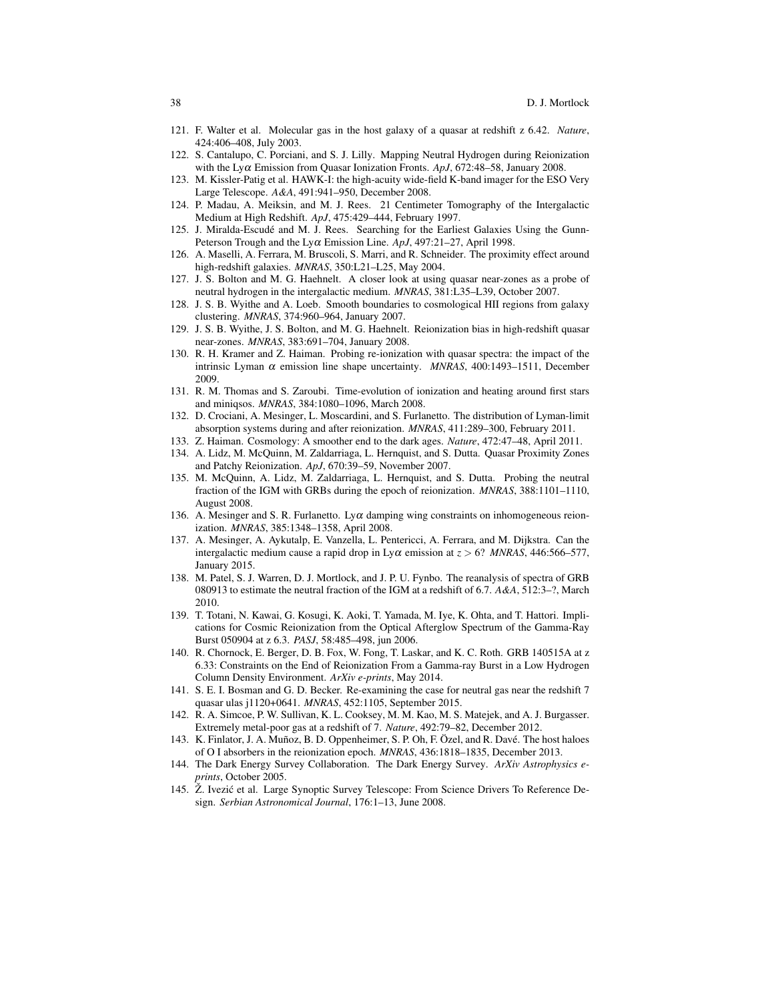- <span id="page-37-0"></span>121. F. Walter et al. Molecular gas in the host galaxy of a quasar at redshift z 6.42. *Nature*, 424:406–408, July 2003.
- <span id="page-37-1"></span>122. S. Cantalupo, C. Porciani, and S. J. Lilly. Mapping Neutral Hydrogen during Reionization with the Lyα Emission from Quasar Ionization Fronts. *ApJ*, 672:48–58, January 2008.
- <span id="page-37-2"></span>123. M. Kissler-Patig et al. HAWK-I: the high-acuity wide-field K-band imager for the ESO Very Large Telescope. *A&A*, 491:941–950, December 2008.
- <span id="page-37-3"></span>124. P. Madau, A. Meiksin, and M. J. Rees. 21 Centimeter Tomography of the Intergalactic Medium at High Redshift. *ApJ*, 475:429–444, February 1997.
- <span id="page-37-4"></span>125. J. Miralda-Escudé and M. J. Rees. Searching for the Earliest Galaxies Using the Gunn-Peterson Trough and the Lyα Emission Line. *ApJ*, 497:21–27, April 1998.
- <span id="page-37-5"></span>126. A. Maselli, A. Ferrara, M. Bruscoli, S. Marri, and R. Schneider. The proximity effect around high-redshift galaxies. *MNRAS*, 350:L21–L25, May 2004.
- <span id="page-37-6"></span>127. J. S. Bolton and M. G. Haehnelt. A closer look at using quasar near-zones as a probe of neutral hydrogen in the intergalactic medium. *MNRAS*, 381:L35–L39, October 2007.
- <span id="page-37-7"></span>128. J. S. B. Wyithe and A. Loeb. Smooth boundaries to cosmological HII regions from galaxy clustering. *MNRAS*, 374:960–964, January 2007.
- <span id="page-37-8"></span>129. J. S. B. Wyithe, J. S. Bolton, and M. G. Haehnelt. Reionization bias in high-redshift quasar near-zones. *MNRAS*, 383:691–704, January 2008.
- <span id="page-37-9"></span>130. R. H. Kramer and Z. Haiman. Probing re-ionization with quasar spectra: the impact of the intrinsic Lyman  $\alpha$  emission line shape uncertainty. *MNRAS*, 400:1493-1511, December 2009.
- <span id="page-37-10"></span>131. R. M. Thomas and S. Zaroubi. Time-evolution of ionization and heating around first stars and miniqsos. *MNRAS*, 384:1080–1096, March 2008.
- <span id="page-37-11"></span>132. D. Crociani, A. Mesinger, L. Moscardini, and S. Furlanetto. The distribution of Lyman-limit absorption systems during and after reionization. *MNRAS*, 411:289–300, February 2011.
- <span id="page-37-12"></span>133. Z. Haiman. Cosmology: A smoother end to the dark ages. *Nature*, 472:47–48, April 2011.
- <span id="page-37-13"></span>134. A. Lidz, M. McQuinn, M. Zaldarriaga, L. Hernquist, and S. Dutta. Quasar Proximity Zones and Patchy Reionization. *ApJ*, 670:39–59, November 2007.
- <span id="page-37-14"></span>135. M. McQuinn, A. Lidz, M. Zaldarriaga, L. Hernquist, and S. Dutta. Probing the neutral fraction of the IGM with GRBs during the epoch of reionization. *MNRAS*, 388:1101–1110, August 2008.
- <span id="page-37-15"></span>136. A. Mesinger and S. R. Furlanetto. Ly $\alpha$  damping wing constraints on inhomogeneous reionization. *MNRAS*, 385:1348–1358, April 2008.
- <span id="page-37-16"></span>137. A. Mesinger, A. Aykutalp, E. Vanzella, L. Pentericci, A. Ferrara, and M. Dijkstra. Can the intergalactic medium cause a rapid drop in Ly $\alpha$  emission at  $z > 6$ ? *MNRAS*, 446:566–577, January 2015.
- <span id="page-37-17"></span>138. M. Patel, S. J. Warren, D. J. Mortlock, and J. P. U. Fynbo. The reanalysis of spectra of GRB 080913 to estimate the neutral fraction of the IGM at a redshift of 6.7. *A&A*, 512:3–?, March 2010.
- <span id="page-37-23"></span>139. T. Totani, N. Kawai, G. Kosugi, K. Aoki, T. Yamada, M. Iye, K. Ohta, and T. Hattori. Implications for Cosmic Reionization from the Optical Afterglow Spectrum of the Gamma-Ray Burst 050904 at z 6.3. *PASJ*, 58:485–498, jun 2006.
- <span id="page-37-24"></span>140. R. Chornock, E. Berger, D. B. Fox, W. Fong, T. Laskar, and K. C. Roth. GRB 140515A at z 6.33: Constraints on the End of Reionization From a Gamma-ray Burst in a Low Hydrogen Column Density Environment. *ArXiv e-prints*, May 2014.
- <span id="page-37-18"></span>141. S. E. I. Bosman and G. D. Becker. Re-examining the case for neutral gas near the redshift 7 quasar ulas j1120+0641. *MNRAS*, 452:1105, September 2015.
- <span id="page-37-19"></span>142. R. A. Simcoe, P. W. Sullivan, K. L. Cooksey, M. M. Kao, M. S. Matejek, and A. J. Burgasser. Extremely metal-poor gas at a redshift of 7. *Nature*, 492:79–82, December 2012.
- <span id="page-37-20"></span>143. K. Finlator, J. A. Muñoz, B. D. Oppenheimer, S. P. Oh, F. Özel, and R. Davé. The host haloes of O I absorbers in the reionization epoch. *MNRAS*, 436:1818–1835, December 2013.
- <span id="page-37-21"></span>144. The Dark Energy Survey Collaboration. The Dark Energy Survey. *ArXiv Astrophysics eprints*, October 2005.
- <span id="page-37-22"></span>145. Ž. Ivezić et al. Large Synoptic Survey Telescope: From Science Drivers To Reference Design. *Serbian Astronomical Journal*, 176:1–13, June 2008.